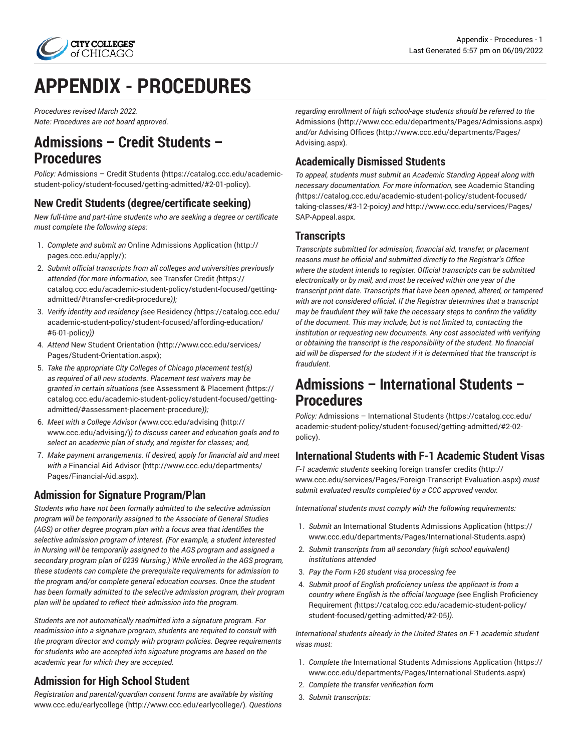

# **APPENDIX - PROCEDURES**

*Procedures revised March 2022*. *Note: Procedures are not board approved*.

# **Admissions – Credit Students – Procedures**

*Policy:* [Admissions](https://catalog.ccc.edu/academic-student-policy/student-focused/getting-admitted/#2-01-policy) – Credit Students ([https://catalog.ccc.edu/academic](https://catalog.ccc.edu/academic-student-policy/student-focused/getting-admitted/#2-01-policy)[student-policy/student-focused/getting-admitted/#2-01-policy\)](https://catalog.ccc.edu/academic-student-policy/student-focused/getting-admitted/#2-01-policy).

### **New Credit Students (degree/certificate seeking)**

*New full-time and part-time students who are seeking a degree or certificate must complete the following steps:*

- 1. *Complete and submit an* [Online Admissions Application \(http://](http://pages.ccc.edu/apply/) [pages.ccc.edu/apply/](http://pages.ccc.edu/apply/));
- 2. *Submit official transcripts from all colleges and universities previously attended (for more information,* see [Transfer](https://catalog.ccc.edu/academic-student-policy/student-focused/getting-admitted/#transfer-credit-procedure) Credit *(*[https://](https://catalog.ccc.edu/academic-student-policy/student-focused/getting-admitted/#transfer-credit-procedure) [catalog.ccc.edu/academic-student-policy/student-focused/getting](https://catalog.ccc.edu/academic-student-policy/student-focused/getting-admitted/#transfer-credit-procedure)[admitted/#transfer-credit-procedure](https://catalog.ccc.edu/academic-student-policy/student-focused/getting-admitted/#transfer-credit-procedure)*));*
- 3. *Verify identity and residency (*[see Residency](https://catalog.ccc.edu/academic-student-policy/student-focused/affording-education/#6-01-policy) *(*[https://catalog.ccc.edu/](https://catalog.ccc.edu/academic-student-policy/student-focused/affording-education/#6-01-policy) [academic-student-policy/student-focused/affording-education/](https://catalog.ccc.edu/academic-student-policy/student-focused/affording-education/#6-01-policy) [#6-01-policy](https://catalog.ccc.edu/academic-student-policy/student-focused/affording-education/#6-01-policy)*))*
- 4. *Attend* [New Student Orientation](http://www.ccc.edu/services/Pages/Student-Orientation.aspx) ([http://www.ccc.edu/services/](http://www.ccc.edu/services/Pages/Student-Orientation.aspx) [Pages/Student-Orientation.aspx](http://www.ccc.edu/services/Pages/Student-Orientation.aspx));
- 5. *Take the appropriate City Colleges of Chicago placement test(s) as required of all new students*. *Placement test waivers may be granted in certain situations (*[see Assessment & Placement](https://catalog.ccc.edu/academic-student-policy/student-focused/getting-admitted/#assessment-placement-procedure) *(*[https://](https://catalog.ccc.edu/academic-student-policy/student-focused/getting-admitted/#assessment-placement-procedure) [catalog.ccc.edu/academic-student-policy/student-focused/getting](https://catalog.ccc.edu/academic-student-policy/student-focused/getting-admitted/#assessment-placement-procedure)[admitted/#assessment-placement-procedure](https://catalog.ccc.edu/academic-student-policy/student-focused/getting-admitted/#assessment-placement-procedure)*));*
- 6. *Meet with a College Advisor (*[www.ccc.edu/advising](http://www.ccc.edu/advising/) ([http://](http://www.ccc.edu/advising/) [www.ccc.edu/advising/\)](http://www.ccc.edu/advising/)*) to discuss career and education goals and to select an academic plan of study, and register for classes; and,*
- 7. *Make payment arrangements. If desired, apply for financial aid and meet with a* [Financial Aid Advisor](http://www.ccc.edu/departments/Pages/Financial-Aid.aspx) ([http://www.ccc.edu/departments/](http://www.ccc.edu/departments/Pages/Financial-Aid.aspx) [Pages/Financial-Aid.aspx\)](http://www.ccc.edu/departments/Pages/Financial-Aid.aspx)*.*

## **Admission for Signature Program/Plan**

*Students who have not been formally admitted to the selective admission program will be temporarily assigned to the Associate of General Studies (AGS) or other degree program plan with a focus area that identifies the selective admission program of interest. (For example, a student interested in Nursing will be temporarily assigned to the AGS program and assigned a secondary program plan of 0239 Nursing.) While enrolled in the AGS program, these students can complete the prerequisite requirements for admission to the program and/or complete general education courses. Once the student has been formally admitted to the selective admission program, their program plan will be updated to reflect their admission into the program.*

*Students are not automatically readmitted into a signature program. For readmission into a signature program, students are required to consult with the program director and comply with program policies. Degree requirements for students who are accepted into signature programs are based on the academic year for which they are accepted.*

## **Admission for High School Student**

*Registration and parental/guardian consent forms are available by visiting* [www.ccc.edu/earlycollege](http://www.ccc.edu/earlycollege/) [\(http://www.ccc.edu/earlycollege/](http://www.ccc.edu/earlycollege/))*. Questions* *regarding enrollment of high school-age students should be referred to the* [Admissions \(http://www.ccc.edu/departments/Pages/Admissions.aspx](http://www.ccc.edu/departments/Pages/Admissions.aspx)) *and/or* [Advising Offices](http://www.ccc.edu/departments/Pages/Advising.aspx) [\(http://www.ccc.edu/departments/Pages/](http://www.ccc.edu/departments/Pages/Advising.aspx) [Advising.aspx\)](http://www.ccc.edu/departments/Pages/Advising.aspx)*.*

## **Academically Dismissed Students**

*To appeal, students must submit an Academic Standing Appeal along with necessary documentation. For more information,* [see Academic Standing](https://catalog.ccc.edu/academic-student-policy/student-focused/taking-classes/#3-12-poicy) *(*[https://catalog.ccc.edu/academic-student-policy/student-focused/](https://catalog.ccc.edu/academic-student-policy/student-focused/taking-classes/#3-12-poicy) [taking-classes/#3-12-poicy](https://catalog.ccc.edu/academic-student-policy/student-focused/taking-classes/#3-12-poicy)*) and* [http://www.ccc.edu/services/Pages/](http://www.ccc.edu/services/Pages/SAP-Appeal.aspx) [SAP-Appeal.aspx.](http://www.ccc.edu/services/Pages/SAP-Appeal.aspx)

### **Transcripts**

*Transcripts submitted for admission, financial aid, transfer, or placement reasons must be official and submitted directly to the Registrar's Office where the student intends to register. Official transcripts can be submitted electronically or by mail, and must be received within one year of the transcript print date. Transcripts that have been opened, altered, or tampered with are not considered official. If the Registrar determines that a transcript may be fraudulent they will take the necessary steps to confirm the validity of the document. This may include, but is not limited to, contacting the institution or requesting new documents. Any cost associated with verifying or obtaining the transcript is the responsibility of the student. No financial aid will be dispersed for the student if it is determined that the transcript is fraudulent.*

# **Admissions – International Students – Procedures**

*Policy:* [Admissions – International Students](https://catalog.ccc.edu/academic-student-policy/student-focused/getting-admitted/#2-02-policy) ([https://catalog.ccc.edu/](https://catalog.ccc.edu/academic-student-policy/student-focused/getting-admitted/#2-02-policy) [academic-student-policy/student-focused/getting-admitted/#2-02](https://catalog.ccc.edu/academic-student-policy/student-focused/getting-admitted/#2-02-policy) [policy\)](https://catalog.ccc.edu/academic-student-policy/student-focused/getting-admitted/#2-02-policy).

### **International Students with F-1 Academic Student Visas**

*F-1 academic students* seeking foreign [transfer](http://www.ccc.edu/services/Pages/Foreign-Transcript-Evaluation.aspx) credits [\(http://](http://www.ccc.edu/services/Pages/Foreign-Transcript-Evaluation.aspx) [www.ccc.edu/services/Pages/Foreign-Transcript-Evaluation.aspx\)](http://www.ccc.edu/services/Pages/Foreign-Transcript-Evaluation.aspx) *must submit evaluated results completed by a CCC approved vendor.*

*International students must comply with the following requirements:*

- 1. *Submit an* [International Students Admissions Application](https://www.ccc.edu/departments/Pages/International-Students.aspx) ([https://](https://www.ccc.edu/departments/Pages/International-Students.aspx) [www.ccc.edu/departments/Pages/International-Students.aspx](https://www.ccc.edu/departments/Pages/International-Students.aspx))
- 2. *Submit transcripts from all secondary (high school equivalent) institutions attended*
- 3. *Pay the Form I-20 student visa processing fee*
- 4. *Submit proof of English proficiency unless the applicant is from a country where English is the official language (*see English [Proficiency](https://catalog.ccc.edu/academic-student-policy/student-focused/getting-admitted/#2-05) [Requirement](https://catalog.ccc.edu/academic-student-policy/student-focused/getting-admitted/#2-05) *(*[https://catalog.ccc.edu/academic-student-policy/](https://catalog.ccc.edu/academic-student-policy/student-focused/getting-admitted/#2-05) [student-focused/getting-admitted/#2-05](https://catalog.ccc.edu/academic-student-policy/student-focused/getting-admitted/#2-05)*)).*

*International students already in the United States on F-1 academic student visas must:*

- 1. *Complete the* [International Students Admissions Application](https://www.ccc.edu/departments/Pages/International-Students.aspx) ([https://](https://www.ccc.edu/departments/Pages/International-Students.aspx) [www.ccc.edu/departments/Pages/International-Students.aspx](https://www.ccc.edu/departments/Pages/International-Students.aspx))
- 2. *Complete the transfer verification form*
- 3. *Submit transcripts:*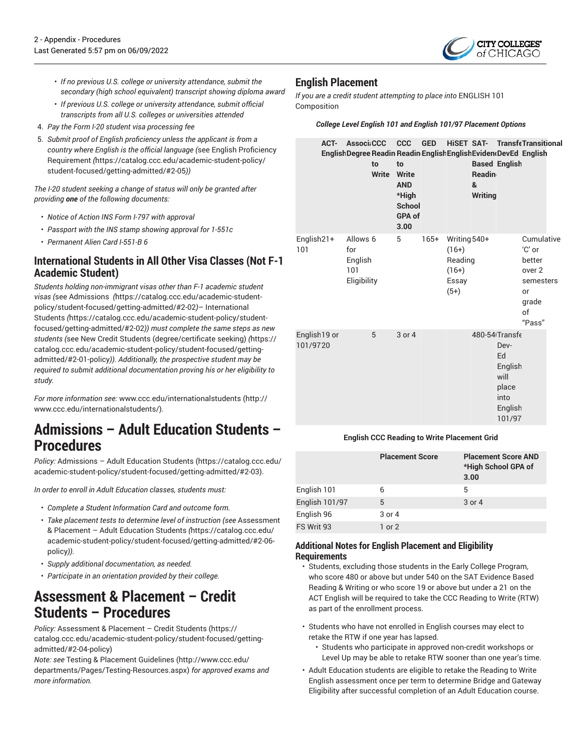

- *If no previous U.S. college or university attendance, submit the secondary (high school equivalent) transcript showing diploma award*
- *If previous U.S. college or university attendance, submit official transcripts from all U.S. colleges or universities attended*
- 4. *Pay the Form I-20 student visa processing fee*
- 5. *Submit proof of English proficiency unless the applicant is from a country where English is the official language (*see English [Proficiency](https://catalog.ccc.edu/academic-student-policy/student-focused/getting-admitted/#2-05) [Requirement](https://catalog.ccc.edu/academic-student-policy/student-focused/getting-admitted/#2-05) *(*[https://catalog.ccc.edu/academic-student-policy/](https://catalog.ccc.edu/academic-student-policy/student-focused/getting-admitted/#2-05) [student-focused/getting-admitted/#2-05](https://catalog.ccc.edu/academic-student-policy/student-focused/getting-admitted/#2-05)*))*

*The I-20 student seeking a change of status will only be granted after providing one of the following documents:*

- *Notice of Action INS Form I-797 with approval*
- *Passport with the INS stamp showing approval for 1-551c*
- *Permanent Alien Card I-551-B 6*

## **International Students in All Other Visa Classes (Not F-1 Academic Student)**

*Students holding non-immigrant visas other than F-1 academic student visas (*[see Admissions](https://catalog.ccc.edu/academic-student-policy/student-focused/getting-admitted/#2-02)  *(*[https://catalog.ccc.edu/academic-student](https://catalog.ccc.edu/academic-student-policy/student-focused/getting-admitted/#2-02)[policy/student-focused/getting-admitted/#2-02](https://catalog.ccc.edu/academic-student-policy/student-focused/getting-admitted/#2-02)*)*– [International](https://catalog.ccc.edu/academic-student-policy/student-focused/getting-admitted/#2-02) [Students](https://catalog.ccc.edu/academic-student-policy/student-focused/getting-admitted/#2-02) *(*[https://catalog.ccc.edu/academic-student-policy/student](https://catalog.ccc.edu/academic-student-policy/student-focused/getting-admitted/#2-02)[focused/getting-admitted/#2-02](https://catalog.ccc.edu/academic-student-policy/student-focused/getting-admitted/#2-02)*)) must complete the same steps as new students (*see New Credit Students [\(degree/certificate](https://catalog.ccc.edu/academic-student-policy/student-focused/getting-admitted/#2-01-policy) seeking) *(*[https://](https://catalog.ccc.edu/academic-student-policy/student-focused/getting-admitted/#2-01-policy) [catalog.ccc.edu/academic-student-policy/student-focused/getting](https://catalog.ccc.edu/academic-student-policy/student-focused/getting-admitted/#2-01-policy)[admitted/#2-01-policy](https://catalog.ccc.edu/academic-student-policy/student-focused/getting-admitted/#2-01-policy)*)). Additionally, the prospective student may be required to submit additional documentation proving his or her eligibility to study.*

*For more information see:* [www.ccc.edu/internationalstudents](http://www.ccc.edu/internationalstudents/) ([http://](http://www.ccc.edu/internationalstudents/) [www.ccc.edu/internationalstudents/\)](http://www.ccc.edu/internationalstudents/).

## **Admissions – Adult Education Students – Procedures**

*Policy:* [Admissions](https://catalog.ccc.edu/academic-student-policy/student-focused/getting-admitted/#2-03) – Adult Education Students ([https://catalog.ccc.edu/](https://catalog.ccc.edu/academic-student-policy/student-focused/getting-admitted/#2-03) [academic-student-policy/student-focused/getting-admitted/#2-03](https://catalog.ccc.edu/academic-student-policy/student-focused/getting-admitted/#2-03)).

*In order to enroll in Adult Education classes, students must:*

- *Complete a Student Information Card and outcome form.*
- *Take placement tests to determine level of instruction (see* [Assessment](https://catalog.ccc.edu/academic-student-policy/student-focused/getting-admitted/#2-06-policy) & [Placement](https://catalog.ccc.edu/academic-student-policy/student-focused/getting-admitted/#2-06-policy) – Adult Education Students *(*[https://catalog.ccc.edu/](https://catalog.ccc.edu/academic-student-policy/student-focused/getting-admitted/#2-06-policy) [academic-student-policy/student-focused/getting-admitted/#2-06](https://catalog.ccc.edu/academic-student-policy/student-focused/getting-admitted/#2-06-policy) [policy](https://catalog.ccc.edu/academic-student-policy/student-focused/getting-admitted/#2-06-policy)*)).*
- *Supply additional documentation, as needed.*
- *Participate in an orientation provided by their college.*

# **Assessment & Placement – Credit Students – Procedures**

*Policy:* [Assessment](https://catalog.ccc.edu/academic-student-policy/student-focused/getting-admitted/#2-04-policy) & Placement – Credit Students ([https://](https://catalog.ccc.edu/academic-student-policy/student-focused/getting-admitted/#2-04-policy) [catalog.ccc.edu/academic-student-policy/student-focused/getting](https://catalog.ccc.edu/academic-student-policy/student-focused/getting-admitted/#2-04-policy)[admitted/#2-04-policy\)](https://catalog.ccc.edu/academic-student-policy/student-focused/getting-admitted/#2-04-policy)

*Note: see* Testing & [Placement](http://www.ccc.edu/departments/Pages/Testing-Resources.aspx) Guidelines [\(http://www.ccc.edu/](http://www.ccc.edu/departments/Pages/Testing-Resources.aspx) [departments/Pages/Testing-Resources.aspx](http://www.ccc.edu/departments/Pages/Testing-Resources.aspx)) *for approved exams and more information.*

## **English Placement**

*If you are a credit student attempting to place into* ENGLISH 101 Composition

*College Level English 101 and English 101/97 Placement Options*

| ACT-                     | English Degree Readin Readin English English Eviden (DevEd English | to<br>Write | AssociaCCC CCC<br>to<br>Write<br><b>AND</b><br>*High<br><b>School</b><br><b>GPA of</b><br>3.00 | <b>GED</b> |                                                                  | <b>Readin</b><br>&<br><b>Writing</b> | <b>HISET SAT- TransfeTransitional</b><br><b>Based English</b>                         |                                                                                        |  |
|--------------------------|--------------------------------------------------------------------|-------------|------------------------------------------------------------------------------------------------|------------|------------------------------------------------------------------|--------------------------------------|---------------------------------------------------------------------------------------|----------------------------------------------------------------------------------------|--|
| English21+<br>101        | Allows 6<br>for<br>English<br>101<br>Eligibility                   |             | 5                                                                                              | $165+$     | Writing 540+<br>$(16+)$<br>Reading<br>$(16+)$<br>Essay<br>$(5+)$ |                                      |                                                                                       | Cumulative<br>$'C'$ or<br>better<br>over 2<br>semesters<br>or<br>grade<br>of<br>"Pass" |  |
| English19 or<br>101/9720 |                                                                    | 5           | 3 or 4                                                                                         |            |                                                                  |                                      | 480-54 Transfe<br>Dev-<br>Ed<br>English<br>will<br>place<br>into<br>English<br>101/97 |                                                                                        |  |

#### **English CCC Reading to Write Placement Grid**

|                | <b>Placement Score</b> | <b>Placement Score AND</b><br>*High School GPA of<br>3.00 |
|----------------|------------------------|-----------------------------------------------------------|
| English 101    | 6                      | 5                                                         |
| English 101/97 | 5                      | 3 or 4                                                    |
| English 96     | 3 or 4                 |                                                           |
| FS Writ 93     | $1$ or $2$             |                                                           |

#### **Additional Notes for English Placement and Eligibility Requirements**

- Students, excluding those students in the Early College Program, who score 480 or above but under 540 on the SAT Evidence Based Reading & Writing or who score 19 or above but under a 21 on the ACT English will be required to take the CCC Reading to Write (RTW) as part of the enrollment process.
- Students who have not enrolled in English courses may elect to retake the RTW if one year has lapsed.
	- Students who participate in approved non-credit workshops or Level Up may be able to retake RTW sooner than one year's time.
- Adult Education students are eligible to retake the Reading to Write English assessment once per term to determine Bridge and Gateway Eligibility after successful completion of an Adult Education course.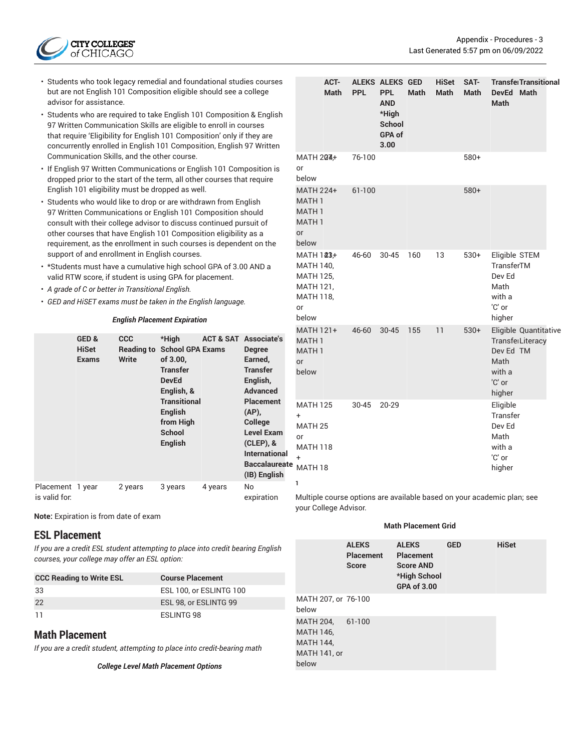

- Students who took legacy remedial and foundational studies courses but are not English 101 Composition eligible should see a college advisor for assistance.
- Students who are required to take English 101 Composition & English 97 Written Communication Skills are eligible to enroll in courses that require 'Eligibility for English 101 Composition' only if they are concurrently enrolled in English 101 Composition, English 97 Written Communication Skills, and the other course.
- If English 97 Written Communications or English 101 Composition is dropped prior to the start of the term, all other courses that require English 101 eligibility must be dropped as well.
- Students who would like to drop or are withdrawn from English 97 Written Communications or English 101 Composition should consult with their college advisor to discuss continued pursuit of other courses that have English 101 Composition eligibility as a requirement, as the enrollment in such courses is dependent on the support of and enrollment in English courses.
- \*Students must have a cumulative high school GPA of 3.00 AND a valid RTW score, if student is using GPA for placement.
- *A grade of C or better in Transitional English.*
- *GED and HiSET exams must be taken in the English language.*

#### *English Placement Expiration*

|                                   | GED&<br>HiSet<br><b>Exams</b> | <b>CCC</b><br><b>Reading to</b><br>Write | *High<br><b>School GPA Exams</b><br>of 3.00,<br><b>Transfer</b><br>DevEd<br>English, &<br><b>Transitional</b><br>English<br>from High<br><b>School</b><br><b>English</b> | <b>ACT &amp; SAT Associate's</b> | <b>Degree</b><br>Earned,<br><b>Transfer</b><br>English,<br><b>Advanced</b><br><b>Placement</b><br>(AP),<br><b>College</b><br><b>Level Exam</b><br>$(CLEP)$ , &<br><b>International</b><br><b>Baccalaureate</b><br>(IB) English |  |
|-----------------------------------|-------------------------------|------------------------------------------|--------------------------------------------------------------------------------------------------------------------------------------------------------------------------|----------------------------------|--------------------------------------------------------------------------------------------------------------------------------------------------------------------------------------------------------------------------------|--|
| Placement 1 year<br>is valid for: |                               | 2 years                                  | 3 years                                                                                                                                                                  | 4 years                          | No<br>expiration                                                                                                                                                                                                               |  |

**Note:** Expiration is from date of exam

### **ESL Placement**

*If you are a credit ESL student attempting to place into credit bearing English courses, your college may offer an ESL option:*

| <b>CCC Reading to Write ESL</b> | <b>Course Placement</b> |
|---------------------------------|-------------------------|
| 33                              | ESL 100, or ESLINTG 100 |
| 22                              | ESL 98, or ESLINTG 99   |
| 11                              | ESLINTG 98              |

### **Math Placement**

*If you are a credit student, attempting to place into credit-bearing math*

*College Level Math Placement Options*

|                                                                                                          | ACT-<br><b>Math</b> | <b>PPL</b> | <b>ALEKS ALEKS GED</b><br><b>PPL</b><br><b>AND</b><br>*High<br><b>School</b><br>GPA of<br>3.00 | <b>Math</b> | HiSet<br><b>Math</b> | SAT-<br><b>Math</b> | <b>Transfe Transitional</b><br><b>DevEd</b><br><b>Math</b><br><b>Math</b>                    |
|----------------------------------------------------------------------------------------------------------|---------------------|------------|------------------------------------------------------------------------------------------------|-------------|----------------------|---------------------|----------------------------------------------------------------------------------------------|
| MATH 204+<br>or<br>below                                                                                 |                     | 76-100     |                                                                                                |             |                      | 580+                |                                                                                              |
| <b>MATH 224+</b><br>MATH <sub>1</sub><br><b>MATH1</b><br><b>MATH1</b><br>or<br>below                     |                     | 61-100     |                                                                                                |             |                      | 580+                |                                                                                              |
| MATH 123+<br><b>MATH 140,</b><br><b>MATH 125,</b><br><b>MATH 121,</b><br><b>MATH 118,</b><br>or<br>below |                     | 46-60      | 30-45                                                                                          | 160         | 13                   | 530+                | Eligible STEM<br>TransferTM<br>Dev Ed<br>Math<br>with a<br>'C' or<br>higher                  |
| MATH 121+<br><b>MATH1</b><br><b>MATH1</b><br>or<br>below                                                 |                     | $46 - 60$  | 30-45                                                                                          | 155         | 11                   | $530+$              | Eligible Quantitative<br>TransfelLiteracy<br>Dev Ed TM<br>Math<br>with a<br>'C' or<br>higher |
| <b>MATH 125</b><br>+<br>MATH <sub>25</sub><br>or<br><b>MATH 118</b><br>$\ddot{}$<br>MATH 18<br>1         |                     | $30 - 45$  | 20-29                                                                                          |             |                      |                     | Eligible<br>Transfer<br>Dev Ed<br>Math<br>with a<br>'C' or<br>higher                         |

Multiple course options are available based on your academic plan; see your College Advisor.

#### **Math Placement Grid**

|                                                                                          | <b>ALEKS</b><br><b>Placement</b><br><b>Score</b> | <b>ALEKS</b><br><b>Placement</b><br><b>Score AND</b><br>*High School<br><b>GPA of 3.00</b> | <b>GED</b> | <b>HiSet</b> |
|------------------------------------------------------------------------------------------|--------------------------------------------------|--------------------------------------------------------------------------------------------|------------|--------------|
| MATH 207, or 76-100<br>below                                                             |                                                  |                                                                                            |            |              |
| <b>MATH 204,</b><br><b>MATH 146,</b><br><b>MATH 144,</b><br><b>MATH 141, or</b><br>below | 61-100                                           |                                                                                            |            |              |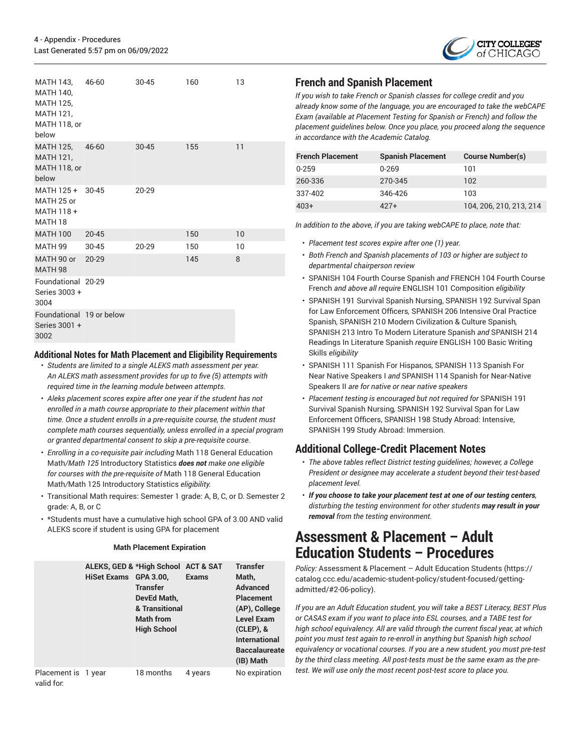

| MATH 143,<br><b>MATH 140,</b><br><b>MATH 125.</b><br><b>MATH 121,</b><br>MATH 118, or<br>below | 46-60     | 30-45     | 160 | 13 |
|------------------------------------------------------------------------------------------------|-----------|-----------|-----|----|
| MATH 125,<br><b>MATH 121,</b><br>MATH 118, or<br>below                                         | $46 - 60$ | $30 - 45$ | 155 | 11 |
| MATH 125 +<br>MATH 25 or<br>MATH 118 +<br>MATH <sub>18</sub>                                   | $30 - 45$ | $20 - 29$ |     |    |
| <b>MATH 100</b>                                                                                | $20 - 45$ |           | 150 | 10 |
| <b>MATH 99</b>                                                                                 | $30 - 45$ | $20 - 29$ | 150 | 10 |
| MATH 90 or<br><b>MATH 98</b>                                                                   | $20 - 29$ |           | 145 | 8  |
| Foundational 20-29<br>Series 3003+<br>3004                                                     |           |           |     |    |
| Foundational 19 or below<br>Series 3001 +<br>3002                                              |           |           |     |    |

### **Additional Notes for Math Placement and Eligibility Requirements**

- *Students are limited to a single ALEKS math assessment per year. An ALEKS math assessment provides for up to five (5) attempts with required time in the learning module between attempts.*
- *Aleks placement scores expire after one year if the student has not enrolled in a math course appropriate to their placement within that time. Once a student enrolls in a pre-requisite course, the student must complete math courses sequentially, unless enrolled in a special program or granted departmental consent to skip a pre-requisite course.*
- *Enrolling in a co-requisite pair including* Math 118 General Education Math*/Math 125* Introductory Statistics *does not make one eligible for courses with the pre-requisite of* Math 118 General Education Math*/*Math 125 Introductory Statistics *eligibility.*
- Transitional Math requires: Semester 1 grade: A, B, C, or D. Semester 2 grade: A, B, or C
- \*Students must have a cumulative high school GPA of 3.00 AND valid ALEKS score if student is using GPA for placement

#### **Math Placement Expiration**

|                                   | ALEKS, GED & *High School ACT & SAT<br><b>HiSet Exams</b> | GPA 3.00,<br><b>Transfer</b><br>DevEd Math,<br>& Transitional<br><b>Math from</b><br><b>High School</b> | <b>Exams</b> | <b>Transfer</b><br>Math,<br><b>Advanced</b><br><b>Placement</b><br>(AP), College<br><b>Level Exam</b><br>$(CLEP)$ , &<br><b>International</b><br><b>Baccalaureate</b><br>(IB) Math |
|-----------------------------------|-----------------------------------------------------------|---------------------------------------------------------------------------------------------------------|--------------|------------------------------------------------------------------------------------------------------------------------------------------------------------------------------------|
| Placement is 1 year<br>valid for: |                                                           | 18 months                                                                                               | 4 years      | No expiration                                                                                                                                                                      |

## **French and Spanish Placement**

*If you wish to take French or Spanish classes for college credit and you already know some of the language, you are encouraged to take the webCAPE Exam (available at Placement Testing for Spanish or French) and follow the placement guidelines below. Once you place, you proceed along the sequence in accordance with the Academic Catalog.*

| <b>French Placement</b> | <b>Spanish Placement</b> | <b>Course Number(s)</b> |
|-------------------------|--------------------------|-------------------------|
| $0 - 259$               | $0 - 269$                | 101                     |
| 260-336                 | 270-345                  | 102                     |
| 337-402                 | 346-426                  | 103                     |
| $403+$                  | 427+                     | 104, 206, 210, 213, 214 |

*In addition to the above, if you are taking webCAPE to place, note that:*

- *Placement test scores expire after one (1) year.*
- *Both French and Spanish placements of 103 or higher are subject to departmental chairperson review*
- SPANISH 104 Fourth Course Spanish *and* FRENCH 104 Fourth Course French *and above all require* ENGLISH 101 Composition *eligibility*
- SPANISH 191 Survival Spanish Nursing, SPANISH 192 Survival Span for Law Enforcement Officers*,* SPANISH 206 Intensive Oral Practice Spanish*,* SPANISH 210 Modern Civilization & Culture Spanish*,* SPANISH 213 Intro To Modern Literature Spanish *and* SPANISH 214 Readings In Literature Spanish *require* ENGLISH 100 Basic Writing Skills *eligibility*
- SPANISH 111 Spanish For Hispanos*,* SPANISH 113 Spanish For Near Native Speakers I *and* SPANISH 114 Spanish for Near-Native Speakers II *are for native or near native speakers*
- *Placement testing is encouraged but not required for* SPANISH 191 Survival Spanish Nursing*,* SPANISH 192 Survival Span for Law Enforcement Officers, SPANISH 198 Study Abroad: Intensive, SPANISH 199 Study Abroad: Immersion.

## **Additional College-Credit Placement Notes**

- *The above tables reflect District testing guidelines; however, a College President or designee may accelerate a student beyond their test-based placement level.*
- *If you choose to take your placement test at one of our testing centers, disturbing the testing environment for other students may result in your removal from the testing environment.*

## **Assessment & Placement – Adult Education Students – Procedures**

*Policy:* [Assessment](https://catalog.ccc.edu/academic-student-policy/student-focused/getting-admitted/#2-06-policy) & Placement – Adult Education Students ([https://](https://catalog.ccc.edu/academic-student-policy/student-focused/getting-admitted/#2-06-policy) [catalog.ccc.edu/academic-student-policy/student-focused/getting](https://catalog.ccc.edu/academic-student-policy/student-focused/getting-admitted/#2-06-policy)[admitted/#2-06-policy](https://catalog.ccc.edu/academic-student-policy/student-focused/getting-admitted/#2-06-policy)).

*If you are an Adult Education student, you will take a BEST Literacy, BEST Plus or CASAS exam if you want to place into ESL courses, and a TABE test for high school equivalency. All are valid through the current fiscal year, at which point you must test again to re-enroll in anything but Spanish high school equivalency or vocational courses. If you are a new student, you must pre-test by the third class meeting. All post-tests must be the same exam as the pretest. We will use only the most recent post-test score to place you.*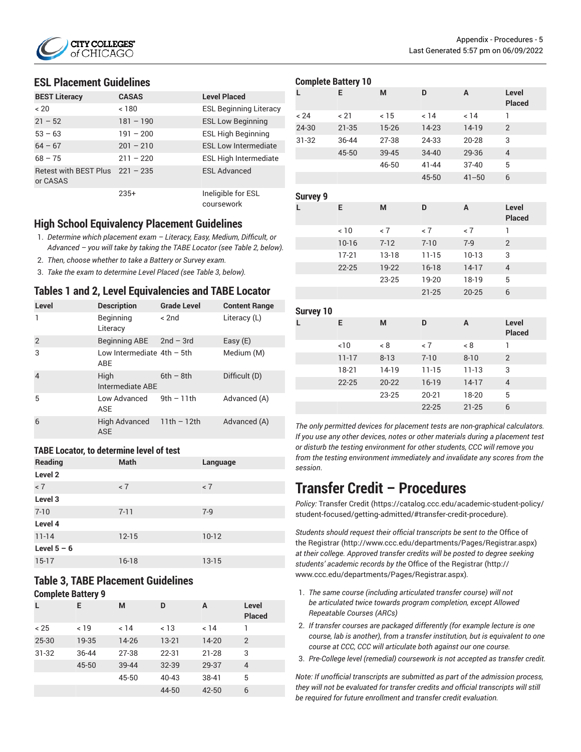

### **ESL Placement Guidelines**

| <b>BEST Literacy</b>                          | <b>CASAS</b> | <b>Level Placed</b>              |
|-----------------------------------------------|--------------|----------------------------------|
| ~120                                          | < 180        | <b>ESL Beginning Literacy</b>    |
| $21 - 52$                                     | $181 - 190$  | <b>ESL Low Beginning</b>         |
| $53 - 63$                                     | $191 - 200$  | <b>ESL High Beginning</b>        |
| $64 - 67$                                     | $201 - 210$  | <b>ESL Low Intermediate</b>      |
| $68 - 75$                                     | $211 - 220$  | <b>ESL High Intermediate</b>     |
| Retest with BEST Plus $221 - 235$<br>or CASAS |              | <b>ESL Advanced</b>              |
|                                               | $235+$       | Ineligible for ESL<br>COUTSAWORK |

### **High School Equivalency Placement Guidelines**

- 1. *Determine which placement exam – Literacy, Easy, Medium, Difficult, or Advanced – you will take by taking the TABE Locator (see Table 2, below).*
- 2. *Then, choose whether to take a Battery or Survey exam.*
- 3. *Take the exam to determine Level Placed (see Table 3, below).*

### **Tables 1 and 2, Level Equivalencies and TABE Locator**

| Level          | <b>Description</b>                  | <b>Grade Level</b> | <b>Content Range</b> |
|----------------|-------------------------------------|--------------------|----------------------|
|                | Beginning<br>Literacy               | < 2nd              | Literacy (L)         |
| $\overline{2}$ | Beginning ABE                       | $2nd - 3rd$        | Easy $(E)$           |
| 3              | Low Intermediate $4th - 5th$<br>ABE |                    | Medium (M)           |
| $\overline{4}$ | High<br>Intermediate ABE            | $6th - 8th$        | Difficult (D)        |
| 5              | Low Advanced<br>ASE                 | $9th - 11th$       | Advanced (A)         |
| 6              | <b>High Advanced</b><br><b>ASE</b>  | $11th - 12th$      | Advanced (A)         |

#### **TABE Locator, to determine level of test**

| <b>Reading</b> | <b>Math</b> | Language  |
|----------------|-------------|-----------|
| Level 2        |             |           |
| < 7            | < 7         | < 7       |
| Level 3        |             |           |
| $7 - 10$       | $7 - 11$    | $7-9$     |
| Level 4        |             |           |
| $11 - 14$      | $12 - 15$   | $10-12$   |
| Level $5 - 6$  |             |           |
| $15-17$        | $16 - 18$   | $13 - 15$ |

### **Table 3, TABE Placement Guidelines Complete Battery 9**

| L         | E.    | M     | D         | A         | Level<br><b>Placed</b> |
|-----------|-------|-------|-----------|-----------|------------------------|
| < 25      | < 19  | < 14  | ~13       | < 14      | 1                      |
| 25-30     | 19-35 | 14-26 | $13 - 21$ | $14 - 20$ | 2                      |
| $31 - 32$ | 36-44 | 27-38 | $22 - 31$ | $21 - 28$ | 3                      |
|           | 45-50 | 39-44 | 32-39     | 29-37     | 4                      |
|           |       | 45-50 | 40-43     | 38-41     | 5                      |
|           |       |       | 44-50     | 42-50     | 6                      |

|                  | <b>Complete Battery 10</b> |           |           |           |                        |
|------------------|----------------------------|-----------|-----------|-----------|------------------------|
| L                | E                          | M         | D         | A         | Level<br><b>Placed</b> |
| < 24             | < 21                       | < 15      | 14        | 14        | $\mathbf{1}$           |
| 24-30            | $21 - 35$                  | 15-26     | 14-23     | 14-19     | $\overline{2}$         |
| $31 - 32$        | 36-44                      | 27-38     | 24-33     | 20-28     | 3                      |
|                  | 45-50                      | 39-45     | $34 - 40$ | 29-36     | $\overline{4}$         |
|                  |                            | 46-50     | $41 - 44$ | $37 - 40$ | 5                      |
|                  |                            |           | 45-50     | $41 - 50$ | 6                      |
| <b>Survey 9</b>  |                            |           |           |           |                        |
| Г                | E                          | M         | D         | A         | Level<br><b>Placed</b> |
|                  | < 10                       | < 7       | < 7       | < 7       | 1                      |
|                  | $10 - 16$                  | $7 - 12$  | $7 - 10$  | $7-9$     | $\overline{2}$         |
|                  | $17-21$                    | $13 - 18$ | $11 - 15$ | $10-13$   | 3                      |
|                  | $22 - 25$                  | 19-22     | $16-18$   | $14-17$   | $\overline{4}$         |
|                  |                            | $23 - 25$ | 19-20     | 18-19     | 5                      |
|                  |                            |           | $21 - 25$ | $20 - 25$ | 6                      |
| <b>Survey 10</b> |                            |           |           |           |                        |
| L                | E                          | M         | D         | A         | Level<br><b>Placed</b> |
|                  | 10                         | < 8       | < 7       | < 8       | $\mathbf{1}$           |
|                  | $11 - 17$                  | $8 - 13$  | $7 - 10$  | $8 - 10$  | $\overline{2}$         |
|                  | 18-21                      | 14-19     | $11 - 15$ | $11 - 13$ | 3                      |
|                  | $22 - 25$                  | $20 - 22$ | 16-19     | $14-17$   | $\overline{4}$         |
|                  |                            | $23 - 25$ | 20-21     | 18-20     | 5                      |

*The only permitted devices for placement tests are non-graphical calculators. If you use any other devices, notes or other materials during a placement test or disturb the testing environment for other students, CCC will remove you from the testing environment immediately and invalidate any scores from the session*.

22-25 21-25 6

# **Transfer Credit – Procedures**

*Policy:* [Transfer](https://catalog.ccc.edu/academic-student-policy/student-focused/getting-admitted/#transfer-credit-procedure) Credit ([https://catalog.ccc.edu/academic-student-policy/](https://catalog.ccc.edu/academic-student-policy/student-focused/getting-admitted/#transfer-credit-procedure) [student-focused/getting-admitted/#transfer-credit-procedure\)](https://catalog.ccc.edu/academic-student-policy/student-focused/getting-admitted/#transfer-credit-procedure).

*Students should request their official transcripts be sent to the* [Office of](http://www.ccc.edu/departments/Pages/Registrar.aspx) [the Registrar \(http://www.ccc.edu/departments/Pages/Registrar.aspx](http://www.ccc.edu/departments/Pages/Registrar.aspx)) *at their college. Approved transfer credits will be posted to degree seeking students' academic records by the* [Office of the Registrar](http://www.ccc.edu/departments/Pages/Registrar.aspx) ([http://](http://www.ccc.edu/departments/Pages/Registrar.aspx) [www.ccc.edu/departments/Pages/Registrar.aspx](http://www.ccc.edu/departments/Pages/Registrar.aspx))*.*

- 1. *The same course (including articulated transfer course) will not be articulated twice towards program completion, except Allowed Repeatable Courses (ARCs)*
- 2. *If transfer courses are packaged differently (for example lecture is one course, lab is another), from a transfer institution, but is equivalent to one course at CCC, CCC will articulate both against our one course.*
- 3. *Pre-College level (remedial) coursework is not accepted as transfer credit.*

*Note: If unofficial transcripts are submitted as part of the admission process, they will not be evaluated for transfer credits and official transcripts will still be required for future enrollment and transfer credit evaluation.*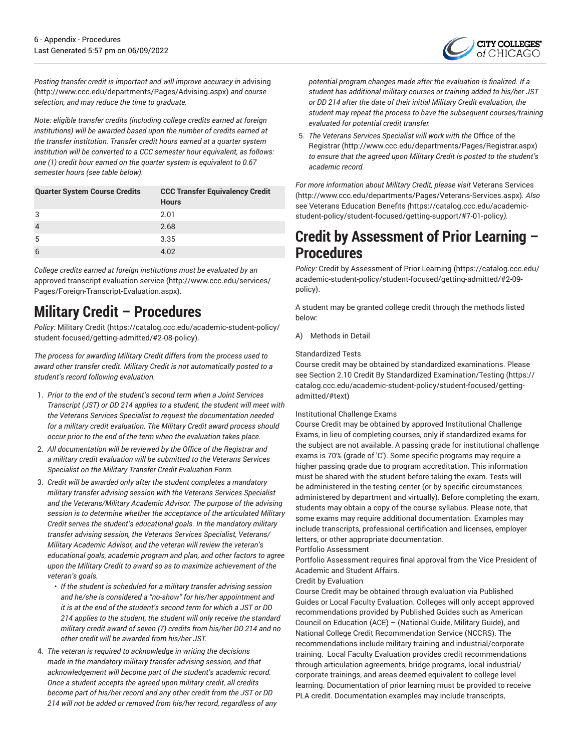

*Posting transfer credit is important and will improve accuracy in* [advising](http://www.ccc.edu/departments/Pages/Advising.aspx) (<http://www.ccc.edu/departments/Pages/Advising.aspx>) *and course selection, and may reduce the time to graduate.*

*Note: eligible transfer credits (including college credits earned at foreign institutions) will be awarded based upon the number of credits earned at the transfer institution. Transfer credit hours earned at a quarter system institution will be converted to a CCC semester hour equivalent, as follows: one (1) credit hour earned on the quarter system is equivalent to 0.67 semester hours (see table below).*

| <b>Quarter System Course Credits</b> | <b>CCC Transfer Equivalency Credit</b><br><b>Hours</b> |
|--------------------------------------|--------------------------------------------------------|
| 3                                    | 2.01                                                   |
|                                      | 2.68                                                   |
| 5                                    | 3.35                                                   |
|                                      | 4.02                                                   |

*College credits earned at foreign institutions must be evaluated by an* approved transcript [evaluation](http://www.ccc.edu/services/Pages/Foreign-Transcript-Evaluation.aspx) service ([http://www.ccc.edu/services/](http://www.ccc.edu/services/Pages/Foreign-Transcript-Evaluation.aspx) [Pages/Foreign-Transcript-Evaluation.aspx\)](http://www.ccc.edu/services/Pages/Foreign-Transcript-Evaluation.aspx).

# **Military Credit – Procedures**

*Policy:* [Military](https://catalog.ccc.edu/academic-student-policy/student-focused/getting-admitted/#2-08-policy) Credit ([https://catalog.ccc.edu/academic-student-policy/](https://catalog.ccc.edu/academic-student-policy/student-focused/getting-admitted/#2-08-policy) [student-focused/getting-admitted/#2-08-policy](https://catalog.ccc.edu/academic-student-policy/student-focused/getting-admitted/#2-08-policy)).

*The process for awarding Military Credit differs from the process used to award other transfer credit. Military Credit is not automatically posted to a student's record following evaluation.*

- 1. *Prior to the end of the student's second term when a Joint Services Transcript (JST) or DD 214 applies to a student, the student will meet with the Veterans Services Specialist to request the documentation needed for a military credit evaluation. The Military Credit award process should occur prior to the end of the term when the evaluation takes place.*
- 2. *All documentation will be reviewed by the Office of the Registrar and a military credit evaluation will be submitted to the Veterans Services Specialist on the Military Transfer Credit Evaluation Form.*
- 3. *Credit will be awarded only after the student completes a mandatory military transfer advising session with the Veterans Services Specialist and the Veterans/Military Academic Advisor. The purpose of the advising session is to determine whether the acceptance of the articulated Military Credit serves the student's educational goals. In the mandatory military transfer advising session, the Veterans Services Specialist, Veterans/ Military Academic Advisor, and the veteran will review the veteran's educational goals, academic program and plan, and other factors to agree upon the Military Credit to award so as to maximize achievement of the veteran's goals.*
	- *If the student is scheduled for a military transfer advising session and he/she is considered a "no-show" for his/her appointment and it is at the end of the student's second term for which a JST or DD 214 applies to the student, the student will only receive the standard military credit award of seven (7) credits from his/her DD 214 and no other credit will be awarded from his/her JST.*
- 4. *The veteran is required to acknowledge in writing the decisions made in the mandatory military transfer advising session, and that acknowledgement will become part of the student's academic record. Once a student accepts the agreed upon military credit, all credits become part of his/her record and any other credit from the JST or DD 214 will not be added or removed from his/her record, regardless of any*

*potential program changes made after the evaluation is finalized. If a student has additional military courses or training added to his/her JST or DD 214 after the date of their initial Military Credit evaluation, the student may repeat the process to have the subsequent courses/training evaluated for potential credit transfer.*

5. *The Veterans Services Specialist will work with the* [Office of the](http://www.ccc.edu/departments/Pages/Registrar.aspx) [Registrar](http://www.ccc.edu/departments/Pages/Registrar.aspx) ([http://www.ccc.edu/departments/Pages/Registrar.aspx\)](http://www.ccc.edu/departments/Pages/Registrar.aspx) *to ensure that the agreed upon Military Credit is posted to the student's academic record.*

*For more information about Military Credit, please visit* [Veterans](http://www.ccc.edu/departments/Pages/Veterans-Services.aspx) Services [\(http://www.ccc.edu/departments/Pages/Veterans-Services.aspx\)](http://www.ccc.edu/departments/Pages/Veterans-Services.aspx)*. Also* see Veterans [Education](https://catalog.ccc.edu/academic-student-policy/student-focused/getting-support/#7-01-policy) Benefits *(*[https://catalog.ccc.edu/academic](https://catalog.ccc.edu/academic-student-policy/student-focused/getting-support/#7-01-policy)[student-policy/student-focused/getting-support/#7-01-policy](https://catalog.ccc.edu/academic-student-policy/student-focused/getting-support/#7-01-policy)*).*

## **Credit by Assessment of Prior Learning – Procedures**

*Policy:* Credit by [Assessment](https://catalog.ccc.edu/academic-student-policy/student-focused/getting-admitted/#2-09-policy) of Prior Learning ([https://catalog.ccc.edu/](https://catalog.ccc.edu/academic-student-policy/student-focused/getting-admitted/#2-09-policy) [academic-student-policy/student-focused/getting-admitted/#2-09](https://catalog.ccc.edu/academic-student-policy/student-focused/getting-admitted/#2-09-policy) [policy\)](https://catalog.ccc.edu/academic-student-policy/student-focused/getting-admitted/#2-09-policy).

A student may be granted college credit through the methods listed below:

A) Methods in Detail

#### Standardized Tests

Course credit may be obtained by standardized examinations. Please see Section 2.10 Credit By Standardized [Examination/Testing \(https://](https://catalog.ccc.edu/academic-student-policy/student-focused/getting-admitted/#text) [catalog.ccc.edu/academic-student-policy/student-focused/getting](https://catalog.ccc.edu/academic-student-policy/student-focused/getting-admitted/#text)[admitted/#text\)](https://catalog.ccc.edu/academic-student-policy/student-focused/getting-admitted/#text)

#### Institutional Challenge Exams

Course Credit may be obtained by approved Institutional Challenge Exams, in lieu of completing courses, only if standardized exams for the subject are not available. A passing grade for institutional challenge exams is 70% (grade of 'C'). Some specific programs may require a higher passing grade due to program accreditation. This information must be shared with the student before taking the exam. Tests will be administered in the testing center (or by specific circumstances administered by department and virtually). Before completing the exam, students may obtain a copy of the course syllabus. Please note, that some exams may require additional documentation. Examples may include transcripts, professional certification and licenses, employer letters, or other appropriate documentation.

#### Portfolio Assessment

Portfolio Assessment requires final approval from the Vice President of Academic and Student Affairs.

#### Credit by Evaluation

Course Credit may be obtained through evaluation via Published Guides or Local Faculty Evaluation. Colleges will only accept approved recommendations provided by Published Guides such as American Council on Education (ACE) – (National Guide, Military Guide), and National College Credit Recommendation Service (NCCRS). The recommendations include military training and industrial/corporate training. Local Faculty Evaluation provides credit recommendations through articulation agreements, bridge programs, local industrial/ corporate trainings, and areas deemed equivalent to college level learning. Documentation of prior learning must be provided to receive PLA credit. Documentation examples may include transcripts,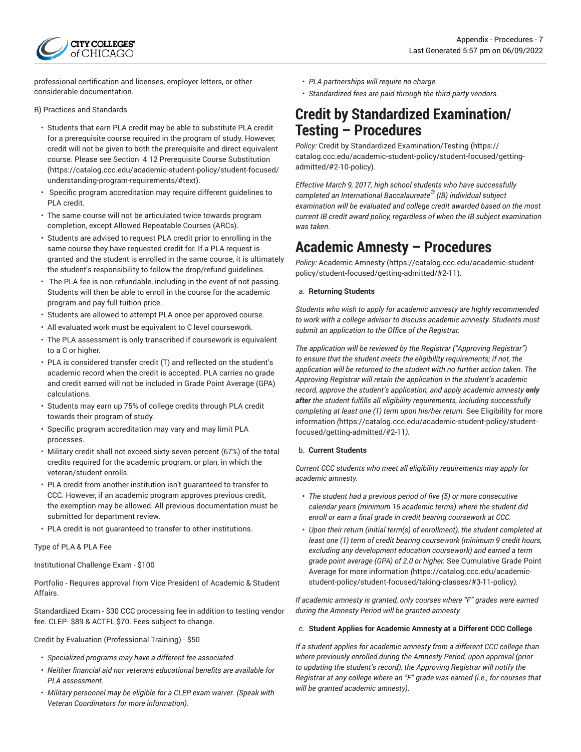

professional certification and licenses, employer letters, or other considerable documentation.

B) Practices and Standards

- Students that earn PLA credit may be able to substitute PLA credit for a prerequisite course required in the program of study. However, credit will not be given to both the prerequisite and direct equivalent course. Please see Section 4.12 Prerequisite Course [Substitution](https://catalog.ccc.edu/academic-student-policy/student-focused/understanding-program-requirements/#text) ([https://catalog.ccc.edu/academic-student-policy/student-focused/](https://catalog.ccc.edu/academic-student-policy/student-focused/understanding-program-requirements/#text) [understanding-program-requirements/#text\)](https://catalog.ccc.edu/academic-student-policy/student-focused/understanding-program-requirements/#text).
- Specific program accreditation may require different guidelines to PLA credit.
- The same course will not be articulated twice towards program completion, except Allowed Repeatable Courses (ARCs).
- Students are advised to request PLA credit prior to enrolling in the same course they have requested credit for. If a PLA request is granted and the student is enrolled in the same course, it is ultimately the student's responsibility to follow the drop/refund guidelines.
- The PLA fee is non-refundable, including in the event of not passing. Students will then be able to enroll in the course for the academic program and pay full tuition price.
- Students are allowed to attempt PLA once per approved course.
- All evaluated work must be equivalent to C level coursework.
- The PLA assessment is only transcribed if coursework is equivalent to a C or higher.
- PLA is considered transfer credit (T) and reflected on the student's academic record when the credit is accepted. PLA carries no grade and credit earned will not be included in Grade Point Average (GPA) calculations.
- Students may earn up 75% of college credits through PLA credit towards their program of study.
- Specific program accreditation may vary and may limit PLA processes.
- Military credit shall not exceed sixty-seven percent (67%) of the total credits required for the academic program, or plan, in which the veteran/student enrolls.
- PLA credit from another institution isn't guaranteed to transfer to CCC. However, if an academic program approves previous credit, the exemption may be allowed. All previous documentation must be submitted for department review.
- PLA credit is not guaranteed to transfer to other institutions.

#### Type of PLA & PLA Fee

Institutional Challenge Exam - \$100

Portfolio - Requires approval from Vice President of Academic & Student Affairs.

Standardized Exam - \$30 CCC processing fee in addition to testing vendor fee. CLEP- \$89 & ACTFL \$70. Fees subject to change.

Credit by Evaluation (Professional Training) - \$50

- *Specialized programs may have a different fee associated.*
- *Neither financial aid nor veterans educational benefits are available for PLA assessment.*
- *Military personnel may be eligible for a CLEP exam waiver. (Speak with Veteran Coordinators for more information).*
- *PLA partnerships will require no charge.*
- *Standardized fees are paid through the third-party vendors.*

## **Credit by Standardized Examination/ Testing – Procedures**

*Policy:* Credit by Standardized [Examination/Testing](https://catalog.ccc.edu/academic-student-policy/student-focused/getting-admitted/#2-10-policy) ([https://](https://catalog.ccc.edu/academic-student-policy/student-focused/getting-admitted/#2-10-policy) [catalog.ccc.edu/academic-student-policy/student-focused/getting](https://catalog.ccc.edu/academic-student-policy/student-focused/getting-admitted/#2-10-policy)[admitted/#2-10-policy](https://catalog.ccc.edu/academic-student-policy/student-focused/getting-admitted/#2-10-policy))*.*

*Effective March 9, 2017, high school students who have successfully completed an International Baccalaureate ® (IB) individual subject examination will be evaluated and college credit awarded based on the most current IB credit award policy, regardless of when the IB subject examination was taken.*

# **Academic Amnesty – Procedures**

*Policy:* [Academic Amnesty \(https://catalog.ccc.edu/academic-student](https://catalog.ccc.edu/academic-student-policy/student-focused/getting-admitted/#2-11)[policy/student-focused/getting-admitted/#2-11\)](https://catalog.ccc.edu/academic-student-policy/student-focused/getting-admitted/#2-11).

a. **Returning Students**

*Students who wish to apply for academic amnesty are highly recommended to work with a college advisor to discuss academic amnesty. Students must submit an application to the Office of the Registrar.*

*The application will be reviewed by the Registrar ("Approving Registrar") to ensure that the student meets the eligibility requirements; if not, the application will be returned to the student with no further action taken. The Approving Registrar will retain the application in the student's academic record, approve the student's application, and apply academic amnesty only after the student fulfills all eligibility requirements, including successfully completing at least one (1) term upon his/her return.* See [Eligibility](https://catalog.ccc.edu/academic-student-policy/student-focused/getting-admitted/#2-11) for more [information](https://catalog.ccc.edu/academic-student-policy/student-focused/getting-admitted/#2-11) *(*[https://catalog.ccc.edu/academic-student-policy/student](https://catalog.ccc.edu/academic-student-policy/student-focused/getting-admitted/#2-11)[focused/getting-admitted/#2-11](https://catalog.ccc.edu/academic-student-policy/student-focused/getting-admitted/#2-11)*).*

#### b. **Current Students**

*Current CCC students who meet all eligibility requirements may apply for academic amnesty.*

- *The student had a previous period of five (5) or more consecutive calendar years (minimum 15 academic terms) where the student did enroll or earn a final grade in credit bearing coursework at CCC.*
- *Upon their return (initial term(s) of enrollment), the student completed at least one (1) term of credit bearing coursework (minimum 9 credit hours, excluding any development education coursework) and earned a term grade point average (GPA) of 2.0 or higher.* See [Cumulative](https://catalog.ccc.edu/academic-student-policy/student-focused/taking-classes/#3-11-policy) Grade Point Average for more [information](https://catalog.ccc.edu/academic-student-policy/student-focused/taking-classes/#3-11-policy) *(*[https://catalog.ccc.edu/academic](https://catalog.ccc.edu/academic-student-policy/student-focused/taking-classes/#3-11-policy)[student-policy/student-focused/taking-classes/#3-11-policy](https://catalog.ccc.edu/academic-student-policy/student-focused/taking-classes/#3-11-policy)*).*

*If academic amnesty is granted, only courses where "F" grades were earned during the Amnesty Period will be granted amnesty.*

#### c. **Student Applies for Academic Amnesty at a Different CCC College**

*If a student applies for academic amnesty from a different CCC college than where previously enrolled during the Amnesty Period, upon approval (prior to updating the student's record), the Approving Registrar will notify the Registrar at any college where an "F" grade was earned (i.e., for courses that will be granted academic amnesty).*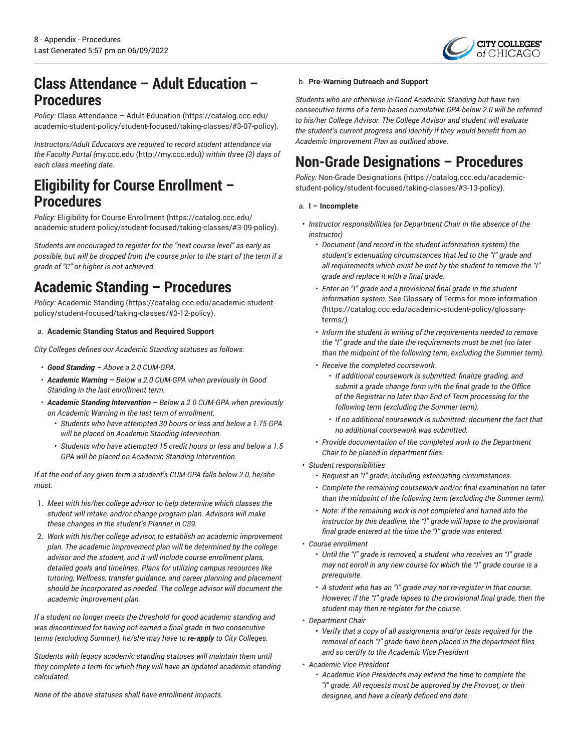

# **Class Attendance – Adult Education – Procedures**

*Policy:* Class [Attendance](https://catalog.ccc.edu/academic-student-policy/student-focused/taking-classes/#3-07-policy) – Adult Education [\(https://catalog.ccc.edu/](https://catalog.ccc.edu/academic-student-policy/student-focused/taking-classes/#3-07-policy) [academic-student-policy/student-focused/taking-classes/#3-07-policy](https://catalog.ccc.edu/academic-student-policy/student-focused/taking-classes/#3-07-policy)).

*Instructors/Adult Educators are required to record student attendance via the Faculty Portal (*[my.ccc.edu](http://my.ccc.edu) [\(http://my.ccc.edu\)](http://my.ccc.edu)*) within three (3) days of each class meeting date.*

# **Eligibility for Course Enrollment – Procedures**

*Policy:* Eligibility for Course [Enrollment](https://catalog.ccc.edu/academic-student-policy/student-focused/taking-classes/#3-09-policy) [\(https://catalog.ccc.edu/](https://catalog.ccc.edu/academic-student-policy/student-focused/taking-classes/#3-09-policy) [academic-student-policy/student-focused/taking-classes/#3-09-policy](https://catalog.ccc.edu/academic-student-policy/student-focused/taking-classes/#3-09-policy)).

*Students are encouraged to register for the "next course level" as early as possible, but will be dropped from the course prior to the start of the term if a grade of "C" or higher is not achieved.*

# **Academic Standing – Procedures**

*Policy:* [Academic Standing \(https://catalog.ccc.edu/academic-student](https://catalog.ccc.edu/academic-student-policy/student-focused/taking-classes/#3-12-policy)[policy/student-focused/taking-classes/#3-12-policy](https://catalog.ccc.edu/academic-student-policy/student-focused/taking-classes/#3-12-policy)).

#### a. **Academic Standing Status and Required Support**

*City Colleges defines our Academic Standing statuses as follows:*

- *Good Standing – Above a 2.0 CUM-GPA.*
- *Academic Warning – Below a 2.0 CUM-GPA when previously in Good Standing in the last enrollment term.*
- *Academic Standing Intervention – Below a 2.0 CUM-GPA when previously on Academic Warning in the last term of enrollment.*
	- *Students who have attempted 30 hours or less and below a 1.75 GPA will be placed on Academic Standing Intervention.*
	- *Students who have attempted 15 credit hours or less and below a 1.5 GPA will be placed on Academic Standing Intervention.*

*If at the end of any given term a student's CUM-GPA falls below 2.0, he/she must:*

- 1. *Meet with his/her college advisor to help determine which classes the student will retake, and/or change program plan. Advisors will make these changes in the student's Planner in CS9.*
- 2. *Work with his/her college advisor, to establish an academic improvement plan. The academic improvement plan will be determined by the college advisor and the student, and it will include course enrollment plans, detailed goals and timelines. Plans for utilizing campus resources like tutoring, Wellness, transfer guidance, and career planning and placement should be incorporated as needed. The college advisor will document the academic improvement plan.*

*If a student no longer meets the threshold for good academic standing and was discontinued for having not earned a final grade in two consecutive terms (excluding Summer), he/she may have to re-apply to City Colleges.*

*Students with legacy academic standing statuses will maintain them until they complete a term for which they will have an updated academic standing calculated.*

*None of the above statuses shall have enrollment impacts.*

#### b. **Pre-Warning Outreach and Support**

*Students who are otherwise in Good Academic Standing but have two consecutive terms of a term-based cumulative GPA below 2.0 will be referred to his/her College Advisor. The College Advisor and student will evaluate the student's current progress and identify if they would benefit from an Academic Improvement Plan as outlined above.*

# <span id="page-7-0"></span>**Non-Grade Designations – Procedures**

*Policy:* [Non-Grade Designations \(https://catalog.ccc.edu/academic](https://catalog.ccc.edu/academic-student-policy/student-focused/taking-classes/#3-13-policy)[student-policy/student-focused/taking-classes/#3-13-policy](https://catalog.ccc.edu/academic-student-policy/student-focused/taking-classes/#3-13-policy)).

#### a. **I – Incomplete**

- *Instructor responsibilities (or Department Chair in the absence of the instructor)*
	- *Document (and record in the student information system) the student's extenuating circumstances that led to the "I" grade and all requirements which must be met by the student to remove the "I" grade and replace it with a final grade.*
	- *Enter an "I" grade and a provisional final grade in the student information system.* See Glossary of Terms for more [information](https://catalog.ccc.edu/academic-student-policy/glossary-terms/) *(*[https://catalog.ccc.edu/academic-student-policy/glossary](https://catalog.ccc.edu/academic-student-policy/glossary-terms/)[terms/](https://catalog.ccc.edu/academic-student-policy/glossary-terms/)*).*
	- *Inform the student in writing of the requirements needed to remove the "I" grade and the date the requirements must be met (no later than the midpoint of the following term, excluding the Summer term).*
	- *Receive the completed coursework.*
		- *If additional coursework is submitted: finalize grading, and submit a grade change form with the final grade to the Office of the Registrar no later than End of Term processing for the following term (excluding the Summer term).*
		- *If no additional coursework is submitted: document the fact that no additional coursework was submitted.*
	- *Provide documentation of the completed work to the Department Chair to be placed in department files.*
- *Student responsibilities*
	- *Request an "I" grade, including extenuating circumstances.*
	- *Complete the remaining coursework and/or final examination no later than the midpoint of the following term (excluding the Summer term).*
	- *Note: if the remaining work is not completed and turned into the instructor by this deadline, the "I" grade will lapse to the provisional final grade entered at the time the "I" grade was entered.*
- *Course enrollment*
	- *Until the "I" grade is removed, a student who receives an "I" grade may not enroll in any new course for which the "I" grade course is a prerequisite.*
	- *A student who has an "I" grade may not re-register in that course. However, if the "I" grade lapses to the provisional final grade, then the student may then re-register for the course.*
- *Department Chair*
	- *Verify that a copy of all assignments and/or tests required for the removal of each "I" grade have been placed in the department files and so certify to the Academic Vice President*
- *Academic Vice President*
	- *Academic Vice Presidents may extend the time to complete the "I" grade. All requests must be approved by the Provost, or their designee, and have a clearly defined end date.*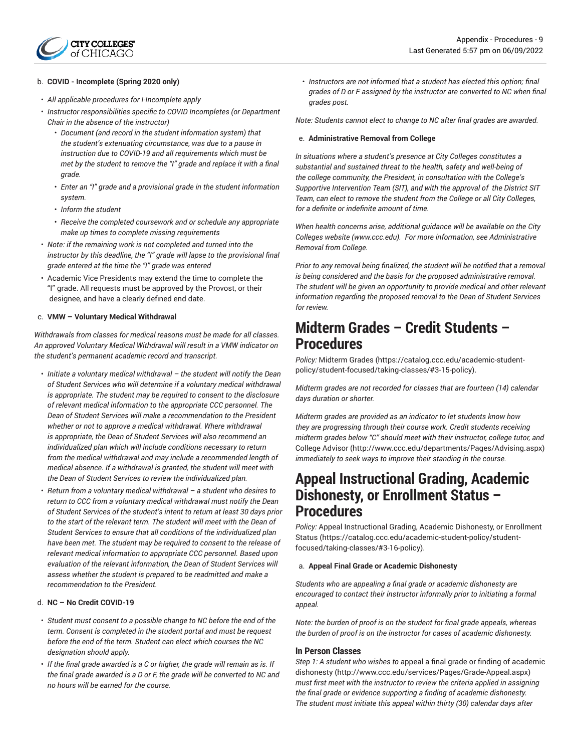

#### b. **COVID - Incomplete (Spring 2020 only)**

- *All applicable procedures for I-Incomplete apply*
- *Instructor responsibilities specific to COVID Incompletes (or Department Chair in the absence of the instructor)*
	- *Document (and record in the student information system) that the student's extenuating circumstance, was due to a pause in instruction due to COVID-19 and all requirements which must be met by the student to remove the "I" grade and replace it with a final grade.*
	- *Enter an "I" grade and a provisional grade in the student information system.*
	- *Inform the student*
	- *Receive the completed coursework and or schedule any appropriate make up times to complete missing requirements*
- *Note: if the remaining work is not completed and turned into the instructor by this deadline, the "I" grade will lapse to the provisional final grade entered at the time the "I" grade was entered*
- Academic Vice Presidents may extend the time to complete the "I" grade. All requests must be approved by the Provost, or their designee, and have a clearly defined end date.

#### c. **VMW – Voluntary Medical Withdrawal**

*Withdrawals from classes for medical reasons must be made for all classes. An approved Voluntary Medical Withdrawal will result in a VMW indicator on the student's permanent academic record and transcript.*

- *Initiate a voluntary medical withdrawal – the student will notify the Dean of Student Services who will determine if a voluntary medical withdrawal is appropriate. The student may be required to consent to the disclosure of relevant medical information to the appropriate CCC personnel. The Dean of Student Services will make a recommendation to the President whether or not to approve a medical withdrawal. Where withdrawal is appropriate, the Dean of Student Services will also recommend an individualized plan which will include conditions necessary to return from the medical withdrawal and may include a recommended length of medical absence. If a withdrawal is granted, the student will meet with the Dean of Student Services to review the individualized plan.*
- *Return from a voluntary medical withdrawal – a student who desires to return to CCC from a voluntary medical withdrawal must notify the Dean of Student Services of the student's intent to return at least 30 days prior to the start of the relevant term. The student will meet with the Dean of Student Services to ensure that all conditions of the individualized plan have been met. The student may be required to consent to the release of relevant medical information to appropriate CCC personnel. Based upon evaluation of the relevant information, the Dean of Student Services will assess whether the student is prepared to be readmitted and make a recommendation to the President.*

#### d. **NC – No Credit COVID-19**

- *Student must consent to a possible change to NC before the end of the term. Consent is completed in the student portal and must be request before the end of the term. Student can elect which courses the NC designation should apply.*
- *If the final grade awarded is a C or higher, the grade will remain as is. If the final grade awarded is a D or F, the grade will be converted to NC and no hours will be earned for the course.*

• *Instructors are not informed that a student has elected this option; final grades of D or F assigned by the instructor are converted to NC when final grades post.*

*Note: Students cannot elect to change to NC after final grades are awarded.*

#### e. **Administrative Removal from College**

*In situations where a student's presence at City Colleges constitutes a substantial and sustained threat to the health, safety and well-being of the college community, the President, in consultation with the College's Supportive Intervention Team (SIT), and with the approval of the District SIT Team, can elect to remove the student from the College or all City Colleges, for a definite or indefinite amount of time.*

*When health concerns arise, additional guidance will be available on the City Colleges website (www.ccc.edu). For more information, see Administrative Removal from College.*

*Prior to any removal being finalized, the student will be notified that a removal is being considered and the basis for the proposed administrative removal. The student will be given an opportunity to provide medical and other relevant information regarding the proposed removal to the Dean of Student Services for review.*

# **Midterm Grades – Credit Students – Procedures**

*Policy:* [Midterm Grades \(https://catalog.ccc.edu/academic-student](https://catalog.ccc.edu/academic-student-policy/student-focused/taking-classes/#3-15-policy)[policy/student-focused/taking-classes/#3-15-policy\)](https://catalog.ccc.edu/academic-student-policy/student-focused/taking-classes/#3-15-policy).

*Midterm grades are not recorded for classes that are fourteen (14) calendar days duration or shorter.*

*Midterm grades are provided as an indicator to let students know how they are progressing through their course work. Credit students receiving midterm grades below "C" should meet with their instructor, college tutor, and* [College Advisor](http://www.ccc.edu/departments/Pages/Advising.aspx) ([http://www.ccc.edu/departments/Pages/Advising.aspx\)](http://www.ccc.edu/departments/Pages/Advising.aspx) *immediately to seek ways to improve their standing in the course.*

## **Appeal Instructional Grading, Academic Dishonesty, or Enrollment Status – Procedures**

*Policy:* Appeal [Instructional](https://catalog.ccc.edu/academic-student-policy/student-focused/taking-classes/#3-16-policy) Grading, Academic Dishonesty, or Enrollment [Status](https://catalog.ccc.edu/academic-student-policy/student-focused/taking-classes/#3-16-policy) ([https://catalog.ccc.edu/academic-student-policy/student](https://catalog.ccc.edu/academic-student-policy/student-focused/taking-classes/#3-16-policy)[focused/taking-classes/#3-16-policy](https://catalog.ccc.edu/academic-student-policy/student-focused/taking-classes/#3-16-policy)).

#### a. **Appeal Final Grade or Academic Dishonesty**

*Students who are appealing a final grade or academic dishonesty are encouraged to contact their instructor informally prior to initiating a formal appeal.*

*Note: the burden of proof is on the student for final grade appeals, whereas the burden of proof is on the instructor for cases of academic dishonesty.*

#### **In Person Classes**

*Step 1: A student who wishes to* [appeal a final grade or finding of academic](http://www.ccc.edu/services/Pages/Grade-Appeal.aspx) [dishonesty](http://www.ccc.edu/services/Pages/Grade-Appeal.aspx) ([http://www.ccc.edu/services/Pages/Grade-Appeal.aspx\)](http://www.ccc.edu/services/Pages/Grade-Appeal.aspx) *must first meet with the instructor to review the criteria applied in assigning the final grade or evidence supporting a finding of academic dishonesty. The student must initiate this appeal within thirty (30) calendar days after*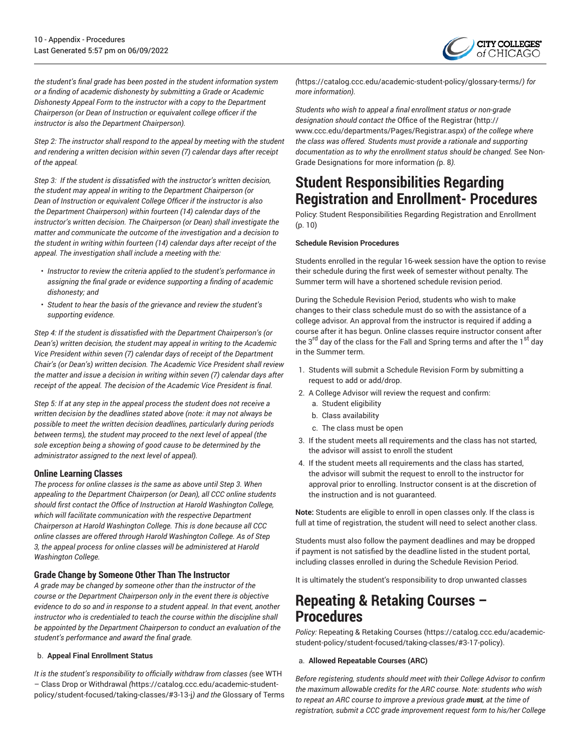

*the student's final grade has been posted in the student information system or a finding of academic dishonesty by submitting a Grade or Academic Dishonesty Appeal Form to the instructor with a copy to the Department Chairperson (or Dean of Instruction or equivalent college officer if the instructor is also the Department Chairperson).*

*Step 2: The instructor shall respond to the appeal by meeting with the student and rendering a written decision within seven (7) calendar days after receipt of the appeal.*

*Step 3: If the student is dissatisfied with the instructor's written decision, the student may appeal in writing to the Department Chairperson (or Dean of Instruction or equivalent College Officer if the instructor is also the Department Chairperson) within fourteen (14) calendar days of the instructor's written decision. The Chairperson (or Dean) shall investigate the matter and communicate the outcome of the investigation and a decision to the student in writing within fourteen (14) calendar days after receipt of the appeal. The investigation shall include a meeting with the:*

- *Instructor to review the criteria applied to the student's performance in assigning the final grade or evidence supporting a finding of academic dishonesty; and*
- *Student to hear the basis of the grievance and review the student's supporting evidence.*

*Step 4: If the student is dissatisfied with the Department Chairperson's (or Dean's) written decision, the student may appeal in writing to the Academic Vice President within seven (7) calendar days of receipt of the Department Chair's (or Dean's) written decision. The Academic Vice President shall review the matter and issue a decision in writing within seven (7) calendar days after receipt of the appeal. The decision of the Academic Vice President is final.*

*Step 5: If at any step in the appeal process the student does not receive a written decision by the deadlines stated above (note: it may not always be possible to meet the written decision deadlines, particularly during periods between terms), the student may proceed to the next level of appeal (the sole exception being a showing of good cause to be determined by the administrator assigned to the next level of appeal).*

#### **Online Learning Classes**

*The process for online classes is the same as above until Step 3. When appealing to the Department Chairperson (or Dean), all CCC online students should first contact the Office of Instruction at Harold Washington College, which will facilitate communication with the respective Department Chairperson at Harold Washington College. This is done because all CCC online classes are offered through Harold Washington College. As of Step 3, the appeal process for online classes will be administered at Harold Washington College.*

#### **Grade Change by Someone Other Than The Instructor**

*A grade may be changed by someone other than the instructor of the course or the Department Chairperson only in the event there is objective evidence to do so and in response to a student appeal. In that event, another instructor who is credentialed to teach the course within the discipline shall be appointed by the Department Chairperson to conduct an evaluation of the student's performance and award the final grade.*

#### b. **Appeal Final Enrollment Status**

*It is the student's responsibility to officially withdraw from classes (*see [WTH](https://catalog.ccc.edu/academic-student-policy/student-focused/taking-classes/#3-13-j) – Class Drop or [Withdrawal](https://catalog.ccc.edu/academic-student-policy/student-focused/taking-classes/#3-13-j) *(*[https://catalog.ccc.edu/academic-student](https://catalog.ccc.edu/academic-student-policy/student-focused/taking-classes/#3-13-j)[policy/student-focused/taking-classes/#3-13-j](https://catalog.ccc.edu/academic-student-policy/student-focused/taking-classes/#3-13-j)*) and the* [Glossary](https://catalog.ccc.edu/academic-student-policy/glossary-terms/) of Terms

*(*<https://catalog.ccc.edu/academic-student-policy/glossary-terms/>*) for more information).*

*Students who wish to appeal a final enrollment status or non-grade designation should contact the* [Office of the Registrar \(http://](http://www.ccc.edu/departments/Pages/Registrar.aspx) [www.ccc.edu/departments/Pages/Registrar.aspx](http://www.ccc.edu/departments/Pages/Registrar.aspx)) *of the college where the class was offered. Students must provide a rationale and supporting documentation as to why the enrollment status should be changed.* [See Non-](#page-7-0)Grade [Designations](#page-7-0) for more information *(*[p. 8](#page-7-0)*).*

# <span id="page-9-0"></span>**Student Responsibilities Regarding Registration and Enrollment- Procedures**

Policy: Student [Responsibilities](#page-9-0) Regarding Registration and Enrollment [\(p. 10\)](#page-9-0)

#### **Schedule Revision Procedures**

Students enrolled in the regular 16-week session have the option to revise their schedule during the first week of semester without penalty. The Summer term will have a shortened schedule revision period.

During the Schedule Revision Period, students who wish to make changes to their class schedule must do so with the assistance of a college advisor. An approval from the instructor is required if adding a course after it has begun. Online classes require instructor consent after the 3<sup>rd</sup> day of the class for the Fall and Spring terms and after the 1<sup>st</sup> day in the Summer term.

- 1. Students will submit a Schedule Revision Form by submitting a request to add or add/drop.
- 2. A College Advisor will review the request and confirm: a. Student eligibility
	- b. Class availability
	- c. The class must be open
- 3. If the student meets all requirements and the class has not started, the advisor will assist to enroll the student
- 4. If the student meets all requirements and the class has started, the advisor will submit the request to enroll to the instructor for approval prior to enrolling. Instructor consent is at the discretion of the instruction and is not guaranteed.

**Note:** Students are eligible to enroll in open classes only. If the class is full at time of registration, the student will need to select another class.

Students must also follow the payment deadlines and may be dropped if payment is not satisfied by the deadline listed in the student portal, including classes enrolled in during the Schedule Revision Period.

It is ultimately the student's responsibility to drop unwanted classes

## **Repeating & Retaking Courses – Procedures**

*Policy:* [Repeating & Retaking Courses \(https://catalog.ccc.edu/academic](https://catalog.ccc.edu/academic-student-policy/student-focused/taking-classes/#3-17-policy)[student-policy/student-focused/taking-classes/#3-17-policy](https://catalog.ccc.edu/academic-student-policy/student-focused/taking-classes/#3-17-policy)).

#### a. **Allowed Repeatable Courses (ARC)**

*Before registering, students should meet with their College Advisor to confirm the maximum allowable credits for the ARC course. Note: students who wish to repeat an ARC course to improve a previous grade must, at the time of registration, submit a CCC grade improvement request form to his/her College*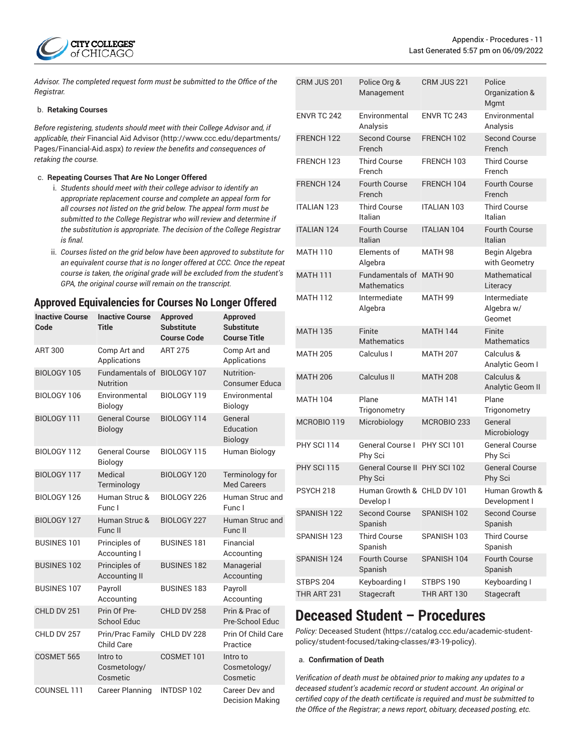

*Advisor. The completed request form must be submitted to the Office of the Registrar.*

#### b. **Retaking Courses**

*Before registering, students should meet with their College Advisor and, if applicable, their* [Financial Aid Advisor](http://www.ccc.edu/departments/Pages/Financial-Aid.aspx) [\(http://www.ccc.edu/departments/](http://www.ccc.edu/departments/Pages/Financial-Aid.aspx) [Pages/Financial-Aid.aspx\)](http://www.ccc.edu/departments/Pages/Financial-Aid.aspx) *to review the benefits and consequences of retaking the course.*

#### c. **Repeating Courses That Are No Longer Offered**

- i. *Students should meet with their college advisor to identify an appropriate replacement course and complete an appeal form for all courses not listed on the grid below. The appeal form must be submitted to the College Registrar who will review and determine if the substitution is appropriate. The decision of the College Registrar is final.*
- ii. *Courses listed on the grid below have been approved to substitute for an equivalent course that is no longer offered at CCC. Once the repeat course is taken, the original grade will be excluded from the student's GPA, the original course will remain on the transcript.*

### **Approved Equivalencies for Courses No Longer Offered**

| <b>Inactive Course</b><br>Code | <b>Inactive Course</b><br><b>Title</b>  | <b>Approved</b><br><b>Substitute</b><br><b>Course Code</b> | <b>Approved</b><br><b>Substitute</b><br><b>Course Title</b> |
|--------------------------------|-----------------------------------------|------------------------------------------------------------|-------------------------------------------------------------|
| <b>ART 300</b>                 | Comp Art and<br>Applications            | <b>ART 275</b>                                             | Comp Art and<br>Applications                                |
| <b>BIOLOGY 105</b>             | Fundamentals of<br><b>Nutrition</b>     | BIOLOGY 107                                                | Nutrition-<br><b>Consumer Educa</b>                         |
| BIOLOGY 106                    | Environmental<br>Biology                | BIOLOGY 119                                                | Environmental<br>Biology                                    |
| BIOLOGY 111                    | <b>General Course</b><br><b>Biology</b> | BIOLOGY 114                                                | General<br>Education<br><b>Biology</b>                      |
| BIOLOGY 112                    | <b>General Course</b><br>Biology        | BIOLOGY 115                                                | <b>Human Biology</b>                                        |
| <b>BIOLOGY 117</b>             | Medical<br>Terminology                  | BIOLOGY 120                                                | Terminology for<br><b>Med Careers</b>                       |
| BIOLOGY 126                    | Human Struc &<br>Func I                 | BIOLOGY 226                                                | Human Struc and<br>Func I                                   |
| BIOLOGY 127                    | Human Struc &<br>Func II                | BIOLOGY 227                                                | Human Struc and<br>Func II                                  |
| <b>BUSINES 101</b>             | Principles of<br>Accounting I           | <b>BUSINES 181</b>                                         | Financial<br>Accounting                                     |
| <b>BUSINES 102</b>             | Principles of<br><b>Accounting II</b>   | <b>BUSINES 182</b>                                         | Managerial<br>Accounting                                    |
| <b>BUSINES 107</b>             | Payroll<br>Accounting                   | <b>BUSINES 183</b>                                         | Payroll<br>Accounting                                       |
| CHLD DV 251                    | Prin Of Pre-<br><b>School Educ</b>      | CHLD DV 258                                                | Prin & Prac of<br>Pre-School Educ                           |
| CHLD DV 257                    | Prin/Prac Family<br>Child Care          | CHLD DV 228                                                | Prin Of Child Care<br>Practice                              |
| COSMET 565                     | Intro to<br>Cosmetology/<br>Cosmetic    | COSMET 101                                                 | Intro to<br>Cosmetology/<br>Cosmetic                        |
| COUNSEL 111                    | Career Planning                         | INTDSP 102                                                 | Career Dev and<br><b>Decision Making</b>                    |

| CRM JUS 201            | Police Org &<br>Management                           | CRM JUS 221        | Police<br>Organization &<br>Mgmt     |
|------------------------|------------------------------------------------------|--------------------|--------------------------------------|
| ENVR TC 242            | Environmental<br>Analysis                            | ENVR TC 243        | Environmental<br>Analysis            |
| FRENCH 122             | <b>Second Course</b><br>French                       | FRENCH 102         | <b>Second Course</b><br>French       |
| FRENCH 123             | <b>Third Course</b><br>French                        | FRENCH 103         | <b>Third Course</b><br>French        |
| FRENCH 124             | Fourth Course<br>French                              | FRENCH 104         | <b>Fourth Course</b><br>French       |
| <b>ITALIAN 123</b>     | <b>Third Course</b><br>Italian                       | <b>ITALIAN 103</b> | <b>Third Course</b><br>Italian       |
| <b>ITALIAN 124</b>     | <b>Fourth Course</b><br>Italian                      | <b>ITALIAN 104</b> | <b>Fourth Course</b><br>Italian      |
| <b>MATH 110</b>        | Elements of<br>Algebra                               | <b>MATH 98</b>     | Begin Algebra<br>with Geometry       |
| <b>MATH 111</b>        | <b>Fundamentals of MATH 90</b><br><b>Mathematics</b> |                    | Mathematical<br>Literacy             |
| <b>MATH 112</b>        | Intermediate<br>Algebra                              | <b>MATH 99</b>     | Intermediate<br>Algebra w/<br>Geomet |
| <b>MATH 135</b>        | Finite<br><b>Mathematics</b>                         | <b>MATH 144</b>    | Finite<br><b>Mathematics</b>         |
| <b>MATH 205</b>        | Calculus I                                           | <b>MATH 207</b>    | Calculus &<br>Analytic Geom I        |
| <b>MATH 206</b>        | Calculus II                                          | <b>MATH 208</b>    | Calculus &<br>Analytic Geom II       |
| <b>MATH 104</b>        | Plane<br>Trigonometry                                | <b>MATH 141</b>    | Plane<br>Trigonometry                |
| MCROBIO 119            | Microbiology                                         | MCROBIO 233        | General<br>Microbiology              |
| PHY SCI 114            | General Course I<br>Phy Sci                          | PHY SCI 101        | <b>General Course</b><br>Phy Sci     |
| PHY SCI 115            | General Course II PHY SCI 102<br>Phy Sci             |                    | <b>General Course</b><br>Phy Sci     |
| <b>PSYCH 218</b>       | Human Growth & CHLD DV 101<br>Develop I              |                    | Human Growth &<br>Development I      |
| SPANISH <sub>122</sub> | <b>Second Course</b><br>Spanish                      | SPANISH 102        | <b>Second Course</b><br>Spanish      |
| SPANISH 123            | <b>Third Course</b><br>Spanish                       | SPANISH 103        | <b>Third Course</b><br>Spanish       |
| SPANISH 124            | <b>Fourth Course</b><br>Spanish                      | SPANISH 104        | <b>Fourth Course</b><br>Spanish      |
| STBPS 204              | Keyboarding I                                        | STBPS 190          | Keyboarding I                        |
| THR ART 231            | Stagecraft                                           | THR ART 130        | Stagecraft                           |

## **Deceased Student – Procedures**

*Policy:* [Deceased Student \(https://catalog.ccc.edu/academic-student](https://catalog.ccc.edu/academic-student-policy/student-focused/taking-classes/#3-19-policy)[policy/student-focused/taking-classes/#3-19-policy\)](https://catalog.ccc.edu/academic-student-policy/student-focused/taking-classes/#3-19-policy).

#### a. **Confirmation of Death**

*Verification of death must be obtained prior to making any updates to a deceased student's academic record or student account. An original or certified copy of the death certificate is required and must be submitted to the Office of the Registrar; a news report, obituary, deceased posting, etc.*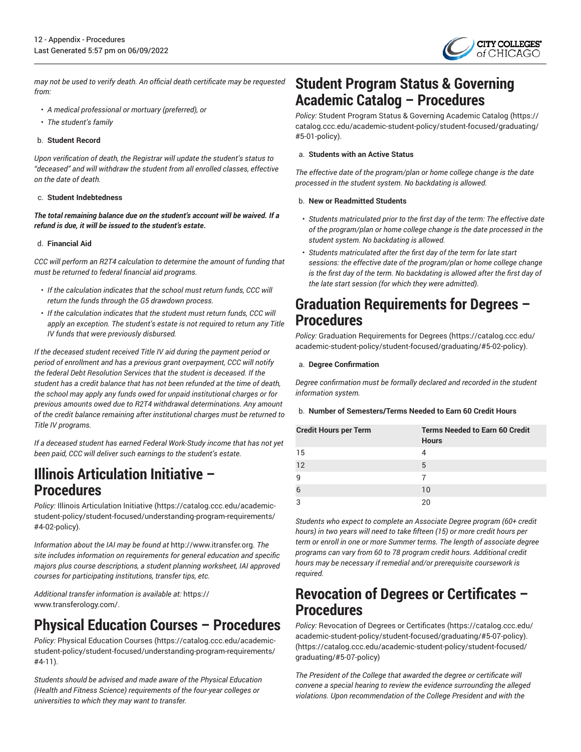

*may not be used to verify death. An official death certificate may be requested from:*

- *A medical professional or mortuary (preferred), or*
- *The student's family*

#### b. **Student Record**

*Upon verification of death, the Registrar will update the student's status to "deceased" and will withdraw the student from all enrolled classes, effective on the date of death.*

#### c. **Student Indebtedness**

*The total remaining balance due on the student's account will be waived. If a refund is due, it will be issued to the student's estate***.**

#### d. **Financial Aid**

*CCC will perform an R2T4 calculation to determine the amount of funding that must be returned to federal financial aid programs.*

- *If the calculation indicates that the school must return funds, CCC will return the funds through the G5 drawdown process.*
- *If the calculation indicates that the student must return funds, CCC will apply an exception. The student's estate is not required to return any Title IV funds that were previously disbursed.*

*If the deceased student received Title IV aid during the payment period or period of enrollment and has a previous grant overpayment, CCC will notify the federal Debt Resolution Services that the student is deceased. If the student has a credit balance that has not been refunded at the time of death, the school may apply any funds owed for unpaid institutional charges or for previous amounts owed due to R2T4 withdrawal determinations. Any amount of the credit balance remaining after institutional charges must be returned to Title IV programs.*

*If a deceased student has earned Federal Work-Study income that has not yet been paid, CCC will deliver such earnings to the student's estate.*

# **Illinois Articulation Initiative – Procedures**

*Policy:* Illinois [Articulation](https://catalog.ccc.edu/academic-student-policy/student-focused/understanding-program-requirements/#4-02-policy) Initiative ([https://catalog.ccc.edu/academic](https://catalog.ccc.edu/academic-student-policy/student-focused/understanding-program-requirements/#4-02-policy)[student-policy/student-focused/understanding-program-requirements/](https://catalog.ccc.edu/academic-student-policy/student-focused/understanding-program-requirements/#4-02-policy) [#4-02-policy](https://catalog.ccc.edu/academic-student-policy/student-focused/understanding-program-requirements/#4-02-policy)).

*Information about the IAI may be found at* [http://www.itransfer.org.](http://www.itransfer.org) *The site includes information on requirements for general education and specific majors plus course descriptions, a student planning worksheet, IAI approved courses for participating institutions, transfer tips, etc.*

*Additional transfer information is available at:* [https://](https://www.transferology.com/) [www.transferology.com/](https://www.transferology.com/).

# **Physical Education Courses – Procedures**

*Policy:* Physical [Education](https://catalog.ccc.edu/academic-student-policy/student-focused/understanding-program-requirements/#4-11) Courses [\(https://catalog.ccc.edu/academic](https://catalog.ccc.edu/academic-student-policy/student-focused/understanding-program-requirements/#4-11)[student-policy/student-focused/understanding-program-requirements/](https://catalog.ccc.edu/academic-student-policy/student-focused/understanding-program-requirements/#4-11) [#4-11\)](https://catalog.ccc.edu/academic-student-policy/student-focused/understanding-program-requirements/#4-11).

*Students should be advised and made aware of the Physical Education (Health and Fitness Science) requirements of the four-year colleges or universities to which they may want to transfer.*

# **Student Program Status & Governing Academic Catalog – Procedures**

*Policy:* Student Program Status & [Governing](https://catalog.ccc.edu/academic-student-policy/student-focused/graduating/#5-01-policy) Academic Catalog ([https://](https://catalog.ccc.edu/academic-student-policy/student-focused/graduating/#5-01-policy) [catalog.ccc.edu/academic-student-policy/student-focused/graduating/](https://catalog.ccc.edu/academic-student-policy/student-focused/graduating/#5-01-policy) [#5-01-policy\)](https://catalog.ccc.edu/academic-student-policy/student-focused/graduating/#5-01-policy).

#### a. **Students with an Active Status**

*The effective date of the program/plan or home college change is the date processed in the student system. No backdating is allowed.*

#### b. **New or Readmitted Students**

- *Students matriculated prior to the first day of the term: The effective date of the program/plan or home college change is the date processed in the student system. No backdating is allowed.*
- *Students matriculated after the first day of the term for late start sessions: the effective date of the program/plan or home college change is the first day of the term. No backdating is allowed after the first day of the late start session (for which they were admitted).*

## **Graduation Requirements for Degrees – Procedures**

*Policy:* Graduation [Requirements](https://catalog.ccc.edu/academic-student-policy/student-focused/graduating/#5-02-policy) for Degrees [\(https://catalog.ccc.edu/](https://catalog.ccc.edu/academic-student-policy/student-focused/graduating/#5-02-policy) [academic-student-policy/student-focused/graduating/#5-02-policy\)](https://catalog.ccc.edu/academic-student-policy/student-focused/graduating/#5-02-policy).

#### a. **Degree Confirmation**

*Degree confirmation must be formally declared and recorded in the student information system.*

#### b. **Number of Semesters/Terms Needed to Earn 60 Credit Hours**

| <b>Credit Hours per Term</b> | <b>Terms Needed to Earn 60 Credit</b><br><b>Hours</b> |
|------------------------------|-------------------------------------------------------|
| 15                           | Δ                                                     |
| 12                           | 5                                                     |
| q                            |                                                       |
|                              | 10                                                    |
| ੨                            |                                                       |

*Students who expect to complete an Associate Degree program (60+ credit hours) in two years will need to take fifteen (15) or more credit hours per term or enroll in one or more Summer terms. The length of associate degree programs can vary from 60 to 78 program credit hours. Additional credit hours may be necessary if remedial and/or prerequisite coursework is required.*

## **Revocation of Degrees or Certificates – Procedures**

*Policy:* Revocation of Degrees or [Certificates](https://catalog.ccc.edu/academic-student-policy/student-focused/graduating/#5-07-policy) [\(https://catalog.ccc.edu/](https://catalog.ccc.edu/academic-student-policy/student-focused/graduating/#5-07-policy) [academic-student-policy/student-focused/graduating/#5-07-policy\).](https://catalog.ccc.edu/academic-student-policy/student-focused/graduating/#5-07-policy) [\(https://catalog.ccc.edu/academic-student-policy/student-focused/](https://catalog.ccc.edu/academic-student-policy/student-focused/graduating/#5-07-policy) [graduating/#5-07-policy\)](https://catalog.ccc.edu/academic-student-policy/student-focused/graduating/#5-07-policy)

*The President of the College that awarded the degree or certificate will convene a special hearing to review the evidence surrounding the alleged violations. Upon recommendation of the College President and with the*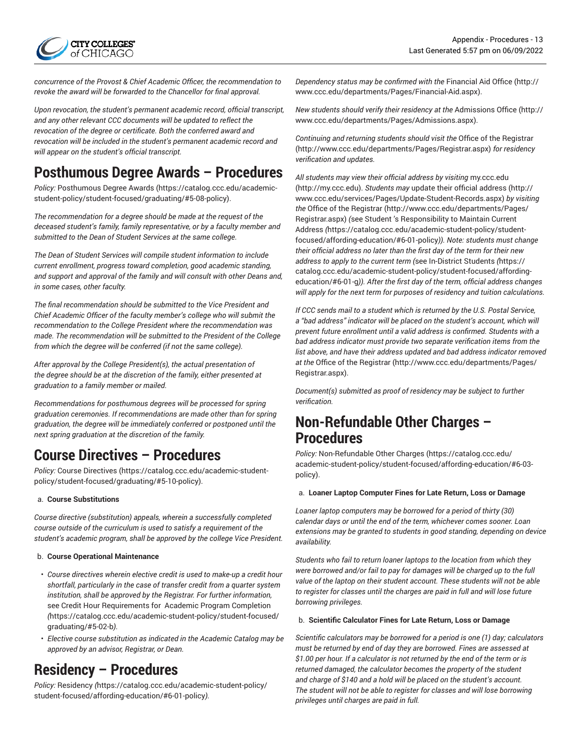

*concurrence of the Provost & Chief Academic Officer, the recommendation to revoke the award will be forwarded to the Chancellor for final approval.*

*Upon revocation, the student's permanent academic record, official transcript, and any other relevant CCC documents will be updated to reflect the revocation of the degree or certificate. Both the conferred award and revocation will be included in the student's permanent academic record and will appear on the student's official transcript.*

# **Posthumous Degree Awards – Procedures**

*Policy:* [Posthumous](https://catalog.ccc.edu/academic-student-policy/student-focused/graduating/#5-08-policy) Degree Awards [\(https://catalog.ccc.edu/academic](https://catalog.ccc.edu/academic-student-policy/student-focused/graduating/#5-08-policy)[student-policy/student-focused/graduating/#5-08-policy](https://catalog.ccc.edu/academic-student-policy/student-focused/graduating/#5-08-policy)).

*The recommendation for a degree should be made at the request of the deceased student's family, family representative, or by a faculty member and submitted to the Dean of Student Services at the same college.*

*The Dean of Student Services will compile student information to include current enrollment, progress toward completion, good academic standing, and support and approval of the family and will consult with other Deans and, in some cases, other faculty.*

*The final recommendation should be submitted to the Vice President and Chief Academic Officer of the faculty member's college who will submit the recommendation to the College President where the recommendation was made. The recommendation will be submitted to the President of the College from which the degree will be conferred (if not the same college).*

*After approval by the College President(s), the actual presentation of the degree should be at the discretion of the family, either presented at graduation to a family member or mailed.*

*Recommendations for posthumous degrees will be processed for spring graduation ceremonies. If recommendations are made other than for spring graduation, the degree will be immediately conferred or postponed until the next spring graduation at the discretion of the family.*

# **Course Directives – Procedures**

*Policy:* Course [Directives](https://catalog.ccc.edu/academic-student-policy/student-focused/graduating/#5-10-policy) [\(https://catalog.ccc.edu/academic-student](https://catalog.ccc.edu/academic-student-policy/student-focused/graduating/#5-10-policy)[policy/student-focused/graduating/#5-10-policy](https://catalog.ccc.edu/academic-student-policy/student-focused/graduating/#5-10-policy)).

#### a. **Course Substitutions**

*Course directive (substitution) appeals, wherein a successfully completed course outside of the curriculum is used to satisfy a requirement of the student's academic program, shall be approved by the college Vice President.*

#### b. **Course Operational Maintenance**

- *Course directives wherein elective credit is used to make-up a credit hour shortfall, particularly in the case of transfer credit from a quarter system institution, shall be approved by the Registrar. For further information,* see Credit Hour [Requirements](https://catalog.ccc.edu/academic-student-policy/student-focused/graduating/#5-02-b) for Academic Program Completion *(*[https://catalog.ccc.edu/academic-student-policy/student-focused/](https://catalog.ccc.edu/academic-student-policy/student-focused/graduating/#5-02-b) [graduating/#5-02-b](https://catalog.ccc.edu/academic-student-policy/student-focused/graduating/#5-02-b)*).*
- *Elective course substitution as indicated in the Academic Catalog may be approved by an advisor, Registrar, or Dean.*

# **Residency – Procedures**

*Policy:* [Residency](https://catalog.ccc.edu/academic-student-policy/student-focused/affording-education/#6-01-policy) *(*[https://catalog.ccc.edu/academic-student-policy/](https://catalog.ccc.edu/academic-student-policy/student-focused/affording-education/#6-01-policy) [student-focused/affording-education/#6-01-policy](https://catalog.ccc.edu/academic-student-policy/student-focused/affording-education/#6-01-policy)*).*

*Dependency status may be confirmed with the* [Financial Aid Office](http://www.ccc.edu/departments/Pages/Financial-Aid.aspx) ([http://](http://www.ccc.edu/departments/Pages/Financial-Aid.aspx) [www.ccc.edu/departments/Pages/Financial-Aid.aspx\)](http://www.ccc.edu/departments/Pages/Financial-Aid.aspx).

*New students should verify their residency at the* [Admissions Office \(http://](http://www.ccc.edu/departments/Pages/Admissions.aspx) [www.ccc.edu/departments/Pages/Admissions.aspx](http://www.ccc.edu/departments/Pages/Admissions.aspx)).

*Continuing and returning students should visit the* [Office of the Registrar](http://www.ccc.edu/departments/Pages/Registrar.aspx) [\(http://www.ccc.edu/departments/Pages/Registrar.aspx](http://www.ccc.edu/departments/Pages/Registrar.aspx)) *for residency verification and updates.*

*All students may view their official address by visiting* [my.ccc.edu](http://my.ccc.edu) [\(http://my.ccc.edu\)](http://my.ccc.edu). *Students may* update their official [address](http://www.ccc.edu/services/Pages/Update-Student-Records.aspx) ([http://](http://www.ccc.edu/services/Pages/Update-Student-Records.aspx) [www.ccc.edu/services/Pages/Update-Student-Records.aspx](http://www.ccc.edu/services/Pages/Update-Student-Records.aspx)) *by visiting the* [Office of the Registrar](http://www.ccc.edu/departments/Pages/Registrar.aspx) ([http://www.ccc.edu/departments/Pages/](http://www.ccc.edu/departments/Pages/Registrar.aspx) [Registrar.aspx\)](http://www.ccc.edu/departments/Pages/Registrar.aspx) *(*see Student 's [Responsibility](https://catalog.ccc.edu/academic-student-policy/student-focused/affording-education/#6-01-policy) to Maintain Current [Address](https://catalog.ccc.edu/academic-student-policy/student-focused/affording-education/#6-01-policy) *(*[https://catalog.ccc.edu/academic-student-policy/student](https://catalog.ccc.edu/academic-student-policy/student-focused/affording-education/#6-01-policy)[focused/affording-education/#6-01-policy](https://catalog.ccc.edu/academic-student-policy/student-focused/affording-education/#6-01-policy)*)). Note: students must change their official address no later than the first day of the term for their new address to apply to the current term (*[see In-District Students](https://catalog.ccc.edu/academic-student-policy/student-focused/affording-education/#6-01-g) *(*[https://](https://catalog.ccc.edu/academic-student-policy/student-focused/affording-education/#6-01-g) [catalog.ccc.edu/academic-student-policy/student-focused/affording](https://catalog.ccc.edu/academic-student-policy/student-focused/affording-education/#6-01-g)[education/#6-01-g](https://catalog.ccc.edu/academic-student-policy/student-focused/affording-education/#6-01-g)*)). After the first day of the term, official address changes will apply for the next term for purposes of residency and tuition calculations.*

*If CCC sends mail to a student which is returned by the U.S. Postal Service, a "bad address" indicator will be placed on the student's account, which will prevent future enrollment until a valid address is confirmed. Students with a bad address indicator must provide two separate verification items from the list above, and have their address updated and bad address indicator removed at the* [Office of the Registrar \(http://www.ccc.edu/departments/Pages/](http://www.ccc.edu/departments/Pages/Registrar.aspx) [Registrar.aspx\)](http://www.ccc.edu/departments/Pages/Registrar.aspx).

*Document(s) submitted as proof of residency may be subject to further verification.*

## **Non-Refundable Other Charges – Procedures**

*Policy:* [Non-Refundable](https://catalog.ccc.edu/academic-student-policy/student-focused/affording-education/#6-03-policy) Other Charges [\(https://catalog.ccc.edu/](https://catalog.ccc.edu/academic-student-policy/student-focused/affording-education/#6-03-policy) [academic-student-policy/student-focused/affording-education/#6-03](https://catalog.ccc.edu/academic-student-policy/student-focused/affording-education/#6-03-policy) [policy\)](https://catalog.ccc.edu/academic-student-policy/student-focused/affording-education/#6-03-policy).

#### a. **Loaner Laptop Computer Fines for Late Return, Loss or Damage**

*Loaner laptop computers may be borrowed for a period of thirty (30) calendar days or until the end of the term, whichever comes sooner. Loan extensions may be granted to students in good standing, depending on device availability.*

*Students who fail to return loaner laptops to the location from which they were borrowed and/or fail to pay for damages will be charged up to the full value of the laptop on their student account. These students will not be able to register for classes until the charges are paid in full and will lose future borrowing privileges.*

#### b. **Scientific Calculator Fines for Late Return, Loss or Damage**

*Scientific calculators may be borrowed for a period is one (1) day; calculators must be returned by end of day they are borrowed. Fines are assessed at \$1.00 per hour. If a calculator is not returned by the end of the term or is returned damaged, the calculator becomes the property of the student and charge of \$140 and a hold will be placed on the student's account. The student will not be able to register for classes and will lose borrowing privileges until charges are paid in full.*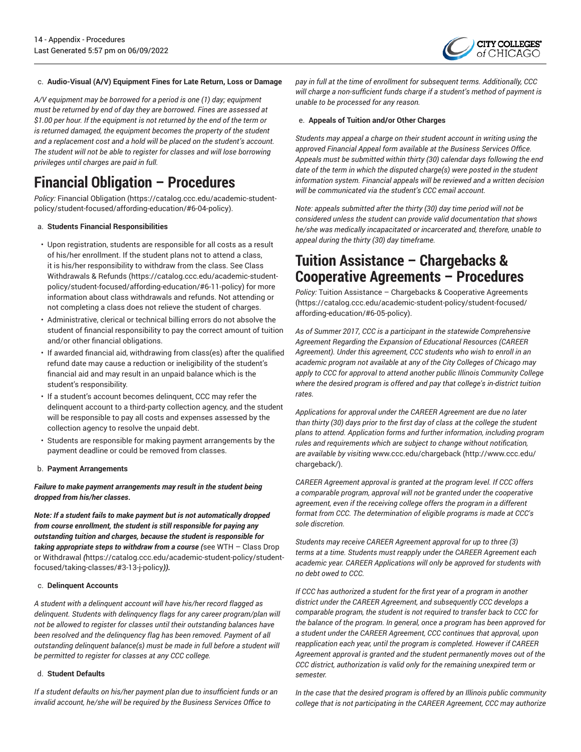

#### c. **Audio-Visual (A/V) Equipment Fines for Late Return, Loss or Damage**

*A/V equipment may be borrowed for a period is one (1) day; equipment must be returned by end of day they are borrowed. Fines are assessed at \$1.00 per hour. If the equipment is not returned by the end of the term or is returned damaged, the equipment becomes the property of the student and a replacement cost and a hold will be placed on the student's account. The student will not be able to register for classes and will lose borrowing privileges until charges are paid in full.*

# **Financial Obligation – Procedures**

*Policy:* [Financial Obligation](https://catalog.ccc.edu/academic-student-policy/student-focused/affording-education/#6-04-policy) ([https://catalog.ccc.edu/academic-student](https://catalog.ccc.edu/academic-student-policy/student-focused/affording-education/#6-04-policy)[policy/student-focused/affording-education/#6-04-policy](https://catalog.ccc.edu/academic-student-policy/student-focused/affording-education/#6-04-policy)).

#### a. **Students Financial Responsibilities**

- Upon registration, students are responsible for all costs as a result of his/her enrollment. If the student plans not to attend a class, it is his/her responsibility to withdraw from the class. [See Class](https://catalog.ccc.edu/academic-student-policy/student-focused/affording-education/#6-11-policy) [Withdrawals & Refunds \(https://catalog.ccc.edu/academic-student](https://catalog.ccc.edu/academic-student-policy/student-focused/affording-education/#6-11-policy)[policy/student-focused/affording-education/#6-11-policy](https://catalog.ccc.edu/academic-student-policy/student-focused/affording-education/#6-11-policy)) for more information about class withdrawals and refunds. Not attending or not completing a class does not relieve the student of charges.
- Administrative, clerical or technical billing errors do not absolve the student of financial responsibility to pay the correct amount of tuition and/or other financial obligations.
- If awarded financial aid, withdrawing from class(es) after the qualified refund date may cause a reduction or ineligibility of the student's financial aid and may result in an unpaid balance which is the student's responsibility.
- If a student's account becomes delinquent, CCC may refer the delinquent account to a third-party collection agency, and the student will be responsible to pay all costs and expenses assessed by the collection agency to resolve the unpaid debt.
- Students are responsible for making payment arrangements by the payment deadline or could be removed from classes.

#### b. **Payment Arrangements**

*Failure to make payment arrangements may result in the student being dropped from his/her classes***.**

*Note: If a student fails to make payment but is not automatically dropped from course enrollment, the student is still responsible for paying any outstanding tuition and charges, because the student is responsible for taking appropriate steps to withdraw from a course (*see WTH – [Class](https://catalog.ccc.edu/academic-student-policy/student-focused/taking-classes/#3-13-j-policy) Drop [or Withdrawal](https://catalog.ccc.edu/academic-student-policy/student-focused/taking-classes/#3-13-j-policy) *(*[https://catalog.ccc.edu/academic-student-policy/student](https://catalog.ccc.edu/academic-student-policy/student-focused/taking-classes/#3-13-j-policy)[focused/taking-classes/#3-13-j-policy](https://catalog.ccc.edu/academic-student-policy/student-focused/taking-classes/#3-13-j-policy)*)).*

#### c. **Delinquent Accounts**

*A student with a delinquent account will have his/her record flagged as delinquent. Students with delinquency flags for any career program/plan will not be allowed to register for classes until their outstanding balances have been resolved and the delinquency flag has been removed. Payment of all outstanding delinquent balance(s) must be made in full before a student will be permitted to register for classes at any CCC college.*

#### d. **Student Defaults**

*If a student defaults on his/her payment plan due to insufficient funds or an invalid account, he/she will be required by the Business Services Office to*

*pay in full at the time of enrollment for subsequent terms. Additionally, CCC will charge a non-sufficient funds charge if a student's method of payment is unable to be processed for any reason.*

#### e. **Appeals of Tuition and/or Other Charges**

*Students may appeal a charge on their student account in writing using the approved Financial Appeal form available at the Business Services Office. Appeals must be submitted within thirty (30) calendar days following the end date of the term in which the disputed charge(s) were posted in the student information system. Financial appeals will be reviewed and a written decision will be communicated via the student's CCC email account.*

*Note: appeals submitted after the thirty (30) day time period will not be considered unless the student can provide valid documentation that shows he/she was medically incapacitated or incarcerated and, therefore, unable to appeal during the thirty (30) day timeframe.*

## **Tuition Assistance – Chargebacks & Cooperative Agreements – Procedures**

*Policy:* Tuition Assistance – [Chargebacks](https://catalog.ccc.edu/academic-student-policy/student-focused/affording-education/#6-05-policy) & Cooperative Agreements [\(https://catalog.ccc.edu/academic-student-policy/student-focused/](https://catalog.ccc.edu/academic-student-policy/student-focused/affording-education/#6-05-policy) [affording-education/#6-05-policy\)](https://catalog.ccc.edu/academic-student-policy/student-focused/affording-education/#6-05-policy).

*As of Summer 2017, CCC is a participant in the statewide Comprehensive Agreement Regarding the Expansion of Educational Resources (CAREER Agreement). Under this agreement, CCC students who wish to enroll in an academic program not available at any of the City Colleges of Chicago may apply to CCC for approval to attend another public Illinois Community College where the desired program is offered and pay that college's in-district tuition rates.*

*Applications for approval under the CAREER Agreement are due no later than thirty (30) days prior to the first day of class at the college the student plans to attend. Application forms and further information, including program rules and requirements which are subject to change without notification, are available by visiting* [www.ccc.edu/chargeback \(http://www.ccc.edu/](http://www.ccc.edu/chargeback/) [chargeback/\)](http://www.ccc.edu/chargeback/).

*CAREER Agreement approval is granted at the program level. If CCC offers a comparable program, approval will not be granted under the cooperative agreement, even if the receiving college offers the program in a different format from CCC. The determination of eligible programs is made at CCC's sole discretion.*

*Students may receive CAREER Agreement approval for up to three (3) terms at a time. Students must reapply under the CAREER Agreement each academic year. CAREER Applications will only be approved for students with no debt owed to CCC.*

*If CCC has authorized a student for the first year of a program in another district under the CAREER Agreement, and subsequently CCC develops a comparable program, the student is not required to transfer back to CCC for the balance of the program. In general, once a program has been approved for a student under the CAREER Agreement, CCC continues that approval, upon reapplication each year, until the program is completed. However if CAREER Agreement approval is granted and the student permanently moves out of the CCC district, authorization is valid only for the remaining unexpired term or semester.*

*In the case that the desired program is offered by an Illinois public community college that is not participating in the CAREER Agreement, CCC may authorize*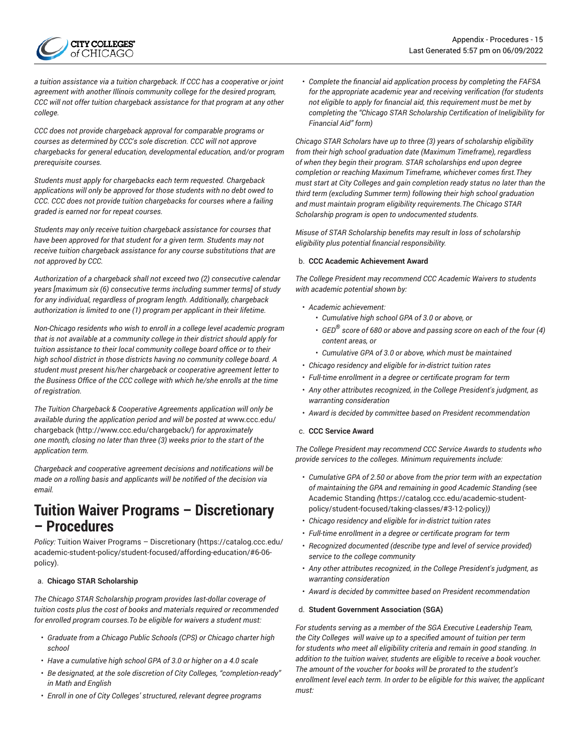

*a tuition assistance via a tuition chargeback. If CCC has a cooperative or joint agreement with another Illinois community college for the desired program, CCC will not offer tuition chargeback assistance for that program at any other college.*

*CCC does not provide chargeback approval for comparable programs or courses as determined by CCC's sole discretion. CCC will not approve chargebacks for general education, developmental education, and/or program prerequisite courses.*

*Students must apply for chargebacks each term requested. Chargeback applications will only be approved for those students with no debt owed to CCC. CCC does not provide tuition chargebacks for courses where a failing graded is earned nor for repeat courses.*

*Students may only receive tuition chargeback assistance for courses that have been approved for that student for a given term. Students may not receive tuition chargeback assistance for any course substitutions that are not approved by CCC.*

*Authorization of a chargeback shall not exceed two (2) consecutive calendar years [maximum six (6) consecutive terms including summer terms] of study for any individual, regardless of program length. Additionally, chargeback authorization is limited to one (1) program per applicant in their lifetime.*

*Non-Chicago residents who wish to enroll in a college level academic program that is not available at a community college in their district should apply for tuition assistance to their local community college board office or to their high school district in those districts having no community college board. A student must present his/her chargeback or cooperative agreement letter to the Business Office of the CCC college with which he/she enrolls at the time of registration.*

*The Tuition Chargeback & Cooperative Agreements application will only be available during the application period and will be posted at* [www.ccc.edu/](http://www.ccc.edu/chargeback/) [chargeback](http://www.ccc.edu/chargeback/) (<http://www.ccc.edu/chargeback/>) *for approximately one month, closing no later than three (3) weeks prior to the start of the application term.*

*Chargeback and cooperative agreement decisions and notifications will be made on a rolling basis and applicants will be notified of the decision via email.*

# **Tuition Waiver Programs – Discretionary – Procedures**

*Policy:* Tuition Waiver Programs – [Discretionary](https://catalog.ccc.edu/academic-student-policy/student-focused/affording-education/#6-06-policy) ([https://catalog.ccc.edu/](https://catalog.ccc.edu/academic-student-policy/student-focused/affording-education/#6-06-policy) [academic-student-policy/student-focused/affording-education/#6-06](https://catalog.ccc.edu/academic-student-policy/student-focused/affording-education/#6-06-policy) [policy](https://catalog.ccc.edu/academic-student-policy/student-focused/affording-education/#6-06-policy)).

#### a. **Chicago STAR Scholarship**

*The Chicago STAR Scholarship program provides last-dollar coverage of tuition costs plus the cost of books and materials required or recommended for enrolled program courses.To be eligible for waivers a student must:*

- *Graduate from a Chicago Public Schools (CPS) or Chicago charter high school*
- *Have a cumulative high school GPA of 3.0 or higher on a 4.0 scale*
- *Be designated, at the sole discretion of City Colleges, "completion-ready" in Math and English*
- *Enroll in one of City Colleges' structured, relevant degree programs*

• *Complete the financial aid application process by completing the FAFSA for the appropriate academic year and receiving verification (for students not eligible to apply for financial aid, this requirement must be met by completing the "Chicago STAR Scholarship Certification of Ineligibility for Financial Aid" form)*

*Chicago STAR Scholars have up to three (3) years of scholarship eligibility from their high school graduation date (Maximum Timeframe), regardless of when they begin their program. STAR scholarships end upon degree completion or reaching Maximum Timeframe, whichever comes first.They must start at City Colleges and gain completion ready status no later than the third term (excluding Summer term) following their high school graduation and must maintain program eligibility requirements.The Chicago STAR Scholarship program is open to undocumented students.*

*Misuse of STAR Scholarship benefits may result in loss of scholarship eligibility plus potential financial responsibility.*

#### b. **CCC Academic Achievement Award**

*The College President may recommend CCC Academic Waivers to students with academic potential shown by:*

- *Academic achievement:*
	- *Cumulative high school GPA of 3.0 or above, or*
	- *GED® score of 680 or above and passing score on each of the four (4) content areas, or*
	- *Cumulative GPA of 3.0 or above, which must be maintained*
- *Chicago residency and eligible for in-district tuition rates*
- *Full-time enrollment in a degree or certificate program for term*
- *Any other attributes recognized, in the College President's judgment, as warranting consideration*
- *Award is decided by committee based on President recommendation*
- c. **CCC Service Award**

*The College President may recommend CCC Service Awards to students who provide services to the colleges. Minimum requirements include:*

- *Cumulative GPA of 2.50 or above from the prior term with an expectation of maintaining the GPA and remaining in good Academic Standing (*[see](https://catalog.ccc.edu/academic-student-policy/student-focused/taking-classes/#3-12-policy) [Academic Standing](https://catalog.ccc.edu/academic-student-policy/student-focused/taking-classes/#3-12-policy) *(*[https://catalog.ccc.edu/academic-student](https://catalog.ccc.edu/academic-student-policy/student-focused/taking-classes/#3-12-policy)[policy/student-focused/taking-classes/#3-12-policy](https://catalog.ccc.edu/academic-student-policy/student-focused/taking-classes/#3-12-policy)*))*
- *Chicago residency and eligible for in-district tuition rates*
- *Full-time enrollment in a degree or certificate program for term*
- *Recognized documented (describe type and level of service provided) service to the college community*
- *Any other attributes recognized, in the College President's judgment, as warranting consideration*
- *Award is decided by committee based on President recommendation*

#### d. **Student Government Association (SGA)**

*For students serving as a member of the SGA Executive Leadership Team, the City Colleges will waive up to a specified amount of tuition per term for students who meet all eligibility criteria and remain in good standing. In addition to the tuition waiver, students are eligible to receive a book voucher. The amount of the voucher for books will be prorated to the student's enrollment level each term. In order to be eligible for this waiver, the applicant must:*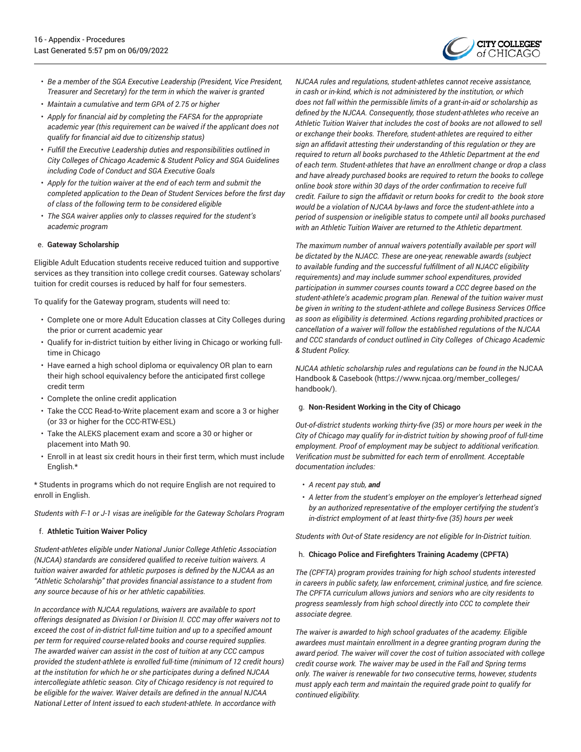

- *Be a member of the SGA Executive Leadership (President, Vice President, Treasurer and Secretary) for the term in which the waiver is granted*
- *Maintain a cumulative and term GPA of 2.75 or higher*
- *Apply for financial aid by completing the FAFSA for the appropriate academic year (this requirement can be waived if the applicant does not qualify for financial aid due to citizenship status)*
- *Fulfill the Executive Leadership duties and responsibilities outlined in City Colleges of Chicago Academic & Student Policy and SGA Guidelines including Code of Conduct and SGA Executive Goals*
- *Apply for the tuition waiver at the end of each term and submit the completed application to the Dean of Student Services before the first day of class of the following term to be considered eligible*
- *The SGA waiver applies only to classes required for the student's academic program*

#### e. **Gateway Scholarship**

Eligible Adult Education students receive reduced tuition and supportive services as they transition into college credit courses. Gateway scholars' tuition for credit courses is reduced by half for four semesters.

To qualify for the Gateway program, students will need to:

- Complete one or more Adult Education classes at City Colleges during the prior or current academic year
- Qualify for in-district tuition by either living in Chicago or working fulltime in Chicago
- Have earned a high school diploma or equivalency OR plan to earn their high school equivalency before the anticipated first college credit term
- Complete the online credit application
- Take the CCC Read-to-Write placement exam and score a 3 or higher (or 33 or higher for the CCC-RTW-ESL)
- Take the ALEKS placement exam and score a 30 or higher or placement into Math 90.
- Enroll in at least six credit hours in their first term, which must include English.\*

\* Students in programs which do not require English are not required to enroll in English.

*Students with F-1 or J-1 visas are ineligible for the Gateway Scholars Program*

#### f. **Athletic Tuition Waiver Policy**

*Student-athletes eligible under National Junior College Athletic Association (NJCAA) standards are considered qualified to receive tuition waivers. A tuition waiver awarded for athletic purposes is defined by the NJCAA as an "Athletic Scholarship" that provides financial assistance to a student from any source because of his or her athletic capabilities.*

*In accordance with NJCAA regulations, waivers are available to sport offerings designated as Division I or Division II. CCC may offer waivers not to exceed the cost of in-district full-time tuition and up to a specified amount per term for required course-related books and course required supplies. The awarded waiver can assist in the cost of tuition at any CCC campus provided the student-athlete is enrolled full-time (minimum of 12 credit hours) at the institution for which he or she participates during a defined NJCAA intercollegiate athletic season. City of Chicago residency is not required to be eligible for the waiver. Waiver details are defined in the annual NJCAA National Letter of Intent issued to each student-athlete. In accordance with*

*NJCAA rules and regulations, student-athletes cannot receive assistance, in cash or in-kind, which is not administered by the institution, or which does not fall within the permissible limits of a grant-in-aid or scholarship as defined by the NJCAA. Consequently, those student-athletes who receive an Athletic Tuition Waiver that includes the cost of books are not allowed to sell or exchange their books. Therefore, student-athletes are required to either sign an affidavit attesting their understanding of this regulation or they are required to return all books purchased to the Athletic Department at the end of each term. Student-athletes that have an enrollment change or drop a class and have already purchased books are required to return the books to college online book store within 30 days of the order confirmation to receive full credit. Failure to sign the affidavit or return books for credit to the book store would be a violation of NJCAA by-laws and force the student-athlete into a period of suspension or ineligible status to compete until all books purchased with an Athletic Tuition Waiver are returned to the Athletic department.*

*The maximum number of annual waivers potentially available per sport will be dictated by the NJACC. These are one-year, renewable awards (subject to available funding and the successful fulfillment of all NJACC eligibility requirements) and may include summer school expenditures, provided participation in summer courses counts toward a CCC degree based on the student-athlete's academic program plan. Renewal of the tuition waiver must be given in writing to the student-athlete and college Business Services Office as soon as eligibility is determined. Actions regarding prohibited practices or cancellation of a waiver will follow the established regulations of the NJCAA and CCC standards of conduct outlined in City Colleges of Chicago Academic & Student Policy.*

*NJCAA athletic scholarship rules and regulations can be found in the* [NJCAA](https://www.njcaa.org/member_colleges/handbook/) [Handbook & Casebook \(https://www.njcaa.org/member\\_colleges/](https://www.njcaa.org/member_colleges/handbook/) [handbook/](https://www.njcaa.org/member_colleges/handbook/)).

#### g. **Non-Resident Working in the City of Chicago**

*Out-of-district students working thirty-five (35) or more hours per week in the City of Chicago may qualify for in-district tuition by showing proof of full-time employment. Proof of employment may be subject to additional verification. Verification must be submitted for each term of enrollment. Acceptable documentation includes:*

- *A recent pay stub, and*
- *A letter from the student's employer on the employer's letterhead signed by an authorized representative of the employer certifying the student's in-district employment of at least thirty-five (35) hours per week*

*Students with Out-of State residency are not eligible for In-District tuition.*

#### h. **Chicago Police and Firefighters Training Academy (CPFTA)**

*The (CPFTA) program provides training for high school students interested in careers in public safety, law enforcement, criminal justice, and fire science. The CPFTA curriculum allows juniors and seniors who are city residents to progress seamlessly from high school directly into CCC to complete their associate degree.*

*The waiver is awarded to high school graduates of the academy. Eligible awardees must maintain enrollment in a degree granting program during the award period. The waiver will cover the cost of tuition associated with college credit course work. The waiver may be used in the Fall and Spring terms only. The waiver is renewable for two consecutive terms, however, students must apply each term and maintain the required grade point to qualify for continued eligibility.*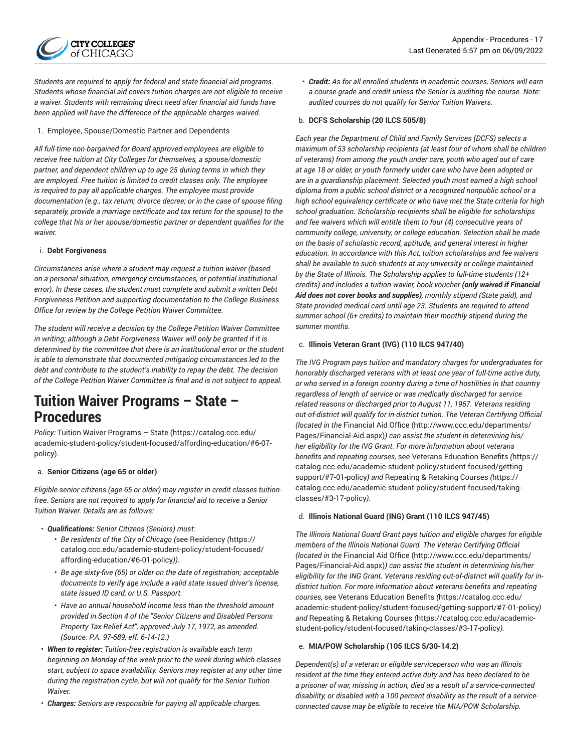

*Students are required to apply for federal and state financial aid programs. Students whose financial aid covers tuition charges are not eligible to receive a waiver. Students with remaining direct need after financial aid funds have been applied will have the difference of the applicable charges waived.*

1. Employee, Spouse/Domestic Partner and Dependents

*All full-time non-bargained for Board approved employees are eligible to receive free tuition at City Colleges for themselves, a spouse/domestic partner, and dependent children up to age 25 during terms in which they are employed. Free tuition is limited to credit classes only. The employee is required to pay all applicable charges. The employee must provide documentation (e.g., tax return; divorce decree; or in the case of spouse filing separately, provide a marriage certificate and tax return for the spouse) to the college that his or her spouse/domestic partner or dependent qualifies for the waiver.*

#### <span id="page-16-0"></span>i. **Debt Forgiveness**

*Circumstances arise where a student may request a tuition waiver (based on a personal situation, emergency circumstances, or potential institutional error). In these cases, the student must complete and submit a written Debt Forgiveness Petition and supporting documentation to the College Business Office for review by the College Petition Waiver Committee.*

*The student will receive a decision by the College Petition Waiver Committee in writing; although a Debt Forgiveness Waiver will only be granted if it is determined by the committee that there is an institutional error or the student is able to demonstrate that documented mitigating circumstances led to the debt and contribute to the student's inability to repay the debt. The decision of the College Petition Waiver Committee is final and is not subject to appeal.*

## **Tuition Waiver Programs – State – Procedures**

*Policy:* Tuition Waiver [Programs](https://catalog.ccc.edu/academic-student-policy/student-focused/affording-education/#6-07-policy) – State [\(https://catalog.ccc.edu/](https://catalog.ccc.edu/academic-student-policy/student-focused/affording-education/#6-07-policy) [academic-student-policy/student-focused/affording-education/#6-07](https://catalog.ccc.edu/academic-student-policy/student-focused/affording-education/#6-07-policy) [policy](https://catalog.ccc.edu/academic-student-policy/student-focused/affording-education/#6-07-policy)).

#### a. **Senior Citizens (age 65 or older)**

*Eligible senior citizens (age 65 or older) may register in credit classes tuitionfree. Seniors are not required to apply for financial aid to receive a Senior Tuition Waiver. Details are as follows:*

- *Qualifications: Senior Citizens (Seniors) must:*
	- *Be residents of the City of Chicago (*[see Residency](https://catalog.ccc.edu/academic-student-policy/student-focused/affording-education/#6-01-policy) *(*[https://](https://catalog.ccc.edu/academic-student-policy/student-focused/affording-education/#6-01-policy) [catalog.ccc.edu/academic-student-policy/student-focused/](https://catalog.ccc.edu/academic-student-policy/student-focused/affording-education/#6-01-policy) [affording-education/#6-01-policy](https://catalog.ccc.edu/academic-student-policy/student-focused/affording-education/#6-01-policy)*)).*
	- *Be age sixty-five (65) or older on the date of registration; acceptable documents to verify age include a valid state issued driver's license, state issued ID card, or U.S. Passport.*
	- *Have an annual household income less than the threshold amount provided in Section 4 of the "Senior Citizens and Disabled Persons Property Tax Relief Act", approved July 17, 1972, as amended. (Source: P.A. 97-689, eff. 6-14-12.)*
- *When to register: Tuition-free registration is available each term beginning on Monday of the week prior to the week during which classes start, subject to space availability. Seniors may register at any other time during the registration cycle, but will not qualify for the Senior Tuition Waiver.*
- *Charges: Seniors are responsible for paying all applicable charges.*

• *Credit: As for all enrolled students in academic courses, Seniors will earn a course grade and credit unless the Senior is auditing the course. Note: audited courses do not qualify for Senior Tuition Waivers.*

#### b. **DCFS Scholarship (20 ILCS 505/8)**

*Each year the Department of Child and Family Services (DCFS) selects a maximum of 53 scholarship recipients (at least four of whom shall be children of veterans) from among the youth under care, youth who aged out of care at age 18 or older, or youth formerly under care who have been adopted or are in a guardianship placement. Selected youth must earned a high school diploma from a public school district or a recognized nonpublic school or a high school equivalency certificate or who have met the State criteria for high school graduation. Scholarship recipients shall be eligible for scholarships and fee waivers which will entitle them to four (4) consecutive years of community college, university, or college education. Selection shall be made on the basis of scholastic record, aptitude, and general interest in higher education. In accordance with this Act, tuition scholarships and fee waivers shall be available to such students at any university or college maintained by the State of Illinois. The Scholarship applies to full-time students (12+ credits) and includes a tuition wavier, book voucher (only waived if Financial Aid does not cover books and supplies), monthly stipend (State paid), and State provided medical card until age 23. Students are required to attend summer school (6+ credits) to maintain their monthly stipend during the summer months.*

#### c. **Illinois Veteran Grant (IVG) (110 ILCS 947/40)**

*The IVG Program pays tuition and mandatory charges for undergraduates for honorably discharged veterans with at least one year of full-time active duty, or who served in a foreign country during a time of hostilities in that country regardless of length of service or was medically discharged for service related reasons or discharged prior to August 11, 1967. Veterans residing out-of-district will qualify for in-district tuition. The Veteran Certifying Official (located in the* [Financial Aid Office \(http://www.ccc.edu/departments/](http://www.ccc.edu/departments/Pages/Financial-Aid.aspx) [Pages/Financial-Aid.aspx](http://www.ccc.edu/departments/Pages/Financial-Aid.aspx))*) can assist the student in determining his/ her eligibility for the IVG Grant. For more information about veterans benefits and repeating courses,* see Veterans [Education](https://catalog.ccc.edu/academic-student-policy/student-focused/getting-support/#7-01-policy) Benefits *(*[https://](https://catalog.ccc.edu/academic-student-policy/student-focused/getting-support/#7-01-policy) [catalog.ccc.edu/academic-student-policy/student-focused/getting](https://catalog.ccc.edu/academic-student-policy/student-focused/getting-support/#7-01-policy)[support/#7-01-policy](https://catalog.ccc.edu/academic-student-policy/student-focused/getting-support/#7-01-policy)*) and* [Repeating & Retaking Courses](https://catalog.ccc.edu/academic-student-policy/student-focused/taking-classes/#3-17-policy) *(*[https://](https://catalog.ccc.edu/academic-student-policy/student-focused/taking-classes/#3-17-policy) [catalog.ccc.edu/academic-student-policy/student-focused/taking](https://catalog.ccc.edu/academic-student-policy/student-focused/taking-classes/#3-17-policy)[classes/#3-17-policy](https://catalog.ccc.edu/academic-student-policy/student-focused/taking-classes/#3-17-policy)*).*

#### d. **Illinois National Guard (ING) Grant (110 ILCS 947/45)**

*The Illinois National Guard Grant pays tuition and eligible charges for eligible members of the Illinois National Guard. The Veteran Certifying Official (located in the* [Financial Aid Office \(http://www.ccc.edu/departments/](http://www.ccc.edu/departments/Pages/Financial-Aid.aspx) [Pages/Financial-Aid.aspx](http://www.ccc.edu/departments/Pages/Financial-Aid.aspx))*) can assist the student in determining his/her eligibility for the ING Grant. Veterans residing out-of-district will qualify for indistrict tuition. For more information about veterans benefits and repeating courses,* see Veterans [Education](https://catalog.ccc.edu/academic-student-policy/student-focused/getting-support/#7-01-policy) Benefits *(*[https://catalog.ccc.edu/](https://catalog.ccc.edu/academic-student-policy/student-focused/getting-support/#7-01-policy) [academic-student-policy/student-focused/getting-support/#7-01-policy](https://catalog.ccc.edu/academic-student-policy/student-focused/getting-support/#7-01-policy)*) and* [Repeating & Retaking Courses](https://catalog.ccc.edu/academic-student-policy/student-focused/taking-classes/#3-17-policy) *(*[https://catalog.ccc.edu/academic](https://catalog.ccc.edu/academic-student-policy/student-focused/taking-classes/#3-17-policy)[student-policy/student-focused/taking-classes/#3-17-policy](https://catalog.ccc.edu/academic-student-policy/student-focused/taking-classes/#3-17-policy)*).*

#### e. **MIA/POW Scholarship (105 ILCS 5/30-14.2)**

*Dependent(s) of a veteran or eligible serviceperson who was an Illinois resident at the time they entered active duty and has been declared to be a prisoner of war, missing in action, died as a result of a service-connected disability, or disabled with a 100 percent disability as the result of a serviceconnected cause may be eligible to receive the MIA/POW Scholarship.*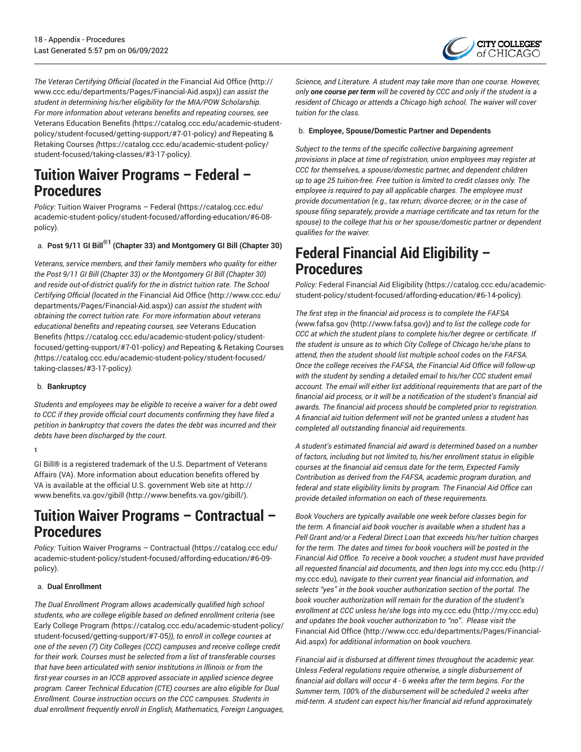

*The Veteran Certifying Official (located in the* [Financial Aid Office \(http://](http://www.ccc.edu/departments/Pages/Financial-Aid.aspx) [www.ccc.edu/departments/Pages/Financial-Aid.aspx](http://www.ccc.edu/departments/Pages/Financial-Aid.aspx))*) can assist the student in determining his/her eligibility for the MIA/POW Scholarship. For more information about veterans benefits and repeating courses, see* Veterans [Education](https://catalog.ccc.edu/academic-student-policy/student-focused/getting-support/#7-01-policy) Benefits *(*[https://catalog.ccc.edu/academic-student](https://catalog.ccc.edu/academic-student-policy/student-focused/getting-support/#7-01-policy)[policy/student-focused/getting-support/#7-01-policy](https://catalog.ccc.edu/academic-student-policy/student-focused/getting-support/#7-01-policy)*) and* [Repeating &](https://catalog.ccc.edu/academic-student-policy/student-focused/taking-classes/#3-17-policy) [Retaking Courses](https://catalog.ccc.edu/academic-student-policy/student-focused/taking-classes/#3-17-policy) *(*[https://catalog.ccc.edu/academic-student-policy/](https://catalog.ccc.edu/academic-student-policy/student-focused/taking-classes/#3-17-policy) [student-focused/taking-classes/#3-17-policy](https://catalog.ccc.edu/academic-student-policy/student-focused/taking-classes/#3-17-policy)*).*

# **Tuition Waiver Programs – Federal – Procedures**

*Policy:* Tuition Waiver [Programs](https://catalog.ccc.edu/academic-student-policy/student-focused/affording-education/#6-08-policy) – Federal ([https://catalog.ccc.edu/](https://catalog.ccc.edu/academic-student-policy/student-focused/affording-education/#6-08-policy) [academic-student-policy/student-focused/affording-education/#6-08](https://catalog.ccc.edu/academic-student-policy/student-focused/affording-education/#6-08-policy) [policy](https://catalog.ccc.edu/academic-student-policy/student-focused/affording-education/#6-08-policy)).

a. **Post 9/11 GI Bill ®1 (Chapter 33) and Montgomery GI Bill (Chapter 30)**

*Veterans, service members, and their family members who quality for either the Post 9/11 GI Bill (Chapter 33) or the Montgomery GI Bill (Chapter 30) and reside out-of-district qualify for the in district tuition rate. The School Certifying Official (located in the* [Financial Aid Office](http://www.ccc.edu/departments/Pages/Financial-Aid.aspx) ([http://www.ccc.edu/](http://www.ccc.edu/departments/Pages/Financial-Aid.aspx) [departments/Pages/Financial-Aid.aspx\)](http://www.ccc.edu/departments/Pages/Financial-Aid.aspx)*) can assist the student with obtaining the correct tuition rate. For more information about veterans educational benefits and repeating courses, see* Veterans [Education](https://catalog.ccc.edu/academic-student-policy/student-focused/getting-support/#7-01-policy) [Benefits](https://catalog.ccc.edu/academic-student-policy/student-focused/getting-support/#7-01-policy) *(*[https://catalog.ccc.edu/academic-student-policy/student](https://catalog.ccc.edu/academic-student-policy/student-focused/getting-support/#7-01-policy)[focused/getting-support/#7-01-policy](https://catalog.ccc.edu/academic-student-policy/student-focused/getting-support/#7-01-policy)*) and* [Repeating & Retaking Courses](https://catalog.ccc.edu/academic-student-policy/student-focused/taking-classes/#3-17-policy) *(*[https://catalog.ccc.edu/academic-student-policy/student-focused/](https://catalog.ccc.edu/academic-student-policy/student-focused/taking-classes/#3-17-policy) [taking-classes/#3-17-policy](https://catalog.ccc.edu/academic-student-policy/student-focused/taking-classes/#3-17-policy)*).*

#### b. **Bankruptcy**

*Students and employees may be eligible to receive a waiver for a debt owed to CCC if they provide official court documents confirming they have filed a petition in bankruptcy that covers the dates the debt was incurred and their debts have been discharged by the court.*

#### **1**

GI Bill® is a registered trademark of the U.S. Department of Veterans Affairs (VA). More information about education benefits offered by VA is available at the official U.S. government Web site at [http://](http://www.benefits.va.gov/gibill/) [www.benefits.va.gov/gibill \(http://www.benefits.va.gov/gibill/\)](http://www.benefits.va.gov/gibill/).

# **Tuition Waiver Programs – Contractual – Procedures**

*Policy:* Tuition Waiver Programs – [Contractual](https://catalog.ccc.edu/academic-student-policy/student-focused/affording-education/#6-09-policy) [\(https://catalog.ccc.edu/](https://catalog.ccc.edu/academic-student-policy/student-focused/affording-education/#6-09-policy) [academic-student-policy/student-focused/affording-education/#6-09](https://catalog.ccc.edu/academic-student-policy/student-focused/affording-education/#6-09-policy) [policy](https://catalog.ccc.edu/academic-student-policy/student-focused/affording-education/#6-09-policy)).

#### a. **Dual Enrollment**

*The Dual Enrollment Program allows academically qualified high school students, who are college eligible based on defined enrollment criteria (*[see](https://catalog.ccc.edu/academic-student-policy/student-focused/getting-support/#7-05) Early College [Program](https://catalog.ccc.edu/academic-student-policy/student-focused/getting-support/#7-05) *(*[https://catalog.ccc.edu/academic-student-policy/](https://catalog.ccc.edu/academic-student-policy/student-focused/getting-support/#7-05) [student-focused/getting-support/#7-05](https://catalog.ccc.edu/academic-student-policy/student-focused/getting-support/#7-05)*)), to enroll in college courses at one of the seven (7) City Colleges (CCC) campuses and receive college credit for their work. Courses must be selected from a list of transferable courses that have been articulated with senior institutions in Illinois or from the first-year courses in an ICCB approved associate in applied science degree program. Career Technical Education (CTE) courses are also eligible for Dual Enrollment. Course instruction occurs on the CCC campuses. Students in dual enrollment frequently enroll in English, Mathematics, Foreign Languages,*

*Science, and Literature. A student may take more than one course. However, only one course per term will be covered by CCC and only if the student is a resident of Chicago or attends a Chicago high school. The waiver will cover tuition for the class.*

#### b. **Employee, Spouse/Domestic Partner and Dependents**

*Subject to the terms of the specific collective bargaining agreement provisions in place at time of registration, union employees may register at CCC for themselves, a spouse/domestic partner, and dependent children up to age 25 tuition-free. Free tuition is limited to credit classes only. The employee is required to pay all applicable charges. The employee must provide documentation (e.g., tax return; divorce decree; or in the case of spouse filing separately, provide a marriage certificate and tax return for the spouse) to the college that his or her spouse/domestic partner or dependent qualifies for the waiver.*

## **Federal Financial Aid Eligibility – Procedures**

*Policy:* Federal [Financial](https://catalog.ccc.edu/academic-student-policy/student-focused/affording-education/#6-14-policy) Aid Eligibility [\(https://catalog.ccc.edu/academic](https://catalog.ccc.edu/academic-student-policy/student-focused/affording-education/#6-14-policy)[student-policy/student-focused/affording-education/#6-14-policy](https://catalog.ccc.edu/academic-student-policy/student-focused/affording-education/#6-14-policy)).

*The first step in the financial aid process is to complete the FAFSA (*[www.fafsa.gov](http://www.fafsa.gov) [\(http://www.fafsa.gov\)](http://www.fafsa.gov)*) and to list the college code for CCC at which the student plans to complete his/her degree or certificate. If the student is unsure as to which City College of Chicago he/she plans to attend, then the student should list multiple school codes on the FAFSA. Once the college receives the FAFSA, the Financial Aid Office will follow-up with the student by sending a detailed email to his/her CCC student email account. The email will either list additional requirements that are part of the financial aid process, or it will be a notification of the student's financial aid awards. The financial aid process should be completed prior to registration. A financial aid tuition deferment will not be granted unless a student has completed all outstanding financial aid requirements.*

*A student's estimated financial aid award is determined based on a number of factors, including but not limited to, his/her enrollment status in eligible courses at the financial aid census date for the term, Expected Family Contribution as derived from the FAFSA, academic program duration, and federal and state eligibility limits by program. The Financial Aid Office can provide detailed information on each of these requirements.*

*Book Vouchers are typically available one week before classes begin for the term. A financial aid book voucher is available when a student has a Pell Grant and/or a Federal Direct Loan that exceeds his/her tuition charges for the term. The dates and times for book vouchers will be posted in the Financial Aid Office. To receive a book voucher, a student must have provided all requested financial aid documents, and then logs into* [my.ccc.edu \(http://](http://my.ccc.edu) [my.ccc.edu](http://my.ccc.edu))*, navigate to their current year financial aid information, and selects "yes" in the book voucher authorization section of the portal. The book voucher authorization will remain for the duration of the student's enrollment at CCC unless he/she logs into* [my.ccc.edu](http://my.ccc.edu) ([http://my.ccc.edu\)](http://my.ccc.edu) *and updates the book voucher authorization to "no". Please visit the* [Financial Aid Office](http://www.ccc.edu/departments/Pages/Financial-Aid.aspx) ([http://www.ccc.edu/departments/Pages/Financial-](http://www.ccc.edu/departments/Pages/Financial-Aid.aspx)[Aid.aspx](http://www.ccc.edu/departments/Pages/Financial-Aid.aspx)) *for additional information on book vouchers.*

*Financial aid is disbursed at different times throughout the academic year. Unless Federal regulations require otherwise, a single disbursement of financial aid dollars will occur 4 - 6 weeks after the term begins. For the Summer term, 100% of the disbursement will be scheduled 2 weeks after mid-term. A student can expect his/her financial aid refund approximately*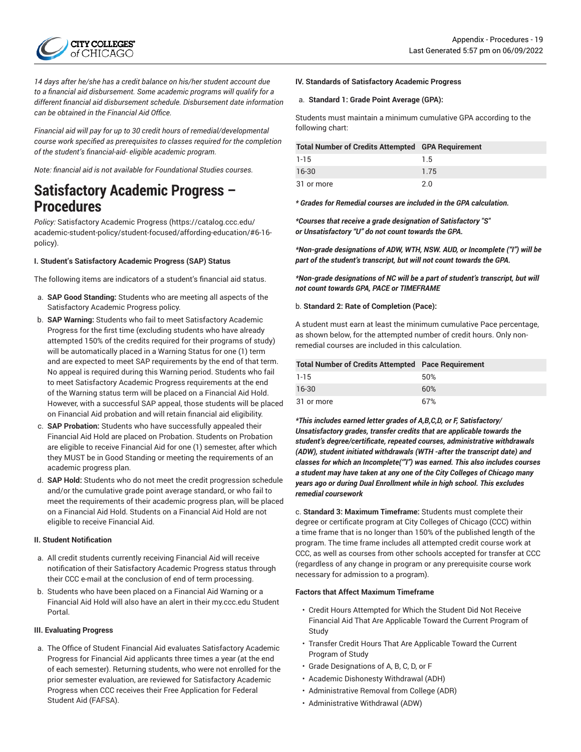

*14 days after he/she has a credit balance on his/her student account due to a financial aid disbursement. Some academic programs will qualify for a different financial aid disbursement schedule. Disbursement date information can be obtained in the Financial Aid Office.*

*Financial aid will pay for up to 30 credit hours of remedial/developmental course work specified as prerequisites to classes required for the completion of the student's financial-aid- eligible academic program.*

*Note: financial aid is not available for Foundational Studies courses.*

## **Satisfactory Academic Progress – Procedures**

*Policy:* [Satisfactory](https://catalog.ccc.edu/academic-student-policy/student-focused/affording-education/#6-16-policy) Academic Progress [\(https://catalog.ccc.edu/](https://catalog.ccc.edu/academic-student-policy/student-focused/affording-education/#6-16-policy) [academic-student-policy/student-focused/affording-education/#6-16](https://catalog.ccc.edu/academic-student-policy/student-focused/affording-education/#6-16-policy) [policy](https://catalog.ccc.edu/academic-student-policy/student-focused/affording-education/#6-16-policy)).

#### **I. Student's Satisfactory Academic Progress (SAP) Status**

The following items are indicators of a student's financial aid status.

- a. **SAP Good Standing:** Students who are meeting all aspects of the Satisfactory Academic Progress policy.
- b. **SAP Warning:** Students who fail to meet Satisfactory Academic Progress for the first time (excluding students who have already attempted 150% of the credits required for their programs of study) will be automatically placed in a Warning Status for one (1) term and are expected to meet SAP requirements by the end of that term. No appeal is required during this Warning period. Students who fail to meet Satisfactory Academic Progress requirements at the end of the Warning status term will be placed on a Financial Aid Hold. However, with a successful SAP appeal, those students will be placed on Financial Aid probation and will retain financial aid eligibility.
- c. **SAP Probation:** Students who have successfully appealed their Financial Aid Hold are placed on Probation. Students on Probation are eligible to receive Financial Aid for one (1) semester, after which they MUST be in Good Standing or meeting the requirements of an academic progress plan.
- d. **SAP Hold:** Students who do not meet the credit progression schedule and/or the cumulative grade point average standard, or who fail to meet the requirements of their academic progress plan, will be placed on a Financial Aid Hold. Students on a Financial Aid Hold are not eligible to receive Financial Aid.

#### **II. Student Notification**

- a. All credit students currently receiving Financial Aid will receive notification of their Satisfactory Academic Progress status through their CCC e-mail at the conclusion of end of term processing.
- b. Students who have been placed on a Financial Aid Warning or a Financial Aid Hold will also have an alert in their my.ccc.edu Student Portal.

#### **III. Evaluating Progress**

a. The Office of Student Financial Aid evaluates Satisfactory Academic Progress for Financial Aid applicants three times a year (at the end of each semester). Returning students, who were not enrolled for the prior semester evaluation, are reviewed for Satisfactory Academic Progress when CCC receives their Free Application for Federal Student Aid (FAFSA).

#### **IV. Standards of Satisfactory Academic Progress**

#### a. **Standard 1: Grade Point Average (GPA):**

Students must maintain a minimum cumulative GPA according to the following chart:

#### **Total Number of Credits Attempted GPA Requirement**

| $1 - 15$   | 1.5  |
|------------|------|
| 16-30      | 1.75 |
| 31 or more | 2.0  |

*\* Grades for Remedial courses are included in the GPA calculation.*

*\*Courses that receive a grade designation of Satisfactory "S" or Unsatisfactory "U" do not count towards the GPA.*

*\*Non-grade designations of ADW, WTH, NSW. AUD, or Incomplete ("I") will be part of the student's transcript, but will not count towards the GPA.*

*\*Non-grade designations of NC will be a part of student's transcript, but will not count towards GPA, PACE or TIMEFRAME*

b. **Standard 2: Rate of Completion (Pace):**

A student must earn at least the minimum cumulative Pace percentage, as shown below, for the attempted number of credit hours. Only nonremedial courses are included in this calculation.

| <b>Total Number of Credits Attempted Pace Requirement</b> |     |
|-----------------------------------------------------------|-----|
| $1 - 15$                                                  | 50% |
| $16 - 30$                                                 | 60% |
| 31 or more                                                | 67% |

*\*This includes earned letter grades of A,B,C,D, or F, Satisfactory/ Unsatisfactory grades, transfer credits that are applicable towards the student's degree/certificate, repeated courses, administrative withdrawals (ADW), student initiated withdrawals (WTH -after the transcript date) and classes for which an Incomplete('"I") was earned. This also includes courses a student may have taken at any one of the City Colleges of Chicago many years ago or during Dual Enrollment while in high school. This excludes remedial coursework*

c. **Standard 3: Maximum Timeframe:** Students must complete their degree or certificate program at City Colleges of Chicago (CCC) within a time frame that is no longer than 150% of the published length of the program. The time frame includes all attempted credit course work at CCC, as well as courses from other schools accepted for transfer at CCC (regardless of any change in program or any prerequisite course work necessary for admission to a program).

#### **Factors that Affect Maximum Timeframe**

- Credit Hours Attempted for Which the Student Did Not Receive Financial Aid That Are Applicable Toward the Current Program of **Study**
- Transfer Credit Hours That Are Applicable Toward the Current Program of Study
- Grade Designations of A, B, C, D, or F
- Academic Dishonesty Withdrawal (ADH)
- Administrative Removal from College (ADR)
- Administrative Withdrawal (ADW)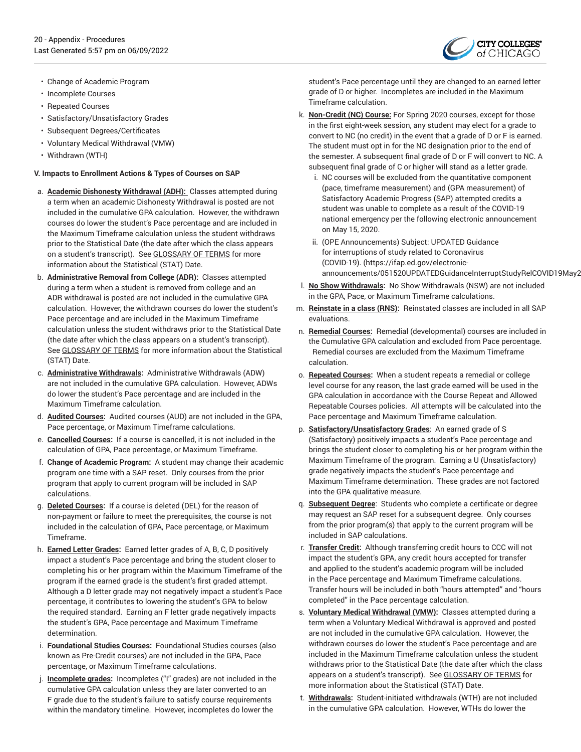

- Change of Academic Program
- Incomplete Courses
- Repeated Courses
- Satisfactory/Unsatisfactory Grades
- Subsequent Degrees/Certificates
- Voluntary Medical Withdrawal (VMW)
- Withdrawn (WTH)

#### **V. Impacts to Enrollment Actions & Types of Courses on SAP**

- a. **Academic Dishonesty Withdrawal (ADH):**  Classes attempted during a term when an academic Dishonesty Withdrawal is posted are not included in the cumulative GPA calculation. However, the withdrawn courses do lower the student's Pace percentage and are included in the Maximum Timeframe calculation unless the student withdraws prior to the Statistical Date (the date after which the class appears on a student's transcript). See GLOSSARY OF TERMS for more information about the Statistical (STAT) Date.
- b. **Administrative Removal from College (ADR):**  Classes attempted during a term when a student is removed from college and an ADR withdrawal is posted are not included in the cumulative GPA calculation. However, the withdrawn courses do lower the student's Pace percentage and are included in the Maximum Timeframe calculation unless the student withdraws prior to the Statistical Date (the date after which the class appears on a student's transcript). See GLOSSARY OF TERMS for more information about the Statistical (STAT) Date.
- c. **Administrative Withdrawals:**  Administrative Withdrawals (ADW) are not included in the cumulative GPA calculation. However, ADWs do lower the student's Pace percentage and are included in the Maximum Timeframe calculation.
- d. **Audited Courses:**  Audited courses (AUD) are not included in the GPA, Pace percentage, or Maximum Timeframe calculations.
- e. **Cancelled Courses:**  If a course is cancelled, it is not included in the calculation of GPA, Pace percentage, or Maximum Timeframe.
- f. **Change of Academic Program:**  A student may change their academic program one time with a SAP reset. Only courses from the prior program that apply to current program will be included in SAP calculations.
- g. **Deleted Courses:**  If a course is deleted (DEL) for the reason of non-payment or failure to meet the prerequisites, the course is not included in the calculation of GPA, Pace percentage, or Maximum Timeframe.
- h. **Earned Letter Grades:**  Earned letter grades of A, B, C, D positively impact a student's Pace percentage and bring the student closer to completing his or her program within the Maximum Timeframe of the program if the earned grade is the student's first graded attempt. Although a D letter grade may not negatively impact a student's Pace percentage, it contributes to lowering the student's GPA to below the required standard. Earning an F letter grade negatively impacts the student's GPA, Pace percentage and Maximum Timeframe determination.
- i. **Foundational Studies Courses:**  Foundational Studies courses (also known as Pre-Credit courses) are not included in the GPA, Pace percentage, or Maximum Timeframe calculations.
- j. **Incomplete grades:**  Incompletes ("I" grades) are not included in the cumulative GPA calculation unless they are later converted to an F grade due to the student's failure to satisfy course requirements within the mandatory timeline. However, incompletes do lower the

student's Pace percentage until they are changed to an earned letter grade of D or higher. Incompletes are included in the Maximum Timeframe calculation.

- k. **Non-Credit (NC) Course:** For Spring 2020 courses, except for those in the first eight-week session, any student may elect for a grade to convert to NC (no credit) in the event that a grade of D or F is earned. The student must opt in for the NC designation prior to the end of the semester. A subsequent final grade of D or F will convert to NC. A subsequent final grade of C or higher will stand as a letter grade.
	- i. NC courses will be excluded from the quantitative component (pace, timeframe measurement) and (GPA measurement) of Satisfactory Academic Progress (SAP) attempted credits a student was unable to complete as a result of the COVID-19 national emergency per the following electronic announcement on May 15, 2020.
	- ii. (OPE Announcements) Subject: [UPDATED](https://ifap.ed.gov/electronic-announcements/051520UPDATEDGuidanceInterruptStudyRelCOVID19May2020/) Guidance for [interruptions](https://ifap.ed.gov/electronic-announcements/051520UPDATEDGuidanceInterruptStudyRelCOVID19May2020/) of study related to Coronavirus [\(COVID-19\).](https://ifap.ed.gov/electronic-announcements/051520UPDATEDGuidanceInterruptStudyRelCOVID19May2020/) ([https://ifap.ed.gov/electronic](https://ifap.ed.gov/electronic-announcements/051520UPDATEDGuidanceInterruptStudyRelCOVID19May2020/)announcements/051520UPDATEDGuidanceInterruptStudyRelCOVID19May2
- l. **No Show Withdrawals:**  No Show Withdrawals (NSW) are not included in the GPA, Pace, or Maximum Timeframe calculations.
- m. **Reinstate in a class (RNS):**  Reinstated classes are included in all SAP evaluations.
- n. **Remedial Courses:**  Remedial (developmental) courses are included in the Cumulative GPA calculation and excluded from Pace percentage. Remedial courses are excluded from the Maximum Timeframe calculation.
- o. **Repeated Courses:**  When a student repeats a remedial or college level course for any reason, the last grade earned will be used in the GPA calculation in accordance with the Course Repeat and Allowed Repeatable Courses policies. All attempts will be calculated into the Pace percentage and Maximum Timeframe calculation.
- p. **Satisfactory/Unsatisfactory Grades**: An earned grade of S (Satisfactory) positively impacts a student's Pace percentage and brings the student closer to completing his or her program within the Maximum Timeframe of the program. Earning a U (Unsatisfactory) grade negatively impacts the student's Pace percentage and Maximum Timeframe determination. These grades are not factored into the GPA qualitative measure.
- q. **Subsequent Degree**: Students who complete a certificate or degree may request an SAP reset for a subsequent degree. Only courses from the prior program(s) that apply to the current program will be included in SAP calculations.
- r. **Transfer Credit:**  Although transferring credit hours to CCC will not impact the student's GPA, any credit hours accepted for transfer and applied to the student's academic program will be included in the Pace percentage and Maximum Timeframe calculations. Transfer hours will be included in both "hours attempted" and "hours completed" in the Pace percentage calculation.
- s. **Voluntary Medical Withdrawal (VMW):** Classes attempted during a term when a Voluntary Medical Withdrawal is approved and posted are not included in the cumulative GPA calculation. However, the withdrawn courses do lower the student's Pace percentage and are included in the Maximum Timeframe calculation unless the student withdraws prior to the Statistical Date (the date after which the class appears on a student's transcript). See GLOSSARY OF TERMS for more information about the Statistical (STAT) Date.
- t. **Withdrawals:** Student-initiated withdrawals (WTH) are not included in the cumulative GPA calculation. However, WTHs do lower the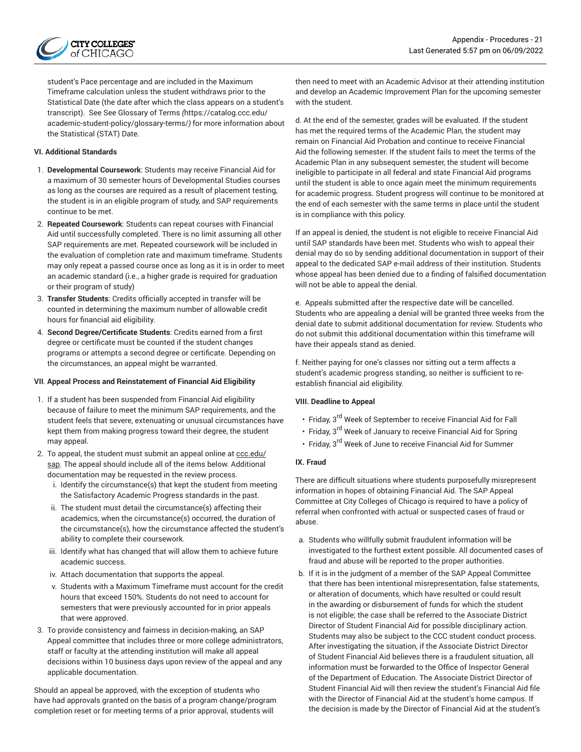

student's Pace percentage and are included in the Maximum Timeframe calculation unless the student withdraws prior to the Statistical Date (the date after which the class appears on a student's transcript). See See [Glossary](https://catalog.ccc.edu/academic-student-policy/glossary-terms/) of Terms *(*[https://catalog.ccc.edu/](https://catalog.ccc.edu/academic-student-policy/glossary-terms/) [academic-student-policy/glossary-terms/](https://catalog.ccc.edu/academic-student-policy/glossary-terms/)*)* for more information about the Statistical (STAT) Date.

#### **VI. Additional Standards**

- 1. **Developmental Coursework**: Students may receive Financial Aid for a maximum of 30 semester hours of Developmental Studies courses as long as the courses are required as a result of placement testing, the student is in an eligible program of study, and SAP requirements continue to be met.
- 2. **Repeated Coursework**: Students can repeat courses with Financial Aid until successfully completed. There is no limit assuming all other SAP requirements are met. Repeated coursework will be included in the evaluation of completion rate and maximum timeframe. Students may only repeat a passed course once as long as it is in order to meet an academic standard (i.e., a higher grade is required for graduation or their program of study)
- 3. **Transfer Students**: Credits officially accepted in transfer will be counted in determining the maximum number of allowable credit hours for financial aid eligibility.
- 4. **Second Degree/Certificate Students**: Credits earned from a first degree or certificate must be counted if the student changes programs or attempts a second degree or certificate. Depending on the circumstances, an appeal might be warranted.

#### **VII**. **Appeal Process and Reinstatement of Financial Aid Eligibility**

- 1. If a student has been suspended from Financial Aid eligibility because of failure to meet the minimum SAP requirements, and the student feels that severe, extenuating or unusual circumstances have kept them from making progress toward their degree, the student may appeal.
- 2. To appeal, the student must submit an appeal online at ccc.edu/ sap. The appeal should include all of the items below. Additional documentation may be requested in the review process.
	- i. Identify the circumstance(s) that kept the student from meeting the Satisfactory Academic Progress standards in the past.
	- ii. The student must detail the circumstance(s) affecting their academics, when the circumstance(s) occurred, the duration of the circumstance(s), how the circumstance affected the student's ability to complete their coursework.
	- iii. Identify what has changed that will allow them to achieve future academic success.
	- iv. Attach documentation that supports the appeal.
	- v. Students with a Maximum Timeframe must account for the credit hours that exceed 150%. Students do not need to account for semesters that were previously accounted for in prior appeals that were approved.
- 3. To provide consistency and fairness in decision-making, an SAP Appeal committee that includes three or more college administrators, staff or faculty at the attending institution will make all appeal decisions within 10 business days upon review of the appeal and any applicable documentation.

Should an appeal be approved, with the exception of students who have had approvals granted on the basis of a program change/program completion reset or for meeting terms of a prior approval, students will

then need to meet with an Academic Advisor at their attending institution and develop an Academic Improvement Plan for the upcoming semester with the student.

d. At the end of the semester, grades will be evaluated. If the student has met the required terms of the Academic Plan, the student may remain on Financial Aid Probation and continue to receive Financial Aid the following semester. If the student fails to meet the terms of the Academic Plan in any subsequent semester, the student will become ineligible to participate in all federal and state Financial Aid programs until the student is able to once again meet the minimum requirements for academic progress. Student progress will continue to be monitored at the end of each semester with the same terms in place until the student is in compliance with this policy.

If an appeal is denied, the student is not eligible to receive Financial Aid until SAP standards have been met. Students who wish to appeal their denial may do so by sending additional documentation in support of their appeal to the dedicated SAP e-mail address of their institution. Students whose appeal has been denied due to a finding of falsified documentation will not be able to appeal the denial.

e. Appeals submitted after the respective date will be cancelled. Students who are appealing a denial will be granted three weeks from the denial date to submit additional documentation for review. Students who do not submit this additional documentation within this timeframe will have their appeals stand as denied.

f. Neither paying for one's classes nor sitting out a term affects a student's academic progress standing, so neither is sufficient to reestablish financial aid eligibility.

#### **VIII. Deadline to Appeal**

- Friday, 3<sup>rd</sup> Week of September to receive Financial Aid for Fall
- Friday, 3<sup>rd</sup> Week of January to receive Financial Aid for Spring
- Friday, 3<sup>rd</sup> Week of June to receive Financial Aid for Summer

#### **IX. Fraud**

There are difficult situations where students purposefully misrepresent information in hopes of obtaining Financial Aid. The SAP Appeal Committee at City Colleges of Chicago is required to have a policy of referral when confronted with actual or suspected cases of fraud or abuse.

- a. Students who willfully submit fraudulent information will be investigated to the furthest extent possible. All documented cases of fraud and abuse will be reported to the proper authorities.
- b. If it is in the judgment of a member of the SAP Appeal Committee that there has been intentional misrepresentation, false statements, or alteration of documents, which have resulted or could result in the awarding or disbursement of funds for which the student is not eligible; the case shall be referred to the Associate District Director of Student Financial Aid for possible disciplinary action. Students may also be subject to the CCC student conduct process. After investigating the situation, if the Associate District Director of Student Financial Aid believes there is a fraudulent situation, all information must be forwarded to the Office of Inspector General of the Department of Education. The Associate District Director of Student Financial Aid will then review the student's Financial Aid file with the Director of Financial Aid at the student's home campus. If the decision is made by the Director of Financial Aid at the student's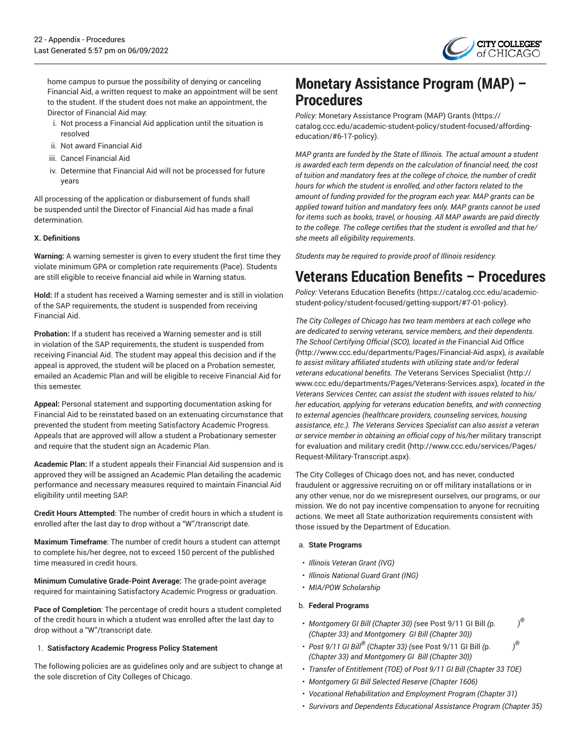

home campus to pursue the possibility of denying or canceling Financial Aid, a written request to make an appointment will be sent to the student. If the student does not make an appointment, the Director of Financial Aid may:

- i. Not process a Financial Aid application until the situation is resolved
- ii. Not award Financial Aid
- iii. Cancel Financial Aid
- iv. Determine that Financial Aid will not be processed for future years

All processing of the application or disbursement of funds shall be suspended until the Director of Financial Aid has made a final determination.

#### **X. Definitions**

**Warning:** A warning semester is given to every student the first time they violate minimum GPA or completion rate requirements (Pace). Students are still eligible to receive financial aid while in Warning status.

**Hold:** If a student has received a Warning semester and is still in violation of the SAP requirements, the student is suspended from receiving Financial Aid.

**Probation:** If a student has received a Warning semester and is still in violation of the SAP requirements, the student is suspended from receiving Financial Aid. The student may appeal this decision and if the appeal is approved, the student will be placed on a Probation semester, emailed an Academic Plan and will be eligible to receive Financial Aid for this semester.

**Appeal:** Personal statement and supporting documentation asking for Financial Aid to be reinstated based on an extenuating circumstance that prevented the student from meeting Satisfactory Academic Progress. Appeals that are approved will allow a student a Probationary semester and require that the student sign an Academic Plan.

**Academic Plan:** If a student appeals their Financial Aid suspension and is approved they will be assigned an Academic Plan detailing the academic performance and necessary measures required to maintain Financial Aid eligibility until meeting SAP.

**Credit Hours Attempted**: The number of credit hours in which a student is enrolled after the last day to drop without a "W"/transcript date.

**Maximum Timeframe**: The number of credit hours a student can attempt to complete his/her degree, not to exceed 150 percent of the published time measured in credit hours.

**Minimum Cumulative Grade-Point Average:** The grade-point average required for maintaining Satisfactory Academic Progress or graduation.

**Pace of Completion**: The percentage of credit hours a student completed of the credit hours in which a student was enrolled after the last day to drop without a "W"/transcript date.

#### 1. **Satisfactory Academic Progress Policy Statement**

The following policies are as guidelines only and are subject to change at the sole discretion of City Colleges of Chicago.

# **Monetary Assistance Program (MAP) – Procedures**

*Policy:* Monetary [Assistance](https://catalog.ccc.edu/academic-student-policy/student-focused/affording-education/#6-17-policy) Program (MAP) Grants ([https://](https://catalog.ccc.edu/academic-student-policy/student-focused/affording-education/#6-17-policy) [catalog.ccc.edu/academic-student-policy/student-focused/affording](https://catalog.ccc.edu/academic-student-policy/student-focused/affording-education/#6-17-policy)[education/#6-17-policy\)](https://catalog.ccc.edu/academic-student-policy/student-focused/affording-education/#6-17-policy).

*MAP grants are funded by the State of Illinois. The actual amount a student is awarded each term depends on the calculation of financial need, the cost of tuition and mandatory fees at the college of choice, the number of credit hours for which the student is enrolled, and other factors related to the amount of funding provided for the program each year. MAP grants can be applied toward tuition and mandatory fees only. MAP grants cannot be used for items such as books, travel, or housing. All MAP awards are paid directly to the college. The college certifies that the student is enrolled and that he/ she meets all eligibility requirements.*

*Students may be required to provide proof of Illinois residency.*

# **Veterans Education Benefits – Procedures**

*Policy:* Veterans [Education](https://catalog.ccc.edu/academic-student-policy/student-focused/getting-support/#7-01-policy) Benefits [\(https://catalog.ccc.edu/academic](https://catalog.ccc.edu/academic-student-policy/student-focused/getting-support/#7-01-policy)[student-policy/student-focused/getting-support/#7-01-policy\)](https://catalog.ccc.edu/academic-student-policy/student-focused/getting-support/#7-01-policy).

*The City Colleges of Chicago has two team members at each college who are dedicated to serving veterans, service members, and their dependents. The School Certifying Official (SCO), located in the* [Financial Aid Office](http://www.ccc.edu/departments/Pages/Financial-Aid.aspx) [\(http://www.ccc.edu/departments/Pages/Financial-Aid.aspx\)](http://www.ccc.edu/departments/Pages/Financial-Aid.aspx)*, is available to assist military affiliated students with utilizing state and/or federal veterans educational benefits. The* Veterans Services [Specialist](http://www.ccc.edu/departments/Pages/Veterans-Services.aspx) ([http://](http://www.ccc.edu/departments/Pages/Veterans-Services.aspx) [www.ccc.edu/departments/Pages/Veterans-Services.aspx\)](http://www.ccc.edu/departments/Pages/Veterans-Services.aspx)*, located in the Veterans Services Center, can assist the student with issues related to his/ her education, applying for veterans education benefits, and with connecting to external agencies (healthcare providers, counseling services, housing assistance, etc.). The Veterans Services Specialist can also assist a veteran or service member in obtaining an official copy of his/her* military [transcript](http://www.ccc.edu/services/Pages/Request-Military-Transcript.aspx) for [evaluation](http://www.ccc.edu/services/Pages/Request-Military-Transcript.aspx) and military credit [\(http://www.ccc.edu/services/Pages/](http://www.ccc.edu/services/Pages/Request-Military-Transcript.aspx) [Request-Military-Transcript.aspx](http://www.ccc.edu/services/Pages/Request-Military-Transcript.aspx)).

The City Colleges of Chicago does not, and has never, conducted fraudulent or aggressive recruiting on or off military installations or in any other venue, nor do we misrepresent ourselves, our programs, or our mission. We do not pay incentive compensation to anyone for recruiting actions. We meet all State authorization requirements consistent with those issued by the Department of Education.

- a. **State Programs**
- *Illinois Veteran Grant (IVG)*
- *Illinois National Guard Grant (ING)*
- *MIA/POW Scholarship*

#### b. **Federal Programs**

- *Montgomery GI Bill (Chapter 30) (*see Post 9/11 GI Bill *(*p. *) ® (Chapter 33) and Montgomery GI Bill (Chapter 30))*
- *Post 9/11 GI Bill ® (Chapter 33) (*see Post 9/11 GI Bill *(*p. *) ® (Chapter 33) and Montgomery GI Bill (Chapter 30))*
- *Transfer of Entitlement (TOE) of Post 9/11 GI Bill (Chapter 33 TOE)*
- *Montgomery GI Bill Selected Reserve (Chapter 1606)*
- *Vocational Rehabilitation and Employment Program (Chapter 31)*
- *Survivors and Dependents Educational Assistance Program (Chapter 35)*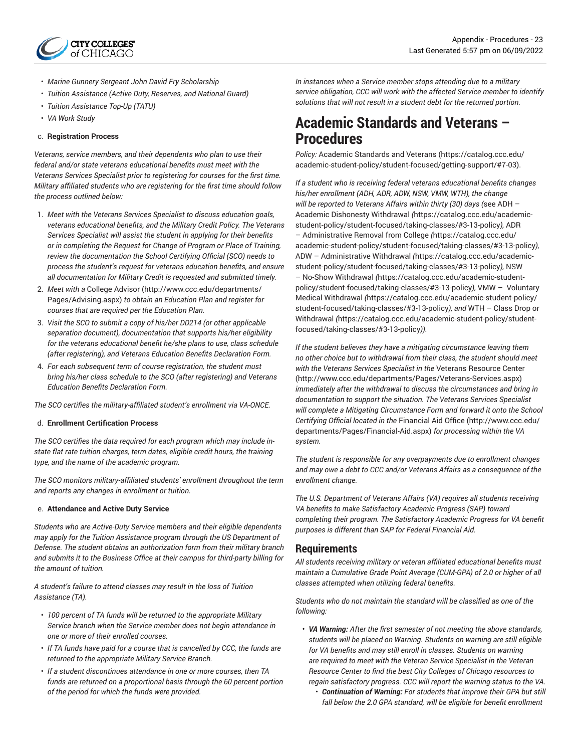

- *Marine Gunnery Sergeant John David Fry Scholarship*
- *Tuition Assistance (Active Duty, Reserves, and National Guard)*
- *Tuition Assistance Top-Up (TATU)*
- *VA Work Study*

#### c. **Registration Process**

*Veterans, service members, and their dependents who plan to use their federal and/or state veterans educational benefits must meet with the Veterans Services Specialist prior to registering for courses for the first time. Military affiliated students who are registering for the first time should follow the process outlined below:*

- 1. *Meet with the Veterans Services Specialist to discuss education goals, veterans educational benefits, and the Military Credit Policy. The Veterans Services Specialist will assist the student in applying for their benefits or in completing the Request for Change of Program or Place of Training, review the documentation the School Certifying Official (SCO) needs to process the student's request for veterans education benefits, and ensure all documentation for Military Credit is requested and submitted timely.*
- 2. *Meet with a* [College Advisor](http://www.ccc.edu/departments/Pages/Advising.aspx) [\(http://www.ccc.edu/departments/](http://www.ccc.edu/departments/Pages/Advising.aspx) [Pages/Advising.aspx\)](http://www.ccc.edu/departments/Pages/Advising.aspx) *to obtain an Education Plan and register for courses that are required per the Education Plan.*
- 3. *Visit the SCO to submit a copy of his/her DD214 (or other applicable separation document), documentation that supports his/her eligibility for the veterans educational benefit he/she plans to use, class schedule (after registering), and Veterans Education Benefits Declaration Form.*
- 4. *For each subsequent term of course registration, the student must bring his/her class schedule to the SCO (after registering) and Veterans Education Benefits Declaration Form.*

*The SCO certifies the military-affiliated student's enrollment via VA-ONCE.*

#### d. **Enrollment Certification Process**

*The SCO certifies the data required for each program which may include instate flat rate tuition charges, term dates, eligible credit hours, the training type, and the name of the academic program.*

*The SCO monitors military-affiliated students' enrollment throughout the term and reports any changes in enrollment or tuition.*

#### e. **Attendance and Active Duty Service**

*Students who are Active-Duty Service members and their eligible dependents may apply for the Tuition Assistance program through the US Department of Defense. The student obtains an authorization form from their military branch and submits it to the Business Office at their campus for third-party billing for the amount of tuition.*

*A student's failure to attend classes may result in the loss of Tuition Assistance (TA).*

- *100 percent of TA funds will be returned to the appropriate Military Service branch when the Service member does not begin attendance in one or more of their enrolled courses.*
- *If TA funds have paid for a course that is cancelled by CCC, the funds are returned to the appropriate Military Service Branch.*
- *If a student discontinues attendance in one or more courses, then TA funds are returned on a proportional basis through the 60 percent portion of the period for which the funds were provided.*

*In instances when a Service member stops attending due to a military service obligation, CCC will work with the affected Service member to identify solutions that will not result in a student debt for the returned portion.*

## **Academic Standards and Veterans – Procedures**

*Policy:* Academic [Standards](https://catalog.ccc.edu/academic-student-policy/student-focused/getting-support/#7-03) and Veterans ([https://catalog.ccc.edu/](https://catalog.ccc.edu/academic-student-policy/student-focused/getting-support/#7-03) [academic-student-policy/student-focused/getting-support/#7-03\)](https://catalog.ccc.edu/academic-student-policy/student-focused/getting-support/#7-03).

*If a student who is receiving federal veterans educational benefits changes his/her enrollment (ADH, ADR, ADW, NSW, VMW, WTH), the change will be reported to Veterans Affairs within thirty (30) days (*[see ADH –](https://catalog.ccc.edu/academic-student-policy/student-focused/taking-classes/#3-13-policy) [Academic Dishonesty Withdrawal](https://catalog.ccc.edu/academic-student-policy/student-focused/taking-classes/#3-13-policy) *(*[https://catalog.ccc.edu/academic](https://catalog.ccc.edu/academic-student-policy/student-focused/taking-classes/#3-13-policy)[student-policy/student-focused/taking-classes/#3-13-policy](https://catalog.ccc.edu/academic-student-policy/student-focused/taking-classes/#3-13-policy)*),* [ADR](https://catalog.ccc.edu/academic-student-policy/student-focused/taking-classes/#3-13-policy) – [Administrative](https://catalog.ccc.edu/academic-student-policy/student-focused/taking-classes/#3-13-policy) Removal from College *(*[https://catalog.ccc.edu/](https://catalog.ccc.edu/academic-student-policy/student-focused/taking-classes/#3-13-policy) [academic-student-policy/student-focused/taking-classes/#3-13-policy](https://catalog.ccc.edu/academic-student-policy/student-focused/taking-classes/#3-13-policy)*),* ADW – [Administrative](https://catalog.ccc.edu/academic-student-policy/student-focused/taking-classes/#3-13-policy) Withdrawal *(*[https://catalog.ccc.edu/academic](https://catalog.ccc.edu/academic-student-policy/student-focused/taking-classes/#3-13-policy)[student-policy/student-focused/taking-classes/#3-13-policy](https://catalog.ccc.edu/academic-student-policy/student-focused/taking-classes/#3-13-policy)*),* [NSW](https://catalog.ccc.edu/academic-student-policy/student-focused/taking-classes/#3-13-policy) [– No-Show Withdrawal](https://catalog.ccc.edu/academic-student-policy/student-focused/taking-classes/#3-13-policy) *(*[https://catalog.ccc.edu/academic-student](https://catalog.ccc.edu/academic-student-policy/student-focused/taking-classes/#3-13-policy)[policy/student-focused/taking-classes/#3-13-policy](https://catalog.ccc.edu/academic-student-policy/student-focused/taking-classes/#3-13-policy)*),* VMW – [Voluntary](https://catalog.ccc.edu/academic-student-policy/student-focused/taking-classes/#3-13-policy) [Medical Withdrawal](https://catalog.ccc.edu/academic-student-policy/student-focused/taking-classes/#3-13-policy) *(*[https://catalog.ccc.edu/academic-student-policy/](https://catalog.ccc.edu/academic-student-policy/student-focused/taking-classes/#3-13-policy) [student-focused/taking-classes/#3-13-policy](https://catalog.ccc.edu/academic-student-policy/student-focused/taking-classes/#3-13-policy)*), and* WTH – [Class](https://catalog.ccc.edu/academic-student-policy/student-focused/taking-classes/#3-13-policy) Drop or [Withdrawal](https://catalog.ccc.edu/academic-student-policy/student-focused/taking-classes/#3-13-policy) *(*[https://catalog.ccc.edu/academic-student-policy/student](https://catalog.ccc.edu/academic-student-policy/student-focused/taking-classes/#3-13-policy)[focused/taking-classes/#3-13-policy](https://catalog.ccc.edu/academic-student-policy/student-focused/taking-classes/#3-13-policy)*)).*

*If the student believes they have a mitigating circumstance leaving them no other choice but to withdrawal from their class, the student should meet with the Veterans Services Specialist in the* Veterans [Resource](http://www.ccc.edu/departments/Pages/Veterans-Services.aspx) Center [\(http://www.ccc.edu/departments/Pages/Veterans-Services.aspx\)](http://www.ccc.edu/departments/Pages/Veterans-Services.aspx) *immediately after the withdrawal to discuss the circumstances and bring in documentation to support the situation. The Veterans Services Specialist will complete a Mitigating Circumstance Form and forward it onto the School Certifying Official located in the* [Financial Aid Office](http://www.ccc.edu/departments/Pages/Financial-Aid.aspx) ([http://www.ccc.edu/](http://www.ccc.edu/departments/Pages/Financial-Aid.aspx) [departments/Pages/Financial-Aid.aspx](http://www.ccc.edu/departments/Pages/Financial-Aid.aspx)) *for processing within the VA system.*

*The student is responsible for any overpayments due to enrollment changes and may owe a debt to CCC and/or Veterans Affairs as a consequence of the enrollment change.*

*The U.S. Department of Veterans Affairs (VA) requires all students receiving VA benefits to make Satisfactory Academic Progress (SAP) toward completing their program. The Satisfactory Academic Progress for VA benefit purposes is different than SAP for Federal Financial Aid.*

### **Requirements**

*All students receiving military or veteran affiliated educational benefits must maintain a Cumulative Grade Point Average (CUM-GPA) of 2.0 or higher of all classes attempted when utilizing federal benefits.*

*Students who do not maintain the standard will be classified as one of the following:*

- *VA Warning: After the first semester of not meeting the above standards, students will be placed on Warning. Students on warning are still eligible for VA benefits and may still enroll in classes. Students on warning are required to meet with the Veteran Service Specialist in the Veteran Resource Center to find the best City Colleges of Chicago resources to regain satisfactory progress. CCC will report the warning status to the VA.*
	- *Continuation of Warning: For students that improve their GPA but still fall below the 2.0 GPA standard, will be eligible for benefit enrollment*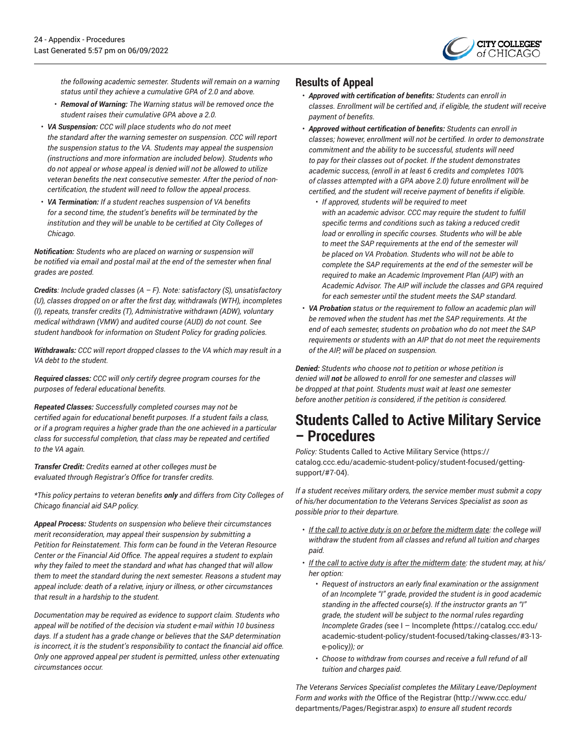

*the following academic semester. Students will remain on a warning status until they achieve a cumulative GPA of 2.0 and above.*

- *Removal of Warning: The Warning status will be removed once the student raises their cumulative GPA above a 2.0.*
- *VA Suspension: CCC will place students who do not meet the standard after the warning semester on suspension. CCC will report the suspension status to the VA. Students may appeal the suspension (instructions and more information are included below). Students who do not appeal or whose appeal is denied will not be allowed to utilize veteran benefits the next consecutive semester. After the period of noncertification, the student will need to follow the appeal process.*
- *VA Termination: If a student reaches suspension of VA benefits for a second time, the student's benefits will be terminated by the institution and they will be unable to be certified at City Colleges of Chicago.*

*Notification: Students who are placed on warning or suspension will be notified via email and postal mail at the end of the semester when final grades are posted.*

*Credits: Include graded classes (A – F). Note: satisfactory (S), unsatisfactory (U), classes dropped on or after the first day, withdrawals (WTH), incompletes (I), repeats, transfer credits (T), Administrative withdrawn (ADW), voluntary medical withdrawn (VMW) and audited course (AUD) do not count. See student handbook for information on Student Policy for grading policies.*

*Withdrawals: CCC will report dropped classes to the VA which may result in a VA debt to the student.*

*Required classes: CCC will only certify degree program courses for the purposes of federal educational benefits.*

*Repeated Classes: Successfully completed courses may not be certified again for educational benefit purposes. If a student fails a class, or if a program requires a higher grade than the one achieved in a particular class for successful completion, that class may be repeated and certified to the VA again.*

*Transfer Credit: Credits earned at other colleges must be evaluated through Registrar's Office for transfer credits.*

*\*This policy pertains to veteran benefits only and differs from City Colleges of Chicago financial aid SAP policy.*

*Appeal Process: Students on suspension who believe their circumstances merit reconsideration, may appeal their suspension by submitting a Petition for Reinstatement. This form can be found in the Veteran Resource Center or the Financial Aid Office. The appeal requires a student to explain why they failed to meet the standard and what has changed that will allow them to meet the standard during the next semester. Reasons a student may appeal include: death of a relative, injury or illness, or other circumstances that result in a hardship to the student.*

*Documentation may be required as evidence to support claim. Students who appeal will be notified of the decision via student e-mail within 10 business days. If a student has a grade change or believes that the SAP determination is incorrect, it is the student's responsibility to contact the financial aid office. Only one approved appeal per student is permitted, unless other extenuating circumstances occur.*

## **Results of Appeal**

- *Approved with certification of benefits: Students can enroll in classes. Enrollment will be certified and, if eligible, the student will receive payment of benefits.*
- *Approved without certification of benefits: Students can enroll in classes; however, enrollment will not be certified. In order to demonstrate commitment and the ability to be successful, students will need to pay for their classes out of pocket. If the student demonstrates academic success, (enroll in at least 6 credits and completes 100% of classes attempted with a GPA above 2.0) future enrollment will be certified, and the student will receive payment of benefits if eligible.*
	- *If approved, students will be required to meet with an academic advisor. CCC may require the student to fulfill specific terms and conditions such as taking a reduced credit load or enrolling in specific courses. Students who will be able to meet the SAP requirements at the end of the semester will be placed on VA Probation. Students who will not be able to complete the SAP requirements at the end of the semester will be required to make an Academic Improvement Plan (AIP) with an Academic Advisor. The AIP will include the classes and GPA required for each semester until the student meets the SAP standard.*
- *VA Probation status or the requirement to follow an academic plan will be removed when the student has met the SAP requirements. At the end of each semester, students on probation who do not meet the SAP requirements or students with an AIP that do not meet the requirements of the AIP, will be placed on suspension.*

*Denied: Students who choose not to petition or whose petition is denied will not be allowed to enroll for one semester and classes will be dropped at that point. Students must wait at least one semester before another petition is considered, if the petition is considered.*

# **Students Called to Active Military Service – Procedures**

*Policy:* [Students](https://catalog.ccc.edu/academic-student-policy/student-focused/getting-support/#7-04) Called to Active Military Service ([https://](https://catalog.ccc.edu/academic-student-policy/student-focused/getting-support/#7-04) [catalog.ccc.edu/academic-student-policy/student-focused/getting](https://catalog.ccc.edu/academic-student-policy/student-focused/getting-support/#7-04)[support/#7-04](https://catalog.ccc.edu/academic-student-policy/student-focused/getting-support/#7-04)).

*If a student receives military orders, the service member must submit a copy of his/her documentation to the Veterans Services Specialist as soon as possible prior to their departure.*

- *If the call to active duty is on or before the midterm date: the college will withdraw the student from all classes and refund all tuition and charges paid.*
- *If the call to active duty is after the midterm date: the student may, at his/ her option:*
	- *Request of instructors an early final examination or the assignment of an Incomplete "I" grade, provided the student is in good academic standing in the affected course(s). If the instructor grants an "I" grade, the student will be subject to the normal rules regarding Incomplete Grades (*[see I – Incomplete](https://catalog.ccc.edu/academic-student-policy/student-focused/taking-classes/#3-13-e-policy) *(*[https://catalog.ccc.edu/](https://catalog.ccc.edu/academic-student-policy/student-focused/taking-classes/#3-13-e-policy) [academic-student-policy/student-focused/taking-classes/#3-13](https://catalog.ccc.edu/academic-student-policy/student-focused/taking-classes/#3-13-e-policy) [e-policy](https://catalog.ccc.edu/academic-student-policy/student-focused/taking-classes/#3-13-e-policy)*)); or*
	- *Choose to withdraw from courses and receive a full refund of all tuition and charges paid.*

*The Veterans Services Specialist completes the Military Leave/Deployment Form and works with the* [Office of the Registrar](http://www.ccc.edu/departments/Pages/Registrar.aspx) ([http://www.ccc.edu/](http://www.ccc.edu/departments/Pages/Registrar.aspx) [departments/Pages/Registrar.aspx\)](http://www.ccc.edu/departments/Pages/Registrar.aspx) *to ensure all student records*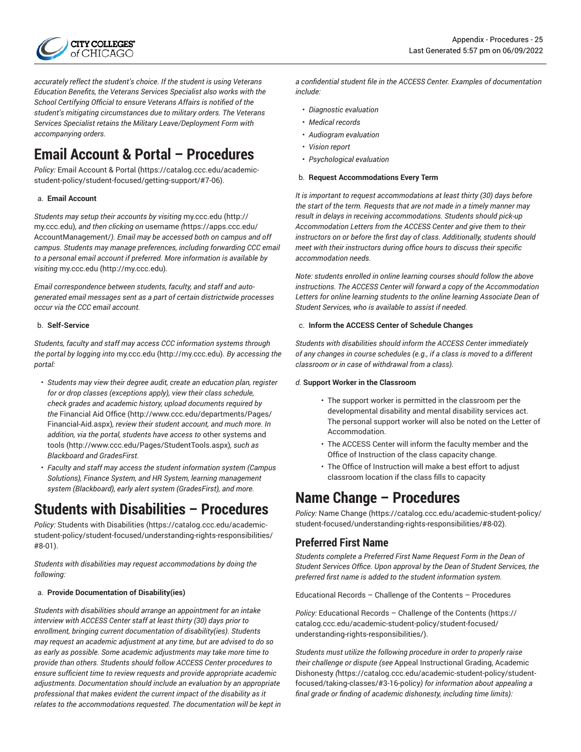

*accurately reflect the student's choice. If the student is using Veterans Education Benefits, the Veterans Services Specialist also works with the School Certifying Official to ensure Veterans Affairs is notified of the student's mitigating circumstances due to military orders. The Veterans Services Specialist retains the Military Leave/Deployment Form with accompanying orders.*

# **Email Account & Portal – Procedures**

*Policy:* Email [Account](https://catalog.ccc.edu/academic-student-policy/student-focused/getting-support/#7-06) & Portal ([https://catalog.ccc.edu/academic](https://catalog.ccc.edu/academic-student-policy/student-focused/getting-support/#7-06)[student-policy/student-focused/getting-support/#7-06\)](https://catalog.ccc.edu/academic-student-policy/student-focused/getting-support/#7-06).

#### a. **Email Account**

*Students may setup their accounts by visiting* [my.ccc.edu](http://my.ccc.edu) ([http://](http://my.ccc.edu) [my.ccc.edu\)](http://my.ccc.edu)*, and then clicking on* [username](https://apps.ccc.edu/AccountManagement/) *(*[https://apps.ccc.edu/](https://apps.ccc.edu/AccountManagement/) [AccountManagement/](https://apps.ccc.edu/AccountManagement/)*). Email may be accessed both on campus and off campus. Students may manage preferences, including forwarding CCC email to a personal email account if preferred. More information is available by visiting* [my.ccc.edu](http://my.ccc.edu) [\(http://my.ccc.edu\)](http://my.ccc.edu)*.*

*Email correspondence between students, faculty, and staff and autogenerated email messages sent as a part of certain districtwide processes occur via the CCC email account.*

#### b. **Self-Service**

*Students, faculty and staff may access CCC information systems through the portal by logging into* [my.ccc.edu \(http://my.ccc.edu](http://my.ccc.edu)). *By accessing the portal:*

- *Students may view their degree audit, create an education plan, register for or drop classes (exceptions apply), view their class schedule, check grades and academic history, upload documents required by the* [Financial Aid Office \(http://www.ccc.edu/departments/Pages/](http://www.ccc.edu/departments/Pages/Financial-Aid.aspx) [Financial-Aid.aspx\)](http://www.ccc.edu/departments/Pages/Financial-Aid.aspx)*, review their student account, and much more. In addition, via the portal, students have access to* [other systems and](http://www.ccc.edu/Pages/StudentTools.aspx) [tools](http://www.ccc.edu/Pages/StudentTools.aspx) (<http://www.ccc.edu/Pages/StudentTools.aspx>)*, such as Blackboard and GradesFirst.*
- *Faculty and staff may access the student information system (Campus Solutions), Finance System, and HR System, learning management system (Blackboard), early alert system (GradesFirst), and more.*

# **Students with Disabilities – Procedures**

*Policy:* [Students with Disabilities](https://catalog.ccc.edu/academic-student-policy/student-focused/understanding-rights-responsibilities/#8-01) ([https://catalog.ccc.edu/academic](https://catalog.ccc.edu/academic-student-policy/student-focused/understanding-rights-responsibilities/#8-01)[student-policy/student-focused/understanding-rights-responsibilities/](https://catalog.ccc.edu/academic-student-policy/student-focused/understanding-rights-responsibilities/#8-01) [#8-01\)](https://catalog.ccc.edu/academic-student-policy/student-focused/understanding-rights-responsibilities/#8-01).

*Students with disabilities may request accommodations by doing the following:*

#### a. **Provide Documentation of Disability(ies)**

*Students with disabilities should arrange an appointment for an intake interview with ACCESS Center staff at least thirty (30) days prior to enrollment, bringing current documentation of disability(ies). Students may request an academic adjustment at any time, but are advised to do so as early as possible. Some academic adjustments may take more time to provide than others. Students should follow ACCESS Center procedures to ensure sufficient time to review requests and provide appropriate academic adjustments. Documentation should include an evaluation by an appropriate professional that makes evident the current impact of the disability as it relates to the accommodations requested. The documentation will be kept in* *a confidential student file in the ACCESS Center. Examples of documentation include:*

- *Diagnostic evaluation*
- *Medical records*
- *Audiogram evaluation*
- *Vision report*
- *Psychological evaluation*

#### b. **Request Accommodations Every Term**

*It is important to request accommodations at least thirty (30) days before the start of the term. Requests that are not made in a timely manner may result in delays in receiving accommodations. Students should pick-up Accommodation Letters from the ACCESS Center and give them to their instructors on or before the first day of class. Additionally, students should meet with their instructors during office hours to discuss their specific accommodation needs.*

*Note: students enrolled in online learning courses should follow the above instructions. The ACCESS Center will forward a copy of the Accommodation Letters for online learning students to the online learning Associate Dean of Student Services, who is available to assist if needed.*

#### c. **Inform the ACCESS Center of Schedule Changes**

*Students with disabilities should inform the ACCESS Center immediately of any changes in course schedules (e.g., if a class is moved to a different classroom or in case of withdrawal from a class).*

#### *d.* **Support Worker in the Classroom**

- The support worker is permitted in the classroom per the developmental disability and mental disability services act. The personal support worker will also be noted on the Letter of Accommodation.
- The ACCESS Center will inform the faculty member and the Office of Instruction of the class capacity change.
- The Office of Instruction will make a best effort to adjust classroom location if the class fills to capacity

# **Name Change – Procedures**

*Policy:* [Name Change \(https://catalog.ccc.edu/academic-student-policy/](https://catalog.ccc.edu/academic-student-policy/student-focused/understanding-rights-responsibilities/#8-02) [student-focused/understanding-rights-responsibilities/#8-02](https://catalog.ccc.edu/academic-student-policy/student-focused/understanding-rights-responsibilities/#8-02)).

### **Preferred First Name**

*Students complete a Preferred First Name Request Form in the Dean of Student Services Office. Upon approval by the Dean of Student Services, the preferred first name is* a*dded to the student information system.*

Educational Records – Challenge of the Contents – Procedures

*Policy:* [Educational](https://catalog.ccc.edu/academic-student-policy/student-focused/understanding-rights-responsibilities/) Records – Challenge of the Contents [\(https://](https://catalog.ccc.edu/academic-student-policy/student-focused/understanding-rights-responsibilities/) [catalog.ccc.edu/academic-student-policy/student-focused/](https://catalog.ccc.edu/academic-student-policy/student-focused/understanding-rights-responsibilities/) [understanding-rights-responsibilities/\)](https://catalog.ccc.edu/academic-student-policy/student-focused/understanding-rights-responsibilities/).

*Students must utilize the following procedure in order to properly raise their challenge or dispute (see* [Appeal Instructional Grading, Academic](https://catalog.ccc.edu/academic-student-policy/student-focused/taking-classes/#3-16-policy) [Dishonesty](https://catalog.ccc.edu/academic-student-policy/student-focused/taking-classes/#3-16-policy) *(*[https://catalog.ccc.edu/academic-student-policy/student](https://catalog.ccc.edu/academic-student-policy/student-focused/taking-classes/#3-16-policy)[focused/taking-classes/#3-16-policy](https://catalog.ccc.edu/academic-student-policy/student-focused/taking-classes/#3-16-policy)*) for information about appealing a final grade or finding of academic dishonesty, including time limits):*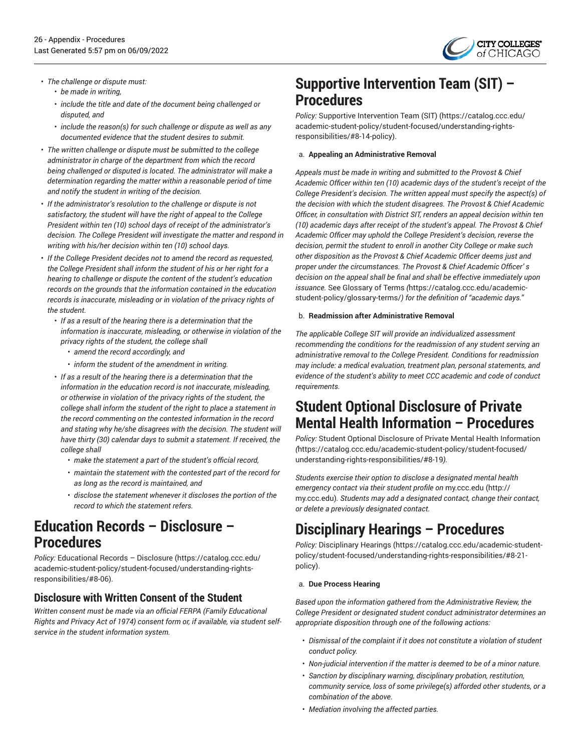

- *The challenge or dispute must:*
	- *be made in writing,*
	- *include the title and date of the document being challenged or disputed, and*
	- *include the reason(s) for such challenge or dispute as well as any documented evidence that the student desires to submit.*
- *The written challenge or dispute must be submitted to the college administrator in charge of the department from which the record being challenged or disputed is located. The administrator will make a determination regarding the matter within a reasonable period of time and notify the student in writing of the decision.*
- *If the administrator's resolution to the challenge or dispute is not satisfactory, the student will have the right of appeal to the College President within ten (10) school days of receipt of the administrator's decision. The College President will investigate the matter and respond in writing with his/her decision within ten (10) school days.*
- *If the College President decides not to amend the record as requested, the College President shall inform the student of his or her right for a hearing to challenge or dispute the content of the student's education records on the grounds that the information contained in the education records is inaccurate, misleading or in violation of the privacy rights of the student.*
	- *If as a result of the hearing there is a determination that the information is inaccurate, misleading, or otherwise in violation of the privacy rights of the student, the college shall*
		- *amend the record accordingly, and*
		- *inform the student of the amendment in writing.*
	- *If as a result of the hearing there is a determination that the information in the education record is not inaccurate, misleading, or otherwise in violation of the privacy rights of the student, the college shall inform the student of the right to place a statement in the record commenting on the contested information in the record and stating why he/she disagrees with the decision. The student will have thirty (30) calendar days to submit a statement. If received, the college shall*
		- *make the statement a part of the student's official record,*
		- *maintain the statement with the contested part of the record for as long as the record is maintained, and*
		- *disclose the statement whenever it discloses the portion of the record to which the statement refers.*

## **Education Records – Disclosure – Procedures**

*Policy:* [Educational](https://catalog.ccc.edu/academic-student-policy/student-focused/understanding-rights-responsibilities/#8-06) Records – Disclosure ([https://catalog.ccc.edu/](https://catalog.ccc.edu/academic-student-policy/student-focused/understanding-rights-responsibilities/#8-06) [academic-student-policy/student-focused/understanding-rights](https://catalog.ccc.edu/academic-student-policy/student-focused/understanding-rights-responsibilities/#8-06)[responsibilities/#8-06\)](https://catalog.ccc.edu/academic-student-policy/student-focused/understanding-rights-responsibilities/#8-06).

### **Disclosure with Written Consent of the Student**

*Written consent must be made via an official FERPA (Family Educational Rights and Privacy Act of 1974) consent form or, if available, via student selfservice in the student information system.*

# **Supportive Intervention Team (SIT) – Procedures**

*Policy:* Supportive [Intervention](https://catalog.ccc.edu/academic-student-policy/student-focused/understanding-rights-responsibilities/#8-14-policy) Team (SIT) ([https://catalog.ccc.edu/](https://catalog.ccc.edu/academic-student-policy/student-focused/understanding-rights-responsibilities/#8-14-policy) [academic-student-policy/student-focused/understanding-rights](https://catalog.ccc.edu/academic-student-policy/student-focused/understanding-rights-responsibilities/#8-14-policy)[responsibilities/#8-14-policy\)](https://catalog.ccc.edu/academic-student-policy/student-focused/understanding-rights-responsibilities/#8-14-policy).

#### a. **Appealing an Administrative Removal**

*Appeals must be made in writing and submitted to the Provost & Chief Academic Officer within ten (10) academic days of the student's receipt of the College President's decision. The written appeal must specify the aspect(s) of the decision with which the student disagrees. The Provost & Chief Academic Officer, in consultation with District SIT, renders an appeal decision within ten (10) academic days after receipt of the student's appeal. The Provost & Chief Academic Officer may uphold the College President's decision, reverse the decision, permit the student to enroll in another City College or make such other disposition as the Provost & Chief Academic Officer deems just and proper under the circumstances. The Provost & Chief Academic Officer' s decision on the appeal shall be final and shall be effective immediately upon issuance.* See [Glossary](https://catalog.ccc.edu/academic-student-policy/glossary-terms/) of Terms *(*[https://catalog.ccc.edu/academic](https://catalog.ccc.edu/academic-student-policy/glossary-terms/)[student-policy/glossary-terms/](https://catalog.ccc.edu/academic-student-policy/glossary-terms/)*) for the definition of "academic days."*

#### b. **Readmission after Administrative Removal**

*The applicable College SIT will provide an individualized assessment recommending the conditions for the readmission of any student serving an administrative removal to the College President. Conditions for readmission may include: a medical evaluation, treatment plan, personal statements, and evidence of the student's ability to meet CCC academic and code of conduct requirements.*

## **Student Optional Disclosure of Private Mental Health Information – Procedures**

*Policy:* Student Optional Disclosure of Private Mental Health [Information](https://catalog.ccc.edu/academic-student-policy/student-focused/understanding-rights-responsibilities/#8-19) *(*[https://catalog.ccc.edu/academic-student-policy/student-focused/](https://catalog.ccc.edu/academic-student-policy/student-focused/understanding-rights-responsibilities/#8-19) [understanding-rights-responsibilities/#8-19](https://catalog.ccc.edu/academic-student-policy/student-focused/understanding-rights-responsibilities/#8-19)*).*

*Students exercise their option to disclose a designated mental health emergency contact via their student profile on* [my.ccc.edu](http://my.ccc.edu) ([http://](http://my.ccc.edu) [my.ccc.edu](http://my.ccc.edu))*. Students may add a designated contact, change their contact, or delete a previously designated contact.*

# **Disciplinary Hearings – Procedures**

*Policy:* [Disciplinary](https://catalog.ccc.edu/academic-student-policy/student-focused/understanding-rights-responsibilities/#8-21-policy) Hearings [\(https://catalog.ccc.edu/academic-student](https://catalog.ccc.edu/academic-student-policy/student-focused/understanding-rights-responsibilities/#8-21-policy)[policy/student-focused/understanding-rights-responsibilities/#8-21](https://catalog.ccc.edu/academic-student-policy/student-focused/understanding-rights-responsibilities/#8-21-policy) [policy\)](https://catalog.ccc.edu/academic-student-policy/student-focused/understanding-rights-responsibilities/#8-21-policy).

#### a. **Due Process Hearing**

*Based upon the information gathered from the Administrative Review, the College President or designated student conduct administrator determines an appropriate disposition through one of the following actions:*

- *Dismissal of the complaint if it does not constitute a violation of student conduct policy.*
- *Non-judicial intervention if the matter is deemed to be of a minor nature.*
- *Sanction by disciplinary warning, disciplinary probation, restitution, community service, loss of some privilege(s) afforded other students, or a combination of the above.*
- *Mediation involving the affected parties.*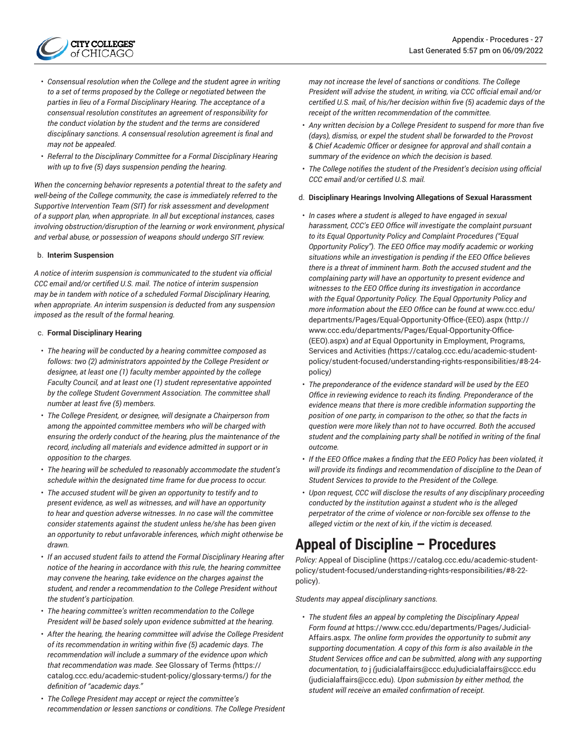

- *Consensual resolution when the College and the student agree in writing to a set of terms proposed by the College or negotiated between the parties in lieu of a Formal Disciplinary Hearing. The acceptance of a consensual resolution constitutes an agreement of responsibility for the conduct violation by the student and the terms are considered disciplinary sanctions. A consensual resolution agreement is final and may not be appealed.*
- *Referral to the Disciplinary Committee for a Formal Disciplinary Hearing with up to five (5) days suspension pending the hearing.*

*When the concerning behavior represents a potential threat to the safety and well-being of the College community, the case is immediately referred to the Supportive Intervention Team (SIT) for risk assessment and development of a support plan, when appropriate. In all but exceptional instances, cases involving obstruction/disruption of the learning or work environment, physical and verbal abuse, or possession of weapons should undergo SIT review.*

#### b. **Interim Suspension**

*A notice of interim suspension is communicated to the student via official CCC email and/or certified U.S. mail. The notice of interim suspension may be in tandem with notice of a scheduled Formal Disciplinary Hearing, when appropriate. An interim suspension is deducted from any suspension imposed as the result of the formal hearing.*

#### c. **Formal Disciplinary Hearing**

- *The hearing will be conducted by a hearing committee composed as follows: two (2) administrators appointed by the College President or designee, at least one (1) faculty member appointed by the college Faculty Council, and at least one (1) student representative appointed by the college Student Government Association. The committee shall number at least five (5) members.*
- *The College President, or designee, will designate a Chairperson from among the appointed committee members who will be charged with ensuring the orderly conduct of the hearing, plus the maintenance of the record, including all materials and evidence admitted in support or in opposition to the charges.*
- *The hearing will be scheduled to reasonably accommodate the student's schedule within the designated time frame for due process to occur.*
- *The accused student will be given an opportunity to testify and to present evidence, as well as witnesses, and will have an opportunity to hear and question adverse witnesses. In no case will the committee consider statements against the student unless he/she has been given an opportunity to rebut unfavorable inferences, which might otherwise be drawn.*
- *If an accused student fails to attend the Formal Disciplinary Hearing after notice of the hearing in accordance with this rule, the hearing committee may convene the hearing, take evidence on the charges against the student, and render a recommendation to the College President without the student's participation.*
- *The hearing committee's written recommendation to the College President will be based solely upon evidence submitted at the hearing.*
- *After the hearing, the hearing committee will advise the College President of its recommendation in writing within five (5) academic days. The recommendation will include a summary of the evidence upon which that recommendation was made. See* [Glossary](https://catalog.ccc.edu/academic-student-policy/glossary-terms/) of Terms *(*[https://](https://catalog.ccc.edu/academic-student-policy/glossary-terms/) [catalog.ccc.edu/academic-student-policy/glossary-terms/](https://catalog.ccc.edu/academic-student-policy/glossary-terms/)*) for the definition of "academic days."*
- *The College President may accept or reject the committee's recommendation or lessen sanctions or conditions. The College President*

*may not increase the level of sanctions or conditions. The College President will advise the student, in writing, via CCC official email and/or certified U.S. mail, of his/her decision within five (5) academic days of the receipt of the written recommendation of the committee.*

- *Any written decision by a College President to suspend for more than five (days), dismiss, or expel the student shall be forwarded to the Provost & Chief Academic Officer or designee for approval and shall contain a summary of the evidence on which the decision is based.*
- *The College notifies the student of the President's decision using official CCC email and/or certified U.S. mail.*
- d. **Disciplinary Hearings Involving Allegations of Sexual Harassment**
- *In cases where a student is alleged to have engaged in sexual harassment, CCC's EEO Office will investigate the complaint pursuant to its Equal Opportunity Policy and Complaint Procedures ("Equal Opportunity Policy"). The EEO Office may modify academic or working situations while an investigation is pending if the EEO Office believes there is a threat of imminent harm. Both the accused student and the complaining party will have an opportunity to present evidence and witnesses to the EEO Office during its investigation in accordance with the Equal Opportunity Policy. The Equal Opportunity Policy and more information about the EEO Office can be found at* [www.ccc.edu/](http://www.ccc.edu/departments/Pages/Equal-Opportunity-Office-(EEO).aspx) [departments/Pages/Equal-Opportunity-Office-\(EEO\).aspx](http://www.ccc.edu/departments/Pages/Equal-Opportunity-Office-(EEO).aspx) ([http://](http://www.ccc.edu/departments/Pages/Equal-Opportunity-Office-(EEO).aspx) [www.ccc.edu/departments/Pages/Equal-Opportunity-Office-](http://www.ccc.edu/departments/Pages/Equal-Opportunity-Office-(EEO).aspx) [\(EEO\).aspx\)](http://www.ccc.edu/departments/Pages/Equal-Opportunity-Office-(EEO).aspx) *and at* Equal Opportunity in [Employment,](https://catalog.ccc.edu/academic-student-policy/student-focused/understanding-rights-responsibilities/#8-24-policy) Programs, Services and [Activities](https://catalog.ccc.edu/academic-student-policy/student-focused/understanding-rights-responsibilities/#8-24-policy) *(*[https://catalog.ccc.edu/academic-student](https://catalog.ccc.edu/academic-student-policy/student-focused/understanding-rights-responsibilities/#8-24-policy)[policy/student-focused/understanding-rights-responsibilities/#8-24](https://catalog.ccc.edu/academic-student-policy/student-focused/understanding-rights-responsibilities/#8-24-policy) [policy](https://catalog.ccc.edu/academic-student-policy/student-focused/understanding-rights-responsibilities/#8-24-policy)*)*
- *The preponderance of the evidence standard will be used by the EEO Office in reviewing evidence to reach its finding. Preponderance of the evidence means that there is more credible information supporting the position of one party, in comparison to the other, so that the facts in question were more likely than not to have occurred. Both the accused student and the complaining party shall be notified in writing of the final outcome.*
- *If the EEO Office makes a finding that the EEO Policy has been violated, it will provide its findings and recommendation of discipline to the Dean of Student Services to provide to the President of the College.*
- *Upon request, CCC will disclose the results of any disciplinary proceeding conducted by the institution against a student who is the alleged perpetrator of the crime of violence or non-forcible sex offense to the alleged victim or the next of kin, if the victim is deceased.*

# **Appeal of Discipline – Procedures**

*Policy:* [Appeal of Discipline](https://catalog.ccc.edu/academic-student-policy/student-focused/understanding-rights-responsibilities/#8-22-policy) ([https://catalog.ccc.edu/academic-student](https://catalog.ccc.edu/academic-student-policy/student-focused/understanding-rights-responsibilities/#8-22-policy)[policy/student-focused/understanding-rights-responsibilities/#8-22](https://catalog.ccc.edu/academic-student-policy/student-focused/understanding-rights-responsibilities/#8-22-policy) [policy\)](https://catalog.ccc.edu/academic-student-policy/student-focused/understanding-rights-responsibilities/#8-22-policy).

*Students may appeal disciplinary sanctions.*

• *The student files an appeal by completing the Disciplinary Appeal Form found at* [https://www.ccc.edu/departments/Pages/Judicial-](https://www.ccc.edu/departments/Pages/Judicial-Affairs.aspx)[Affairs.aspx](https://www.ccc.edu/departments/Pages/Judicial-Affairs.aspx)*. The online form provides the opportunity to submit any supporting documentation. A copy of this form is also available in the Student Services office and can be submitted, along with any supporting documentation, to* [j](mailto:judicialaffairs@ccc.edu) *(*<judicialaffairs@ccc.edu>*)*[udicialaffairs@ccc.edu](mailto:judicialaffairs@ccc.edu) [\(judicialaffairs@ccc.edu](judicialaffairs@ccc.edu))*. Upon submission by either method, the student will receive an emailed confirmation of receipt.*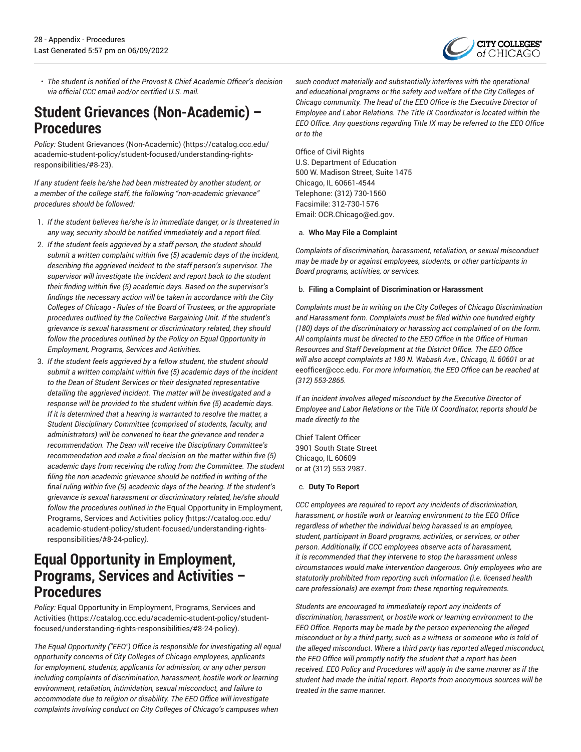

• *The student is notified of the Provost & Chief Academic Officer's decision via official CCC email and/or certified U.S. mail.*

# **Student Grievances (Non-Academic) – Procedures**

*Policy:* Student Grievances [\(Non-Academic\)](https://catalog.ccc.edu/academic-student-policy/student-focused/understanding-rights-responsibilities/#8-23) ([https://catalog.ccc.edu/](https://catalog.ccc.edu/academic-student-policy/student-focused/understanding-rights-responsibilities/#8-23) [academic-student-policy/student-focused/understanding-rights](https://catalog.ccc.edu/academic-student-policy/student-focused/understanding-rights-responsibilities/#8-23)[responsibilities/#8-23\)](https://catalog.ccc.edu/academic-student-policy/student-focused/understanding-rights-responsibilities/#8-23).

*If any student feels he/she had been mistreated by another student, or a member of the college staff, the following "non-academic grievance" procedures should be followed:*

- 1. *If the student believes he/she is in immediate danger, or is threatened in any way, security should be notified immediately and a report filed.*
- 2. *If the student feels aggrieved by a staff person, the student should submit a written complaint within five (5) academic days of the incident, describing the aggrieved incident to the staff person's supervisor. The supervisor will investigate the incident and report back to the student their finding within five (5) academic days. Based on the supervisor's findings the necessary action will be taken in accordance with the City Colleges of Chicago - Rules of the Board of Trustees, or the appropriate procedures outlined by the Collective Bargaining Unit. If the student's grievance is sexual harassment or discriminatory related, they should follow the procedures outlined by the Policy on Equal Opportunity in Employment, Programs, Services and Activities.*
- 3. *If the student feels aggrieved by a fellow student, the student should submit a written complaint within five (5) academic days of the incident to the Dean of Student Services or their designated representative detailing the aggrieved incident. The matter will be investigated and a response will be provided to the student within five (5) academic days. If it is determined that a hearing is warranted to resolve the matter, a Student Disciplinary Committee (comprised of students, faculty, and administrators) will be convened to hear the grievance and render a recommendation. The Dean will receive the Disciplinary Committee's recommendation and make a final decision on the matter within five (5) academic days from receiving the ruling from the Committee. The student filing the non-academic grievance should be notified in writing of the final ruling within five (5) academic days of the hearing. If the student's grievance is sexual harassment or discriminatory related, he/she should follow the procedures outlined in the* Equal Opportunity in [Employment,](https://catalog.ccc.edu/academic-student-policy/student-focused/understanding-rights-responsibilities/#8-24-policy) [Programs,](https://catalog.ccc.edu/academic-student-policy/student-focused/understanding-rights-responsibilities/#8-24-policy) Services and Activities policy *(*[https://catalog.ccc.edu/](https://catalog.ccc.edu/academic-student-policy/student-focused/understanding-rights-responsibilities/#8-24-policy) [academic-student-policy/student-focused/understanding-rights](https://catalog.ccc.edu/academic-student-policy/student-focused/understanding-rights-responsibilities/#8-24-policy)[responsibilities/#8-24-policy](https://catalog.ccc.edu/academic-student-policy/student-focused/understanding-rights-responsibilities/#8-24-policy)*).*

# **Equal Opportunity in Employment, Programs, Services and Activities – Procedures**

*Policy:* Equal Opportunity in [Employment,](https://catalog.ccc.edu/academic-student-policy/student-focused/understanding-rights-responsibilities/#8-24-policy) Programs, Services and [Activities](https://catalog.ccc.edu/academic-student-policy/student-focused/understanding-rights-responsibilities/#8-24-policy) [\(https://catalog.ccc.edu/academic-student-policy/student](https://catalog.ccc.edu/academic-student-policy/student-focused/understanding-rights-responsibilities/#8-24-policy)[focused/understanding-rights-responsibilities/#8-24-policy\)](https://catalog.ccc.edu/academic-student-policy/student-focused/understanding-rights-responsibilities/#8-24-policy).

*The Equal Opportunity ("EEO") Office is responsible for investigating all equal opportunity concerns of City Colleges of Chicago employees, applicants for employment, students, applicants for admission, or any other person including complaints of discrimination, harassment, hostile work or learning environment, retaliation, intimidation, sexual misconduct, and failure to accommodate due to religion or disability. The EEO Office will investigate complaints involving conduct on City Colleges of Chicago's campuses when*

*such conduct materially and substantially interferes with the operational and educational programs or the safety and welfare of the City Colleges of Chicago community. The head of the EEO Office is the Executive Director of Employee and Labor Relations. The Title IX Coordinator is located within the EEO Office. Any questions regarding Title IX may be referred to the EEO Office or to the*

Office of Civil Rights U.S. Department of Education 500 W. Madison Street, Suite 1475 Chicago, IL 60661-4544 Telephone: (312) 730-1560 Facsimile: 312-730-1576 Email: [OCR.Chicago@ed.gov.](mailto:OCR.Chicago@ed.gov)

#### a. **Who May File a Complaint**

*Complaints of discrimination, harassment, retaliation, or sexual misconduct may be made by or against employees, students, or other participants in Board programs, activities, or services.*

#### b. **Filing a Complaint of Discrimination or Harassment**

*Complaints must be in writing on the City Colleges of Chicago Discrimination and Harassment form. Complaints must be filed within one hundred eighty (180) days of the discriminatory or harassing act complained of on the form. All complaints must be directed to the EEO Office in the Office of Human Resources and Staff Development at the District Office. The EEO Office will also accept complaints at 180 N. Wabash Ave., Chicago, IL 60601 or at* [eeofficer@ccc.edu](mailto:eeofficer@ccc.edu)*. For more information, the EEO Office can be reached at (312) 553-2865.*

*If an incident involves alleged misconduct by the Executive Director of Employee and Labor Relations or the Title IX Coordinator, reports should be made directly to the*

Chief Talent Officer 3901 South State Street Chicago, IL 60609 or at (312) 553-2987.

#### c. **Duty To Report**

*CCC employees are required to report any incidents of discrimination, harassment, or hostile work or learning environment to the EEO Office regardless of whether the individual being harassed is an employee, student, participant in Board programs, activities, or services, or other person. Additionally, if CCC employees observe acts of harassment, it is recommended that they intervene to stop the harassment unless circumstances would make intervention dangerous. Only employees who are statutorily prohibited from reporting such information (i.e. licensed health care professionals) are exempt from these reporting requirements.*

*Students are encouraged to immediately report any incidents of discrimination, harassment, or hostile work or learning environment to the EEO Office. Reports may be made by the person experiencing the alleged misconduct or by a third party, such as a witness or someone who is told of the alleged misconduct. Where a third party has reported alleged misconduct, the EEO Office will promptly notify the student that a report has been received. EEO Policy and Procedures will apply in the same manner as if the student had made the initial report. Reports from anonymous sources will be treated in the same manner.*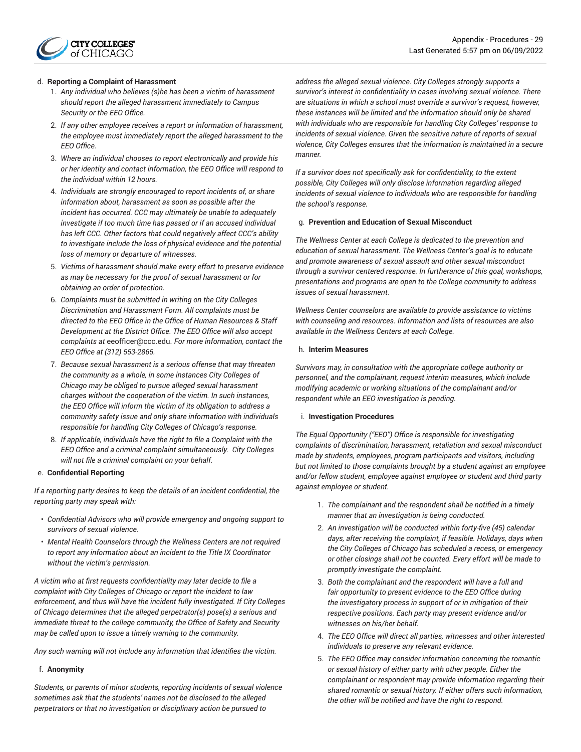

#### d. **Reporting a Complaint of Harassment**

- 1. *Any individual who believes (s)he has been a victim of harassment should report the alleged harassment immediately to Campus Security or the EEO Office.*
- 2. *If any other employee receives a report or information of harassment, the employee must immediately report the alleged harassment to the EEO Office.*
- 3. *Where an individual chooses to report electronically and provide his or her identity and contact information, the EEO Office will respond to the individual within 12 hours.*
- 4. *Individuals are strongly encouraged to report incidents of, or share information about, harassment as soon as possible after the incident has occurred. CCC may ultimately be unable to adequately investigate if too much time has passed or if an accused individual has left CCC. Other factors that could negatively affect CCC's ability to investigate include the loss of physical evidence and the potential loss of memory or departure of witnesses.*
- 5. *Victims of harassment should make every effort to preserve evidence as may be necessary for the proof of sexual harassment or for obtaining an order of protection.*
- 6. *Complaints must be submitted in writing on the City Colleges Discrimination and Harassment Form. All complaints must be directed to the EEO Office in the Office of Human Resources & Staff Development at the District Office. The EEO Office will also accept complaints at* [eeofficer@ccc.edu](mailto:eeofficer@ccc.edu). *For more information, contact the EEO Office at (312) 553-2865.*
- 7. *Because sexual harassment is a serious offense that may threaten the community as a whole, in some instances City Colleges of Chicago may be obliged to pursue alleged sexual harassment charges without the cooperation of the victim. In such instances, the EEO Office will inform the victim of its obligation to address a community safety issue and only share information with individuals responsible for handling City Colleges of Chicago's response.*
- 8. *If applicable, individuals have the right to file a Complaint with the EEO Office and a criminal complaint simultaneously. City Colleges will not file a criminal complaint on your behalf.*

#### e. **Confidential Reporting**

*If a reporting party desires to keep the details of an incident confidential, the reporting party may speak with:*

- *Confidential Advisors who will provide emergency and ongoing support to survivors of sexual violence.*
- *Mental Health Counselors through the Wellness Centers are not required to report any information about an incident to the Title IX Coordinator without the victim's permission.*

*A victim who at first requests confidentiality may later decide to file a complaint with City Colleges of Chicago or report the incident to law enforcement, and thus will have the incident fully investigated. If City Colleges of Chicago determines that the alleged perpetrator(s) pose(s) a serious and immediate threat to the college community, the Office of Safety and Security may be called upon to issue a timely warning to the community.*

*Any such warning will not include any information that identifies the victim.*

#### f. **Anonymity**

*Students, or parents of minor students, reporting incidents of sexual violence sometimes ask that the students' names not be disclosed to the alleged perpetrators or that no investigation or disciplinary action be pursued to*

*address the alleged sexual violence. City Colleges strongly supports a survivor's interest in confidentiality in cases involving sexual violence. There are situations in which a school must override a survivor's request, however, these instances will be limited and the information should only be shared with individuals who are responsible for handling City Colleges' response to incidents of sexual violence. Given the sensitive nature of reports of sexual violence, City Colleges ensures that the information is maintained in a secure manner.*

*If a survivor does not specifically ask for confidentiality, to the extent possible, City Colleges will only disclose information regarding alleged incidents of sexual violence to individuals who are responsible for handling the school's response.*

#### g. **Prevention and Education of Sexual Misconduct**

*The Wellness Center at each College is dedicated to the prevention and education of sexual harassment. The Wellness Center's goal is to educate and promote awareness of sexual assault and other sexual misconduct through a survivor centered response. In furtherance of this goal, workshops, presentations and programs are open to the College community to address issues of sexual harassment.*

*Wellness Center counselors are available to provide assistance to victims with counseling and resources. Information and lists of resources are also available in the Wellness Centers at each College.*

#### h. **Interim Measures**

*Survivors may, in consultation with the appropriate college authority or personnel, and the complainant, request interim measures, which include modifying academic or working situations of the complainant and/or respondent while an EEO investigation is pending.*

#### i. **Investigation Procedures**

*The Equal Opportunity ("EEO") Office is responsible for investigating complaints of discrimination, harassment, retaliation and sexual misconduct made by students, employees, program participants and visitors, including but not limited to those complaints brought by a student against an employee and/or fellow student, employee against employee or student and third party against employee or student.*

- 1. *The complainant and the respondent shall be notified in a timely manner that an investigation is being conducted.*
- 2. *An investigation will be conducted within forty-five (45) calendar days, after receiving the complaint, if feasible. Holidays, days when the City Colleges of Chicago has scheduled a recess, or emergency or other closings shall not be counted. Every effort will be made to promptly investigate the complaint.*
- 3. *Both the complainant and the respondent will have a full and fair opportunity to present evidence to the EEO Office during the investigatory process in support of or in mitigation of their respective positions. Each party may present evidence and/or witnesses on his/her behalf.*
- 4. *The EEO Office will direct all parties, witnesses and other interested individuals to preserve any relevant evidence.*
- 5. *The EEO Office may consider information concerning the romantic or sexual history of either party with other people. Either the complainant or respondent may provide information regarding their shared romantic or sexual history. If either offers such information, the other will be notified and have the right to respond.*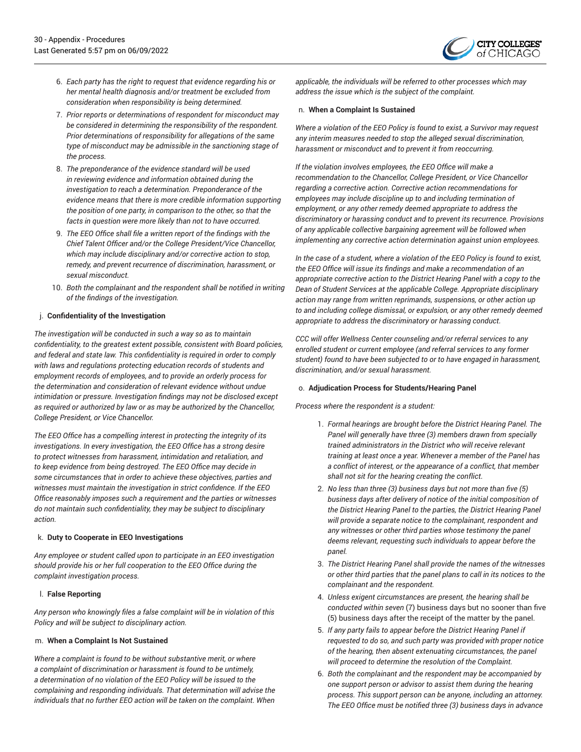

- 6. *Each party has the right to request that evidence regarding his or her mental health diagnosis and/or treatment be excluded from consideration when responsibility is being determined.*
- 7. *Prior reports or determinations of respondent for misconduct may be considered in determining the responsibility of the respondent. Prior determinations of responsibility for allegations of the same type of misconduct may be admissible in the sanctioning stage of the process.*
- 8. *The preponderance of the evidence standard will be used in reviewing evidence and information obtained during the investigation to reach a determination. Preponderance of the evidence means that there is more credible information supporting the position of one party, in comparison to the other, so that the facts in question were more likely than not to have occurred.*
- 9. *The EEO Office shall file a written report of the findings with the Chief Talent Officer and/or the College President/Vice Chancellor, which may include disciplinary and/or corrective action to stop, remedy, and prevent recurrence of discrimination, harassment, or sexual misconduct.*
- 10. *Both the complainant and the respondent shall be notified in writing of the findings of the investigation.*

#### j. **Confidentiality of the Investigation**

*The investigation will be conducted in such a way so as to maintain confidentiality, to the greatest extent possible, consistent with Board policies, and federal and state law. This confidentiality is required in order to comply with laws and regulations protecting education records of students and employment records of employees, and to provide an orderly process for the determination and consideration of relevant evidence without undue intimidation or pressure. Investigation findings may not be disclosed except as required or authorized by law or as may be authorized by the Chancellor, College President, or Vice Chancellor.*

*The EEO Office has a compelling interest in protecting the integrity of its investigations. In every investigation, the EEO Office has a strong desire to protect witnesses from harassment, intimidation and retaliation, and to keep evidence from being destroyed. The EEO Office may decide in some circumstances that in order to achieve these objectives, parties and witnesses must maintain the investigation in strict confidence. If the EEO Office reasonably imposes such a requirement and the parties or witnesses do not maintain such confidentiality, they may be subject to disciplinary action.*

#### k. **Duty to Cooperate in EEO Investigations**

*Any employee or student called upon to participate in an EEO investigation should provide his or her full cooperation to the EEO Office during the complaint investigation process.*

#### l. **False Reporting**

*Any person who knowingly files a false complaint will be in violation of this Policy and will be subject to disciplinary action.*

#### m. **When a Complaint Is Not Sustained**

*Where a complaint is found to be without substantive merit, or where a complaint of discrimination or harassment is found to be untimely, a determination of no violation of the EEO Policy will be issued to the complaining and responding individuals. That determination will advise the individuals that no further EEO action will be taken on the complaint. When*

*applicable, the individuals will be referred to other processes which may address the issue which is the subject of the complaint.*

#### n. **When a Complaint Is Sustained**

*Where a violation of the EEO Policy is found to exist, a Survivor may request any interim measures needed to stop the alleged sexual discrimination, harassment or misconduct and to prevent it from reoccurring.*

*If the violation involves employees, the EEO Office will make a recommendation to the Chancellor, College President, or Vice Chancellor regarding a corrective action. Corrective action recommendations for employees may include discipline up to and including termination of employment, or any other remedy deemed appropriate to address the discriminatory or harassing conduct and to prevent its recurrence. Provisions of any applicable collective bargaining agreement will be followed when implementing any corrective action determination against union employees.*

*In the case of a student, where a violation of the EEO Policy is found to exist, the EEO Office will issue its findings and make a recommendation of an appropriate corrective action to the District Hearing Panel with a copy to the Dean of Student Services at the applicable College. Appropriate disciplinary action may range from written reprimands, suspensions, or other action up to and including college dismissal, or expulsion, or any other remedy deemed appropriate to address the discriminatory or harassing conduct.*

*CCC will offer Wellness Center counseling and/or referral services to any enrolled student or current employee (and referral services to any former student) found to have been subjected to or to have engaged in harassment, discrimination, and/or sexual harassment.*

#### o. **Adjudication Process for Students/Hearing Panel**

*Process where the respondent is a student:*

- 1. *Formal hearings are brought before the District Hearing Panel. The Panel will generally have three (3) members drawn from specially trained administrators in the District who will receive relevant training at least once a year. Whenever a member of the Panel has a conflict of interest, or the appearance of a conflict, that member shall not sit for the hearing creating the conflict.*
- 2. *No less than three (3) business days but not more than five (5) business days after delivery of notice of the initial composition of the District Hearing Panel to the parties, the District Hearing Panel will provide a separate notice to the complainant, respondent and any witnesses or other third parties whose testimony the panel deems relevant, requesting such individuals to appear before the panel.*
- 3. *The District Hearing Panel shall provide the names of the witnesses or other third parties that the panel plans to call in its notices to the complainant and the respondent.*
- 4. *Unless exigent circumstances are present, the hearing shall be conducted within seven* (7) business days but no sooner than five (5) business days after the receipt of the matter by the panel.
- 5. *If any party fails to appear before the District Hearing Panel if requested to do so, and such party was provided with proper notice of the hearing, then absent extenuating circumstances, the panel will proceed to determine the resolution of the Complaint.*
- 6. *Both the complainant and the respondent may be accompanied by one support person or advisor to assist them during the hearing process. This support person can be anyone, including an attorney. The EEO Office must be notified three (3) business days in advance*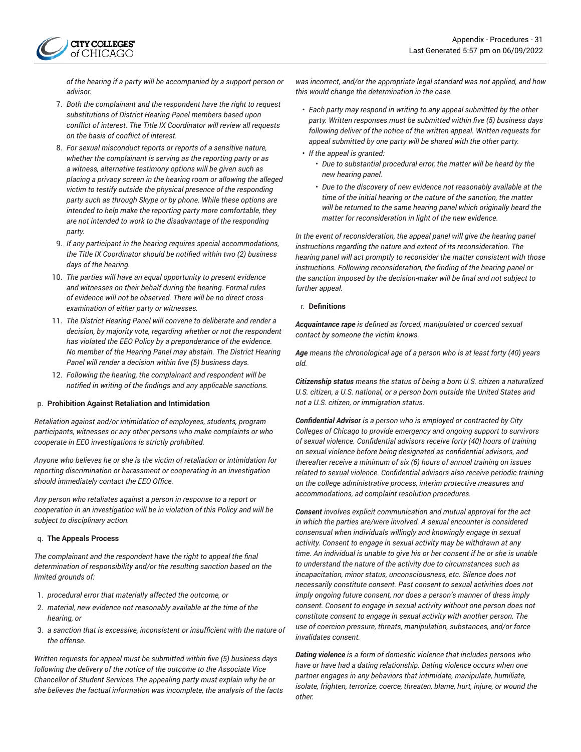

*of the hearing if a party will be accompanied by a support person or advisor.*

- 7. *Both the complainant and the respondent have the right to request substitutions of District Hearing Panel members based upon conflict of interest. The Title IX Coordinator will review all requests on the basis of conflict of interest.*
- 8. *For sexual misconduct reports or reports of a sensitive nature, whether the complainant is serving as the reporting party or as a witness, alternative testimony options will be given such as placing a privacy screen in the hearing room or allowing the alleged victim to testify outside the physical presence of the responding party such as through Skype or by phone. While these options are intended to help make the reporting party more comfortable, they are not intended to work to the disadvantage of the responding party.*
- 9. *If any participant in the hearing requires special accommodations, the Title IX Coordinator should be notified within two (2) business days of the hearing.*
- 10. *The parties will have an equal opportunity to present evidence and witnesses on their behalf during the hearing. Formal rules of evidence will not be observed. There will be no direct crossexamination of either party or witnesses.*
- 11. *The District Hearing Panel will convene to deliberate and render a decision, by majority vote, regarding whether or not the respondent has violated the EEO Policy by a preponderance of the evidence. No member of the Hearing Panel may abstain. The District Hearing Panel will render a decision within five (5) business days.*
- 12. *Following the hearing, the complainant and respondent will be notified in writing of the findings and any applicable sanctions.*

#### p. **Prohibition Against Retaliation and Intimidation**

*Retaliation against and/or intimidation of employees, students, program participants, witnesses or any other persons who make complaints or who cooperate in EEO investigations is strictly prohibited.*

*Anyone who believes he or she is the victim of retaliation or intimidation for reporting discrimination or harassment or cooperating in an investigation should immediately contact the EEO Office.*

*Any person who retaliates against a person in response to a report or cooperation in an investigation will be in violation of this Policy and will be subject to disciplinary action.*

#### q. **The Appeals Process**

*The complainant and the respondent have the right to appeal the final determination of responsibility and/or the resulting sanction based on the limited grounds of:*

- 1. *procedural error that materially affected the outcome, or*
- 2. *material, new evidence not reasonably available at the time of the hearing, or*
- 3. *a sanction that is excessive, inconsistent or insufficient with the nature of the offense.*

*Written requests for appeal must be submitted within five (5) business days following the delivery of the notice of the outcome to the Associate Vice Chancellor of Student Services.The appealing party must explain why he or she believes the factual information was incomplete, the analysis of the facts* *was incorrect, and/or the appropriate legal standard was not applied, and how this would change the determination in the case.*

- *Each party may respond in writing to any appeal submitted by the other party. Written responses must be submitted within five (5) business days following deliver of the notice of the written appeal. Written requests for appeal submitted by one party will be shared with the other party.*
- *If the appeal is granted:*
	- *Due to substantial procedural error, the matter will be heard by the new hearing panel.*
	- *Due to the discovery of new evidence not reasonably available at the time of the initial hearing or the nature of the sanction, the matter will be returned to the same hearing panel which originally heard the matter for reconsideration in light of the new evidence.*

*In the event of reconsideration, the appeal panel will give the hearing panel instructions regarding the nature and extent of its reconsideration. The hearing panel will act promptly to reconsider the matter consistent with those instructions. Following reconsideration, the finding of the hearing panel or the sanction imposed by the decision-maker will be final and not subject to further appeal.*

r. **Definitions**

*Acquaintance rape is defined as forced, manipulated or coerced sexual contact by someone the victim knows.*

*Age means the chronological age of a person who is at least forty (40) years old.*

*Citizenship status means the status of being a born U.S. citizen a naturalized U.S. citizen, a U.S. national, or a person born outside the United States and not a U.S. citizen, or immigration status.*

*Confidential Advisor is a person who is employed or contracted by City Colleges of Chicago to provide emergency and ongoing support to survivors of sexual violence. Confidential advisors receive forty (40) hours of training on sexual violence before being designated as confidential advisors, and thereafter receive a minimum of six (6) hours of annual training on issues related to sexual violence. Confidential advisors also receive periodic training on the college administrative process, interim protective measures and accommodations, ad complaint resolution procedures.*

*Consent involves explicit communication and mutual approval for the act in which the parties are/were involved. A sexual encounter is considered consensual when individuals willingly and knowingly engage in sexual activity. Consent to engage in sexual activity may be withdrawn at any time. An individual is unable to give his or her consent if he or she is unable to understand the nature of the activity due to circumstances such as incapacitation, minor status, unconsciousness, etc. Silence does not necessarily constitute consent. Past consent to sexual activities does not imply ongoing future consent, nor does a person's manner of dress imply consent. Consent to engage in sexual activity without one person does not constitute consent to engage in sexual activity with another person. The use of coercion pressure, threats, manipulation, substances, and/or force invalidates consent.*

*Dating violence is a form of domestic violence that includes persons who have or have had a dating relationship. Dating violence occurs when one partner engages in any behaviors that intimidate, manipulate, humiliate, isolate, frighten, terrorize, coerce, threaten, blame, hurt, injure, or wound the other.*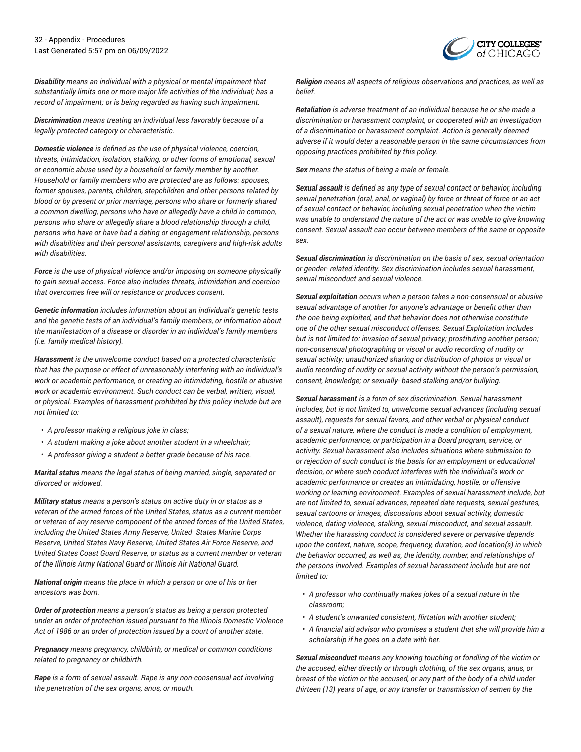

*Disability means an individual with a physical or mental impairment that substantially limits one or more major life activities of the individual; has a record of impairment; or is being regarded as having such impairment.*

*Discrimination means treating an individual less favorably because of a legally protected category or characteristic.*

*Domestic violence is defined as the use of physical violence, coercion, threats, intimidation, isolation, stalking, or other forms of emotional, sexual or economic abuse used by a household or family member by another. Household or family members who are protected are as follows: spouses, former spouses, parents, children, stepchildren and other persons related by blood or by present or prior marriage, persons who share or formerly shared a common dwelling, persons who have or allegedly have a child in common, persons who share or allegedly share a blood relationship through a child, persons who have or have had a dating or engagement relationship, persons with disabilities and their personal assistants, caregivers and high-risk adults with disabilities.*

*Force is the use of physical violence and/or imposing on someone physically to gain sexual access. Force also includes threats, intimidation and coercion that overcomes free will or resistance or produces consent.*

*Genetic information includes information about an individual's genetic tests and the genetic tests of an individual's family members, or information about the manifestation of a disease or disorder in an individual's family members (i.e. family medical history).*

*Harassment is the unwelcome conduct based on a protected characteristic that has the purpose or effect of unreasonably interfering with an individual's work or academic performance, or creating an intimidating, hostile or abusive work or academic environment. Such conduct can be verbal, written, visual, or physical. Examples of harassment prohibited by this policy include but are not limited to:*

- *A professor making a religious joke in class;*
- *A student making a joke about another student in a wheelchair;*
- *A professor giving a student a better grade because of his race.*

*Marital status means the legal status of being married, single, separated or divorced or widowed.*

*Military status means a person's status on active duty in or status as a veteran of the armed forces of the United States, status as a current member or veteran of any reserve component of the armed forces of the United States, including the United States Army Reserve, United States Marine Corps Reserve, United States Navy Reserve, United States Air Force Reserve, and United States Coast Guard Reserve, or status as a current member or veteran of the Illinois Army National Guard or Illinois Air National Guard.*

*National origin means the place in which a person or one of his or her ancestors was born.*

*Order of protection means a person's status as being a person protected under an order of protection issued pursuant to the Illinois Domestic Violence Act of 1986 or an order of protection issued by a court of another state.*

*Pregnancy means pregnancy, childbirth, or medical or common conditions related to pregnancy or childbirth.*

*Rape is a form of sexual assault. Rape is any non-consensual act involving the penetration of the sex organs, anus, or mouth.*

*Religion means all aspects of religious observations and practices, as well as belief.*

*Retaliation is adverse treatment of an individual because he or she made a discrimination or harassment complaint, or cooperated with an investigation of a discrimination or harassment complaint. Action is generally deemed adverse if it would deter a reasonable person in the same circumstances from opposing practices prohibited by this policy.*

*Sex means the status of being a male or female.*

*Sexual assault is defined as any type of sexual contact or behavior, including sexual penetration (oral, anal, or vaginal) by force or threat of force or an act of sexual contact or behavior, including sexual penetration when the victim was unable to understand the nature of the act or was unable to give knowing consent. Sexual assault can occur between members of the same or opposite sex.*

*Sexual discrimination is discrimination on the basis of sex, sexual orientation or gender- related identity. Sex discrimination includes sexual harassment, sexual misconduct and sexual violence.*

*Sexual exploitation occurs when a person takes a non-consensual or abusive sexual advantage of another for anyone's advantage or benefit other than the one being exploited, and that behavior does not otherwise constitute one of the other sexual misconduct offenses. Sexual Exploitation includes but is not limited to: invasion of sexual privacy; prostituting another person; non-consensual photographing or visual or audio recording of nudity or sexual activity; unauthorized sharing or distribution of photos or visual or audio recording of nudity or sexual activity without the person's permission, consent, knowledge; or sexually- based stalking and/or bullying.*

*Sexual harassment is a form of sex discrimination. Sexual harassment includes, but is not limited to, unwelcome sexual advances (including sexual assault), requests for sexual favors, and other verbal or physical conduct of a sexual nature, where the conduct is made a condition of employment, academic performance, or participation in a Board program, service, or activity. Sexual harassment also includes situations where submission to or rejection of such conduct is the basis for an employment or educational decision, or where such conduct interferes with the individual's work or academic performance or creates an intimidating, hostile, or offensive working or learning environment. Examples of sexual harassment include, but are not limited to, sexual advances, repeated date requests, sexual gestures, sexual cartoons or images, discussions about sexual activity, domestic violence, dating violence, stalking, sexual misconduct, and sexual assault. Whether the harassing conduct is considered severe or pervasive depends upon the context, nature, scope, frequency, duration, and location(s) in which the behavior occurred, as well as, the identity, number, and relationships of the persons involved. Examples of sexual harassment include but are not limited to:*

- *A professor who continually makes jokes of a sexual nature in the classroom;*
- *A student's unwanted consistent, flirtation with another student;*
- *A financial aid advisor who promises a student that she will provide him a scholarship if he goes on a date with her.*

*Sexual misconduct means any knowing touching or fondling of the victim or the accused, either directly or through clothing, of the sex organs, anus, or breast of the victim or the accused, or any part of the body of a child under thirteen (13) years of age, or any transfer or transmission of semen by the*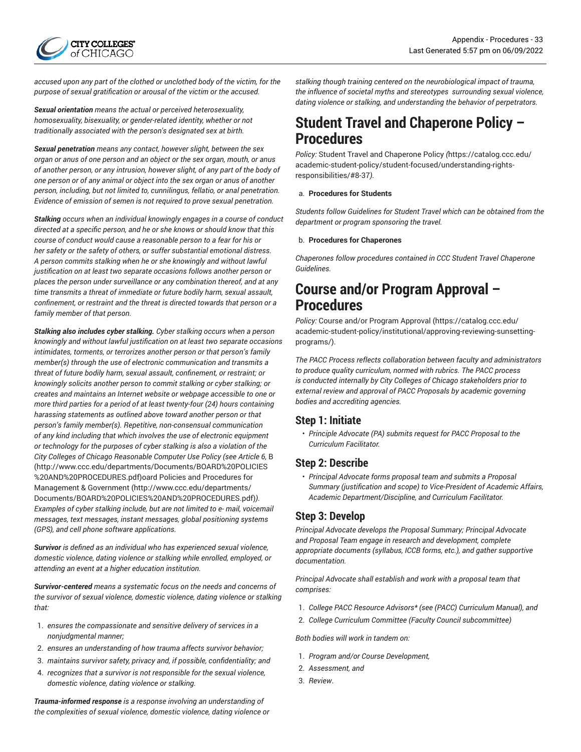

*accused upon any part of the clothed or unclothed body of the victim, for the purpose of sexual gratification or arousal of the victim or the accused.*

*Sexual orientation means the actual or perceived heterosexuality, homosexuality, bisexuality, or gender-related identity, whether or not traditionally associated with the person's designated sex at birth.*

*Sexual penetration means any contact, however slight, between the sex organ or anus of one person and an object or the sex organ, mouth, or anus of another person, or any intrusion, however slight, of any part of the body of one person or of any animal or object into the sex organ or anus of another person, including, but not limited to, cunnilingus, fellatio, or anal penetration. Evidence of emission of semen is not required to prove sexual penetration.*

*Stalking occurs when an individual knowingly engages in a course of conduct directed at a specific person, and he or she knows or should know that this course of conduct would cause a reasonable person to a fear for his or her safety or the safety of others, or suffer substantial emotional distress. A person commits stalking when he or she knowingly and without lawful justification on at least two separate occasions follows another person or places the person under surveillance or any combination thereof, and at any time transmits a threat of immediate or future bodily harm, sexual assault, confinement, or restraint and the threat is directed towards that person or a family member of that person.*

*Stalking also includes cyber stalking. Cyber stalking occurs when a person knowingly and without lawful justification on at least two separate occasions intimidates, torments, or terrorizes another person or that person's family member(s) through the use of electronic communication and transmits a threat of future bodily harm, sexual assault, confinement, or restraint; or knowingly solicits another person to commit stalking or cyber stalking; or creates and maintains an Internet website or webpage accessible to one or more third parties for a period of at least twenty-four (24) hours containing harassing statements as outlined above toward another person or that person's family member(s). Repetitive, non-consensual communication of any kind including that which involves the use of electronic equipment or technology for the purposes of cyber stalking is also a violation of the City Colleges of Chicago Reasonable Computer Use Policy (see Article 6,* [B](http://www.ccc.edu/departments/Documents/BOARD%20POLICIES%20AND%20PROCEDURES.pdf) ([http://www.ccc.edu/departments/Documents/BOARD%20POLICIES](http://www.ccc.edu/departments/Documents/BOARD%20POLICIES%20AND%20PROCEDURES.pdf) [%20AND%20PROCEDURES.pdf](http://www.ccc.edu/departments/Documents/BOARD%20POLICIES%20AND%20PROCEDURES.pdf))oard Policies and [Procedures](http://www.ccc.edu/departments/Documents/BOARD%20POLICIES%20AND%20PROCEDURES.pdf) for [Management](http://www.ccc.edu/departments/Documents/BOARD%20POLICIES%20AND%20PROCEDURES.pdf) & Government [\(http://www.ccc.edu/departments/](http://www.ccc.edu/departments/Documents/BOARD%20POLICIES%20AND%20PROCEDURES.pdf) [Documents/BOARD%20POLICIES%20AND%20PROCEDURES.pdf\)](http://www.ccc.edu/departments/Documents/BOARD%20POLICIES%20AND%20PROCEDURES.pdf)*). Examples of cyber stalking include, but are not limited to e- mail, voicemail messages, text messages, instant messages, global positioning systems (GPS), and cell phone software applications.*

*Survivor is defined as an individual who has experienced sexual violence, domestic violence, dating violence or stalking while enrolled, employed, or attending an event at a higher education institution.*

*Survivor-centered means a systematic focus on the needs and concerns of the survivor of sexual violence, domestic violence, dating violence or stalking that:*

- 1. *ensures the compassionate and sensitive delivery of services in a nonjudgmental manner;*
- 2. *ensures an understanding of how trauma affects survivor behavior;*
- 3. *maintains survivor safety, privacy and, if possible, confidentiality; and*
- 4. *recognizes that a survivor is not responsible for the sexual violence, domestic violence, dating violence or stalking.*

*Trauma-informed response is a response involving an understanding of the complexities of sexual violence, domestic violence, dating violence or* *stalking though training centered on the neurobiological impact of trauma, the influence of societal myths and stereotypes surrounding sexual violence, dating violence or stalking, and understanding the behavior of perpetrators.*

# **Student Travel and Chaperone Policy – Procedures**

*Policy:* Student Travel and [Chaperone](https://catalog.ccc.edu/academic-student-policy/student-focused/understanding-rights-responsibilities/#8-37) Policy *(*[https://catalog.ccc.edu/](https://catalog.ccc.edu/academic-student-policy/student-focused/understanding-rights-responsibilities/#8-37) [academic-student-policy/student-focused/understanding-rights](https://catalog.ccc.edu/academic-student-policy/student-focused/understanding-rights-responsibilities/#8-37)[responsibilities/#8-37](https://catalog.ccc.edu/academic-student-policy/student-focused/understanding-rights-responsibilities/#8-37)*).*

#### a. **Procedures for Students**

*Students follow Guidelines for Student Travel which can be obtained from the department or program sponsoring the travel.*

#### b. **Procedures for Chaperones**

*Chaperones follow procedures contained in CCC Student Travel Chaperone Guidelines.*

## **Course and/or Program Approval – Procedures**

*Policy:* Course and/or Program [Approval](https://catalog.ccc.edu/academic-student-policy/institutional/approving-reviewing-sunsetting-programs/) ([https://catalog.ccc.edu/](https://catalog.ccc.edu/academic-student-policy/institutional/approving-reviewing-sunsetting-programs/) [academic-student-policy/institutional/approving-reviewing-sunsetting](https://catalog.ccc.edu/academic-student-policy/institutional/approving-reviewing-sunsetting-programs/)[programs/](https://catalog.ccc.edu/academic-student-policy/institutional/approving-reviewing-sunsetting-programs/)).

*The PACC Process reflects collaboration between faculty and administrators to produce quality curriculum, normed with rubrics. The PACC process is conducted internally by City Colleges of Chicago stakeholders prior to external review and approval of PACC Proposals by academic governing bodies and accrediting agencies.*

### **Step 1: Initiate**

• *Principle Advocate (PA) submits request for PACC Proposal to the Curriculum Facilitator.*

### **Step 2: Describe**

• *Principal Advocate forms proposal team and submits a Proposal Summary (justification and scope) to Vice-President of Academic Affairs, Academic Department/Discipline, and Curriculum Facilitator.*

### **Step 3: Develop**

*Principal Advocate develops the Proposal Summary; Principal Advocate and Proposal Team engage in research and development, complete appropriate documents (syllabus, ICCB forms, etc.), and gather supportive documentation.*

*Principal Advocate shall establish and work with a proposal team that comprises:*

- 1. *College PACC Resource Advisors\* (see (PACC) Curriculum Manual), and*
- 2. *College Curriculum Committee (Faculty Council subcommittee)*

*Both bodies will work in tandem on:*

- 1. *Program and/or Course Development,*
- 2. *Assessment, and*
- 3. *Review*.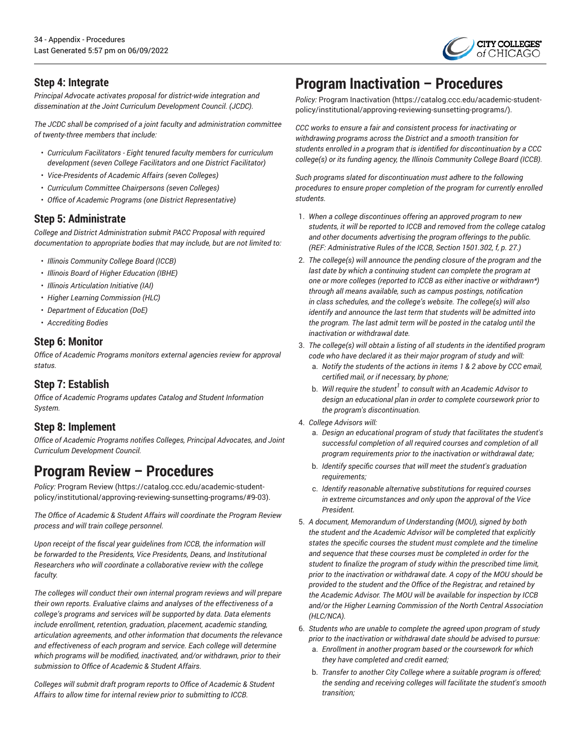

### **Step 4: Integrate**

*Principal Advocate activates proposal for district-wide integration and dissemination at the Joint Curriculum Development Council. (JCDC).*

*The JCDC shall be comprised of a joint faculty and administration committee of twenty-three members that include:*

- *Curriculum Facilitators - Eight tenured faculty members for curriculum development (seven College Facilitators and one District Facilitator)*
- *Vice-Presidents of Academic Affairs (seven Colleges)*
- *Curriculum Committee Chairpersons (seven Colleges)*
- *Office of Academic Programs (one District Representative)*

### **Step 5: Administrate**

*College and District Administration submit PACC Proposal with required documentation to appropriate bodies that may include, but are not limited to:*

- *Illinois Community College Board (ICCB)*
- *Illinois Board of Higher Education (IBHE)*
- *Illinois Articulation Initiative (IAI)*
- *Higher Learning Commission (HLC)*
- *Department of Education (DoE)*
- *Accrediting Bodies*

### **Step 6: Monitor**

*Office of Academic Programs monitors external agencies review for approval status.*

## **Step 7: Establish**

*Office of Academic Programs updates Catalog and Student Information System.*

### **Step 8: Implement**

*Office of Academic Programs notifies Colleges, Principal Advocates, and Joint Curriculum Development Council.*

# **Program Review – Procedures**

*Policy:* [Program](https://catalog.ccc.edu/academic-student-policy/institutional/approving-reviewing-sunsetting-programs/#9-03) Review [\(https://catalog.ccc.edu/academic-student](https://catalog.ccc.edu/academic-student-policy/institutional/approving-reviewing-sunsetting-programs/#9-03)[policy/institutional/approving-reviewing-sunsetting-programs/#9-03](https://catalog.ccc.edu/academic-student-policy/institutional/approving-reviewing-sunsetting-programs/#9-03)).

*The Office of Academic & Student Affairs will coordinate the Program Review process and will train college personnel.*

*Upon receipt of the fiscal year guidelines from ICCB, the information will be forwarded to the Presidents, Vice Presidents, Deans, and Institutional Researchers who will coordinate a collaborative review with the college faculty.*

*The colleges will conduct their own internal program reviews and will prepare their own reports. Evaluative claims and analyses of the effectiveness of a college's programs and services will be supported by data. Data elements include enrollment, retention, graduation, placement, academic standing, articulation agreements, and other information that documents the relevance and effectiveness of each program and service. Each college will determine which programs will be modified, inactivated, and/or withdrawn, prior to their submission to Office of Academic & Student Affairs.*

*Colleges will submit draft program reports to Office of Academic & Student Affairs to allow time for internal review prior to submitting to ICCB.*

# **Program Inactivation – Procedures**

*Policy:* Program [Inactivation](https://catalog.ccc.edu/academic-student-policy/institutional/approving-reviewing-sunsetting-programs/) [\(https://catalog.ccc.edu/academic-student](https://catalog.ccc.edu/academic-student-policy/institutional/approving-reviewing-sunsetting-programs/)[policy/institutional/approving-reviewing-sunsetting-programs/](https://catalog.ccc.edu/academic-student-policy/institutional/approving-reviewing-sunsetting-programs/)).

*CCC works to ensure a fair and consistent process for inactivating or withdrawing programs across the District and a smooth transition for students enrolled in a program that is identified for discontinuation by a CCC college(s) or its funding agency, the Illinois Community College Board (ICCB).*

*Such programs slated for discontinuation must adhere to the following procedures to ensure proper completion of the program for currently enrolled students.*

- 1. *When a college discontinues offering an approved program to new students, it will be reported to ICCB and removed from the college catalog and other documents advertising the program offerings to the public. (REF: Administrative Rules of the ICCB, Section 1501.302, f, p. 27.)*
- 2. *The college(s) will announce the pending closure of the program and the last date by which a continuing student can complete the program at one or more colleges (reported to ICCB as either inactive or withdrawn\*) through all means available, such as campus postings, notification in class schedules, and the college's website. The college(s) will also identify and announce the last term that students will be admitted into the program. The last admit term will be posted in the catalog until the inactivation or withdrawal date.*
- 3. *The college(s) will obtain a listing of all students in the identified program code who have declared it as their major program of study and will:*
	- a. *Notify the students of the actions in items 1 & 2 above by CCC email, certified mail, or if necessary, by phone;*
	- b. *Will require the student 1 to consult with an Academic Advisor to design an educational plan in order to complete coursework prior to the program's discontinuation.*
- 4. *College Advisors will:*
	- a. *Design an educational program of study that facilitates the student's successful completion of all required courses and completion of all program requirements prior to the inactivation or withdrawal date;*
	- b. *Identify specific courses that will meet the student's graduation requirements;*
	- c. *Identify reasonable alternative substitutions for required courses in extreme circumstances and only upon the approval of the Vice President.*
- 5. *A document, Memorandum of Understanding (MOU), signed by both the student and the Academic Advisor will be completed that explicitly states the specific courses the student must complete and the timeline and sequence that these courses must be completed in order for the student to finalize the program of study within the prescribed time limit, prior to the inactivation or withdrawal date. A copy of the MOU should be provided to the student and the Office of the Registrar, and retained by the Academic Advisor. The MOU will be available for inspection by ICCB and/or the Higher Learning Commission of the North Central Association (HLC/NCA).*
- 6. *Students who are unable to complete the agreed upon program of study prior to the inactivation or withdrawal date should be advised to pursue:*
	- a. *Enrollment in another program based or the coursework for which they have completed and credit earned;*
	- b. *Transfer to another City College where a suitable program is offered; the sending and receiving colleges will facilitate the student's smooth transition;*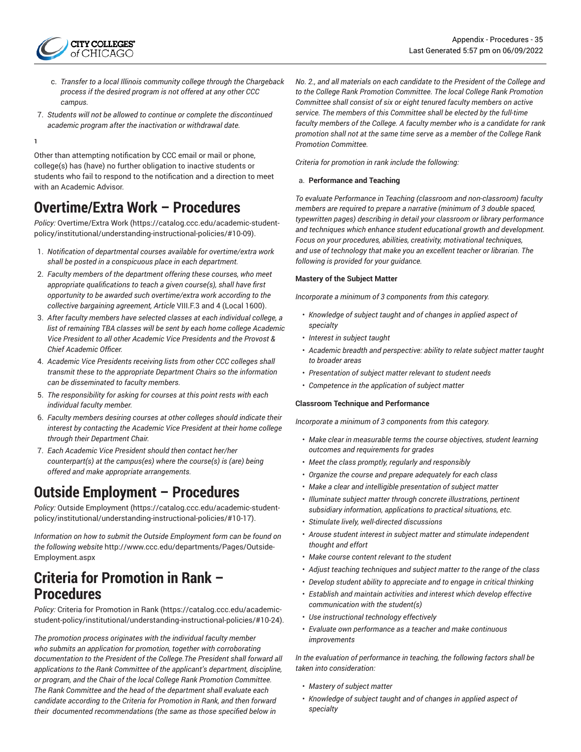

- c. *Transfer to a local Illinois community college through the Chargeback process if the desired program is not offered at any other CCC campus.*
- 7. *Students will not be allowed to continue or complete the discontinued academic program after the inactivation or withdrawal date.*

**1**

Other than attempting notification by CCC email or mail or phone, college(s) has (have) no further obligation to inactive students or students who fail to respond to the notification and a direction to meet with an Academic Advisor.

# **Overtime/Extra Work – Procedures**

*Policy:* [Overtime/Extra](https://catalog.ccc.edu/academic-student-policy/institutional/understanding-instructional-policies/#10-09) Work ([https://catalog.ccc.edu/academic-student](https://catalog.ccc.edu/academic-student-policy/institutional/understanding-instructional-policies/#10-09)[policy/institutional/understanding-instructional-policies/#10-09](https://catalog.ccc.edu/academic-student-policy/institutional/understanding-instructional-policies/#10-09)).

- 1. *Notification of departmental courses available for overtime/extra work shall be posted in a conspicuous place in each department.*
- 2. *Faculty members of the department offering these courses, who meet appropriate qualifications to teach a given course(s), shall have first opportunity to be awarded such overtime/extra work according to the collective bargaining agreement, Article* VIII.F.3 and 4 (Local 1600).
- 3. *After faculty members have selected classes at each individual college, a list of remaining TBA classes will be sent by each home college Academic Vice President to all other Academic Vice Presidents and the Provost & Chief Academic Officer.*
- 4. *Academic Vice Presidents receiving lists from other CCC colleges shall transmit these to the appropriate Department Chairs so the information can be disseminated to faculty members.*
- 5. *The responsibility for asking for courses at this point rests with each individual faculty member.*
- 6. *Faculty members desiring courses at other colleges should indicate their interest by contacting the Academic Vice President at their home college through their Department Chair.*
- 7. *Each Academic Vice President should then contact her/her counterpart(s) at the campus(es) where the course(s) is (are) being offered and make appropriate arrangements.*

# **Outside Employment – Procedures**

*Policy:* Outside [Employment \(https://catalog.ccc.edu/academic-student](https://catalog.ccc.edu/academic-student-policy/institutional/understanding-instructional-policies/#10-17)[policy/institutional/understanding-instructional-policies/#10-17](https://catalog.ccc.edu/academic-student-policy/institutional/understanding-instructional-policies/#10-17)).

*Information on how to submit the Outside Employment form can be found on the following website* [http://www.ccc.edu/departments/Pages/Outside-](http://www.ccc.edu/departments/Pages/Outside-Employment.aspx)[Employment.aspx](http://www.ccc.edu/departments/Pages/Outside-Employment.aspx)

# **Criteria for Promotion in Rank – Procedures**

*Policy:* Criteria for [Promotion](https://catalog.ccc.edu/academic-student-policy/institutional/understanding-instructional-policies/#10-24) in Rank ([https://catalog.ccc.edu/academic](https://catalog.ccc.edu/academic-student-policy/institutional/understanding-instructional-policies/#10-24)[student-policy/institutional/understanding-instructional-policies/#10-24\)](https://catalog.ccc.edu/academic-student-policy/institutional/understanding-instructional-policies/#10-24).

*The promotion process originates with the individual faculty member who submits an application for promotion, together with corroborating documentation to the President of the College.The President shall forward all applications to the Rank Committee of the applicant's department, discipline, or program, and the Chair of the local College Rank Promotion Committee. The Rank Committee and the head of the department shall evaluate each candidate according to the Criteria for Promotion in Rank, and then forward their documented recommendations (the same as those specified below in*

*No. 2., and all materials on each candidate to the President of the College and to the College Rank Promotion Committee. The local College Rank Promotion Committee shall consist of six or eight tenured faculty members on active service. The members of this Committee shall be elected by the full-time faculty members of the College. A faculty member who is a candidate for rank promotion shall not at the same time serve as a member of the College Rank Promotion Committee.*

*Criteria for promotion in rank include the following:*

#### a. **Performance and Teaching**

*To evaluate Performance in Teaching (classroom and non-classroom) faculty members are required to prepare a narrative (minimum of 3 double spaced, typewritten pages) describing in detail your classroom or library performance and techniques which enhance student educational growth and development. Focus on your procedures, abilities, creativity, motivational techniques, and use of technology that make you an excellent teacher or librarian. The following is provided for your guidance.*

#### **Mastery of the Subject Matter**

*Incorporate a minimum of 3 components from this category.*

- *Knowledge of subject taught and of changes in applied aspect of specialty*
- *Interest in subject taught*
- *Academic breadth and perspective: ability to relate subject matter taught to broader areas*
- *Presentation of subject matter relevant to student needs*
- *Competence in the application of subject matter*

#### **Classroom Technique and Performance**

*Incorporate a minimum of 3 components from this category.*

- *Make clear in measurable terms the course objectives, student learning outcomes and requirements for grades*
- *Meet the class promptly, regularly and responsibly*
- *Organize the course and prepare adequately for each class*
- *Make a clear and intelligible presentation of subject matter*
- *Illuminate subject matter through concrete illustrations, pertinent subsidiary information, applications to practical situations, etc.*
- *Stimulate lively, well-directed discussions*
- *Arouse student interest in subject matter and stimulate independent thought and effort*
- *Make course content relevant to the student*
- *Adjust teaching techniques and subject matter to the range of the class*
- *Develop student ability to appreciate and to engage in critical thinking*
- *Establish and maintain activities and interest which develop effective communication with the student(s)*
- *Use instructional technology effectively*
- *Evaluate own performance as a teacher and make continuous improvements*

*In the evaluation of performance in teaching, the following factors shall be taken into consideration:*

- *Mastery of subject matter*
- *Knowledge of subject taught and of changes in applied aspect of specialty*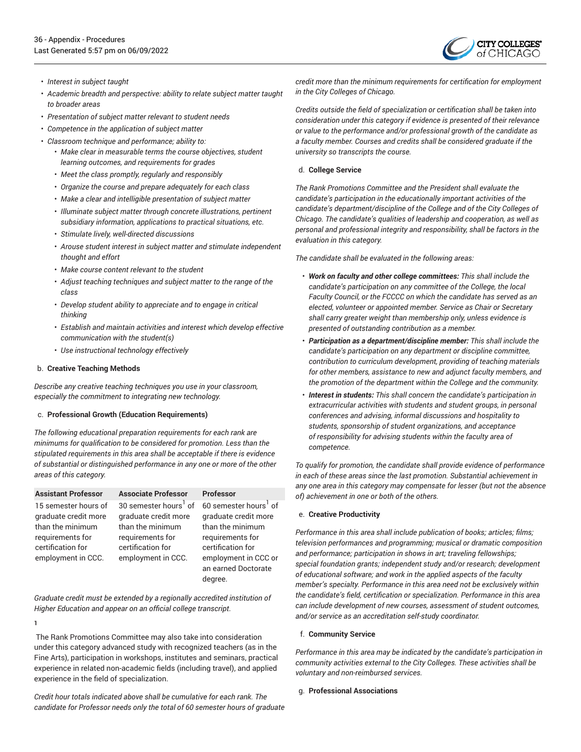

- *Interest in subject taught*
- *Academic breadth and perspective: ability to relate subject matter taught to broader areas*
- *Presentation of subject matter relevant to student needs*
- *Competence in the application of subject matter*
- *Classroom technique and performance; ability to:*
	- *Make clear in measurable terms the course objectives, student learning outcomes, and requirements for grades*
	- *Meet the class promptly, regularly and responsibly*
	- *Organize the course and prepare adequately for each class*
	- *Make a clear and intelligible presentation of subject matter*
	- *Illuminate subject matter through concrete illustrations, pertinent subsidiary information, applications to practical situations, etc.*
	- *Stimulate lively, well-directed discussions*
	- *Arouse student interest in subject matter and stimulate independent thought and effort*
	- *Make course content relevant to the student*
	- *Adjust teaching techniques and subject matter to the range of the class*
	- *Develop student ability to appreciate and to engage in critical thinking*
	- *Establish and maintain activities and interest which develop effective communication with the student(s)*
	- *Use instructional technology effectively*

#### b. **Creative Teaching Methods**

*Describe any creative teaching techniques you use in your classroom, especially the commitment to integrating new technology.*

#### c. **Professional Growth (Education Requirements)**

*The following educational preparation requirements for each rank are minimums for qualification to be considered for promotion. Less than the stipulated requirements in this area shall be acceptable if there is evidence of substantial or distinguished performance in any one or more of the other areas of this category.*

| <b>Assistant Professor</b>                                                                                                      | <b>Associate Professor</b>                                                                                                                   | <b>Professor</b>                                                                                                                                                                 |
|---------------------------------------------------------------------------------------------------------------------------------|----------------------------------------------------------------------------------------------------------------------------------------------|----------------------------------------------------------------------------------------------------------------------------------------------------------------------------------|
| 15 semester hours of<br>graduate credit more<br>than the minimum<br>requirements for<br>certification for<br>employment in CCC. | 30 semester hours <sup>1</sup> of<br>graduate credit more<br>than the minimum<br>requirements for<br>certification for<br>employment in CCC. | 60 semester hours <sup>1</sup> of<br>graduate credit more<br>than the minimum<br>requirements for<br>certification for<br>employment in CCC or<br>an earned Doctorate<br>degree. |

*Graduate credit must be extended by a regionally accredited institution of Higher Education and appear on an official college transcript.*

**1**

The Rank Promotions Committee may also take into consideration under this category advanced study with recognized teachers (as in the Fine Arts), participation in workshops, institutes and seminars, practical experience in related non-academic fields (including travel), and applied experience in the field of specialization.

*Credit hour totals indicated above shall be cumulative for each rank. The candidate for Professor needs only the total of 60 semester hours of graduate* *credit more than the minimum requirements for certification for employment in the City Colleges of Chicago.*

*Credits outside the field of specialization or certification shall be taken into consideration under this category if evidence is presented of their relevance or value to the performance and/or professional growth of the candidate as a faculty member. Courses and credits shall be considered graduate if the university so transcripts the course.*

#### d. **College Service**

*The Rank Promotions Committee and the President shall evaluate the candidate's participation in the educationally important activities of the candidate's department/discipline of the College and of the City Colleges of Chicago. The candidate's qualities of leadership and cooperation, as well as personal and professional integrity and responsibility, shall be factors in the evaluation in this category.*

*The candidate shall be evaluated in the following areas:*

- *Work on faculty and other college committees: This shall include the candidate's participation on any committee of the College, the local Faculty Council, or the FCCCC on which the candidate has served as an elected, volunteer or appointed member. Service as Chair or Secretary shall carry greater weight than membership only, unless evidence is presented of outstanding contribution as a member.*
- *Participation as a department/discipline member: This shall include the candidate's participation on any department or discipline committee, contribution to curriculum development, providing of teaching materials for other members, assistance to new and adjunct faculty members, and the promotion of the department within the College and the community.*
- *Interest in students: This shall concern the candidate's participation in extracurricular activities with students and student groups, in personal conferences and advising, informal discussions and hospitality to students, sponsorship of student organizations, and acceptance of responsibility for advising students within the faculty area of competence.*

*To qualify for promotion, the candidate shall provide evidence of performance in each of these areas since the last promotion. Substantial achievement in any one area in this category may compensate for lesser (but not the absence of) achievement in one or both of the others.*

#### e. **Creative Productivity**

*Performance in this area shall include publication of books; articles; films; television performances and programming; musical or dramatic composition and performance; participation in shows in art; traveling fellowships; special foundation grants; independent study and/or research; development of educational software; and work in the applied aspects of the faculty member's specialty. Performance in this area need not be exclusively within the candidate's field, certification or specialization. Performance in this area can include development of new courses, assessment of student outcomes, and/or service as an accreditation self-study coordinator.*

#### f. **Community Service**

*Performance in this area may be indicated by the candidate's participation in community activities external to the City Colleges. These activities shall be voluntary and non-reimbursed services.*

#### g. **Professional Associations**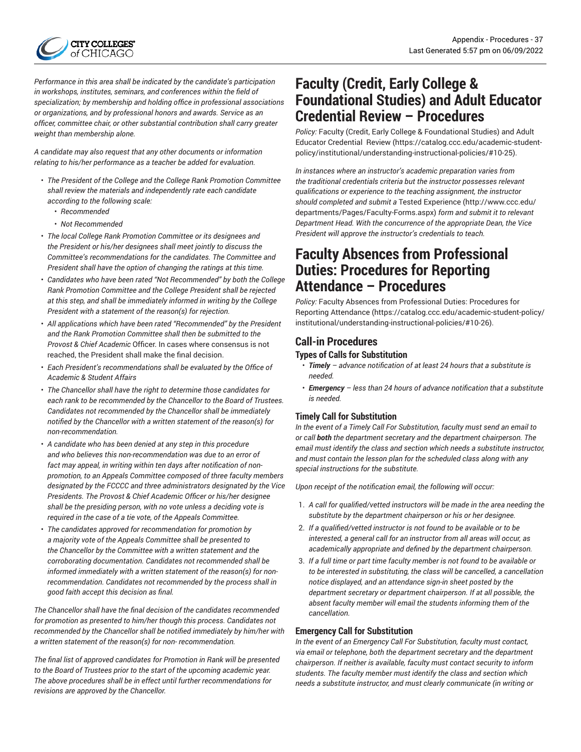

*Performance in this area shall be indicated by the candidate's participation in workshops, institutes, seminars, and conferences within the field of specialization; by membership and holding office in professional associations or organizations, and by professional honors and awards. Service as an officer, committee chair, or other substantial contribution shall carry greater weight than membership alone.*

*A candidate may also request that any other documents or information relating to his/her performance as a teacher be added for evaluation.*

- *The President of the College and the College Rank Promotion Committee shall review the materials and independently rate each candidate according to the following scale:*
	- *Recommended*
	- *Not Recommended*
- *The local College Rank Promotion Committee or its designees and the President or his/her designees shall meet jointly to discuss the Committee's recommendations for the candidates. The Committee and President shall have the option of changing the ratings at this time.*
- *Candidates who have been rated "Not Recommended" by both the College Rank Promotion Committee and the College President shall be rejected at this step, and shall be immediately informed in writing by the College President with a statement of the reason(s) for rejection.*
- *All applications which have been rated "Recommended" by the President and the Rank Promotion Committee shall then be submitted to the Provost & Chief Academic* Officer. In cases where consensus is not reached, the President shall make the final decision.
- *Each President's recommendations shall be evaluated by the Office of Academic & Student Affairs*
- *The Chancellor shall have the right to determine those candidates for each rank to be recommended by the Chancellor to the Board of Trustees. Candidates not recommended by the Chancellor shall be immediately notified by the Chancellor with a written statement of the reason(s) for non-recommendation.*
- *A candidate who has been denied at any step in this procedure and who believes this non-recommendation was due to an error of fact may appeal, in writing within ten days after notification of nonpromotion, to an Appeals Committee composed of three faculty members designated by the FCCCC and three administrators designated by the Vice Presidents. The Provost & Chief Academic Officer or his/her designee shall be the presiding person, with no vote unless a deciding vote is required in the case of a tie vote, of the Appeals Committee.*
- *The candidates approved for recommendation for promotion by a majority vote of the Appeals Committee shall be presented to the Chancellor by the Committee with a written statement and the corroborating documentation. Candidates not recommended shall be informed immediately with a written statement of the reason(s) for nonrecommendation. Candidates not recommended by the process shall in good faith accept this decision as final.*

*The Chancellor shall have the final decision of the candidates recommended for promotion as presented to him/her though this process. Candidates not recommended by the Chancellor shall be notified immediately by him/her with a written statement of the reason(s) for non- recommendation.*

*The final list of approved candidates for Promotion in Rank will be presented to the Board of Trustees prior to the start of the upcoming academic year. The above procedures shall be in effect until further recommendations for revisions are approved by the Chancellor.*

# **Faculty (Credit, Early College & Foundational Studies) and Adult Educator Credential Review – Procedures**

*Policy:* Faculty (Credit, Early College & [Foundational](https://catalog.ccc.edu/academic-student-policy/institutional/understanding-instructional-policies/#10-25) Studies) and Adult Educator [Credential](https://catalog.ccc.edu/academic-student-policy/institutional/understanding-instructional-policies/#10-25) Review ([https://catalog.ccc.edu/academic-student](https://catalog.ccc.edu/academic-student-policy/institutional/understanding-instructional-policies/#10-25)[policy/institutional/understanding-instructional-policies/#10-25](https://catalog.ccc.edu/academic-student-policy/institutional/understanding-instructional-policies/#10-25)).

*In instances where an instructor's academic preparation varies from the traditional credentials criteria but the instructor possesses relevant qualifications or experience to the teaching assignment, the instructor should completed and submit a* Tested [Experience](http://www.ccc.edu/departments/Pages/Faculty-Forms.aspx) ([http://www.ccc.edu/](http://www.ccc.edu/departments/Pages/Faculty-Forms.aspx) [departments/Pages/Faculty-Forms.aspx](http://www.ccc.edu/departments/Pages/Faculty-Forms.aspx)) *form and submit it to relevant Department Head. With the concurrence of the appropriate Dean, the Vice President will approve the instructor's credentials to teach.*

# **Faculty Absences from Professional Duties: Procedures for Reporting Attendance – Procedures**

*Policy:* Faculty Absences from [Professional](https://catalog.ccc.edu/academic-student-policy/institutional/understanding-instructional-policies/#10-26) Duties: Procedures for Reporting [Attendance](https://catalog.ccc.edu/academic-student-policy/institutional/understanding-instructional-policies/#10-26) ([https://catalog.ccc.edu/academic-student-policy/](https://catalog.ccc.edu/academic-student-policy/institutional/understanding-instructional-policies/#10-26) [institutional/understanding-instructional-policies/#10-26\)](https://catalog.ccc.edu/academic-student-policy/institutional/understanding-instructional-policies/#10-26).

### **Call-in Procedures**

#### **Types of Calls for Substitution**

- *Timely – advance notification of at least 24 hours that a substitute is needed.*
- *Emergency – less than 24 hours of advance notification that a substitute is needed.*

#### **Timely Call for Substitution**

*In the event of a Timely Call For Substitution, faculty must send an email to or call both the department secretary and the department chairperson. The email must identify the class and section which needs a substitute instructor, and must contain the lesson plan for the scheduled class along with any special instructions for the substitute.*

*Upon receipt of the notification email, the following will occur:*

- 1. *A call for qualified/vetted instructors will be made in the area needing the substitute by the department chairperson or his or her designee.*
- 2. *If a qualified/vetted instructor is not found to be available or to be interested, a general call for an instructor from all areas will occur, as academically appropriate and defined by the department chairperson.*
- 3. *If a full time or part time faculty member is not found to be available or to be interested in substituting, the class will be cancelled, a cancellation notice displayed, and an attendance sign-in sheet posted by the department secretary or department chairperson. If at all possible, the absent faculty member will email the students informing them of the cancellation.*

#### **Emergency Call for Substitution**

*In the event of an Emergency Call For Substitution, faculty must contact, via email or telephone, both the department secretary and the department chairperson. If neither is available, faculty must contact security to inform students. The faculty member must identify the class and section which needs a substitute instructor, and must clearly communicate (in writing or*